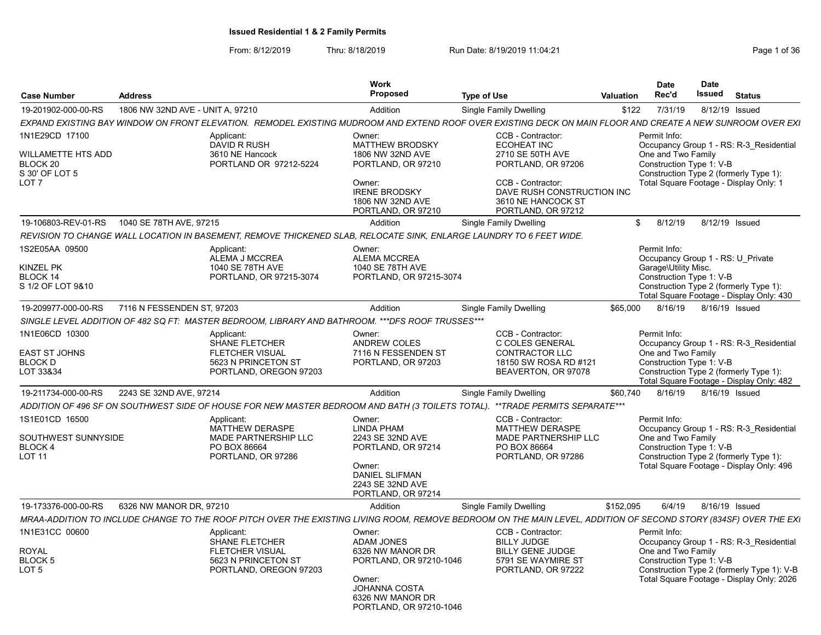| <b>Case Number</b>                                                                                       | <b>Address</b>                   |                                                                                                                     | Work<br>Proposed                                                                                                                                            | <b>Type of Use</b>                                                                                                                                                               | <b>Valuation</b> | Date<br>Rec'd                                                                                         | <b>Date</b><br><b>Issued</b> | <b>Status</b>                                                                                                                      |
|----------------------------------------------------------------------------------------------------------|----------------------------------|---------------------------------------------------------------------------------------------------------------------|-------------------------------------------------------------------------------------------------------------------------------------------------------------|----------------------------------------------------------------------------------------------------------------------------------------------------------------------------------|------------------|-------------------------------------------------------------------------------------------------------|------------------------------|------------------------------------------------------------------------------------------------------------------------------------|
| 19-201902-000-00-RS                                                                                      | 1806 NW 32ND AVE - UNIT A, 97210 |                                                                                                                     | Addition                                                                                                                                                    | Single Family Dwelling                                                                                                                                                           | \$122            | 7/31/19                                                                                               |                              | 8/12/19 Issued                                                                                                                     |
|                                                                                                          |                                  |                                                                                                                     |                                                                                                                                                             | EXPAND EXISTING BAY WINDOW ON FRONT ELEVATION. REMODEL EXISTING MUDROOM AND EXTEND ROOF OVER EXISTING DECK ON MAIN FLOOR AND CREATE A NEW SUNROOM OVER EXI                       |                  |                                                                                                       |                              |                                                                                                                                    |
| 1N1E29CD 17100<br><b>WILLAMETTE HTS ADD</b><br>BLOCK <sub>20</sub><br>S 30' OF LOT 5<br>LOT <sub>7</sub> |                                  | Applicant:<br><b>DAVID R RUSH</b><br>3610 NE Hancock<br>PORTLAND OR 97212-5224                                      | Owner:<br>MATTHEW BRODSKY<br>1806 NW 32ND AVE<br>PORTLAND, OR 97210<br>Owner:<br><b>IRENE BRODSKY</b><br>1806 NW 32ND AVE<br>PORTLAND, OR 97210             | CCB - Contractor:<br><b>ECOHEAT INC</b><br>2710 SE 50TH AVE<br>PORTLAND, OR 97206<br>CCB - Contractor:<br>DAVE RUSH CONSTRUCTION INC<br>3610 NE HANCOCK ST<br>PORTLAND, OR 97212 |                  | Permit Info:<br>One and Two Family<br>Construction Type 1: V-B                                        |                              | Occupancy Group 1 - RS: R-3_Residential<br>Construction Type 2 (formerly Type 1):<br>Total Square Footage - Display Only: 1        |
| 19-106803-REV-01-RS                                                                                      | 1040 SE 78TH AVE, 97215          |                                                                                                                     | Addition                                                                                                                                                    | Single Family Dwelling                                                                                                                                                           | \$               | 8/12/19                                                                                               |                              | 8/12/19 Issued                                                                                                                     |
|                                                                                                          |                                  | REVISION TO CHANGE WALL LOCATION IN BASEMENT, REMOVE THICKENED SLAB, RELOCATE SINK, ENLARGE LAUNDRY TO 6 FEET WIDE. |                                                                                                                                                             |                                                                                                                                                                                  |                  |                                                                                                       |                              |                                                                                                                                    |
| 1S2E05AA 09500<br><b>KINZEL PK</b><br>BLOCK 14<br>S 1/2 OF LOT 9&10                                      |                                  | Applicant:<br>ALEMA J MCCREA<br>1040 SE 78TH AVE<br>PORTLAND, OR 97215-3074                                         | Owner:<br>ALEMA MCCREA<br>1040 SE 78TH AVE<br>PORTLAND, OR 97215-3074                                                                                       |                                                                                                                                                                                  |                  | Permit Info:<br>Occupancy Group 1 - RS: U Private<br>Garage\Utility Misc.<br>Construction Type 1: V-B |                              | Construction Type 2 (formerly Type 1):<br>Total Square Footage - Display Only: 430                                                 |
| 19-209977-000-00-RS                                                                                      | 7116 N FESSENDEN ST, 97203       |                                                                                                                     | Addition                                                                                                                                                    | <b>Single Family Dwelling</b>                                                                                                                                                    | \$65,000         | 8/16/19                                                                                               |                              | 8/16/19 Issued                                                                                                                     |
|                                                                                                          |                                  | SINGLE LEVEL ADDITION OF 482 SQ FT: MASTER BEDROOM, LIBRARY AND BATHROOM. *** DFS ROOF TRUSSES***                   |                                                                                                                                                             |                                                                                                                                                                                  |                  |                                                                                                       |                              |                                                                                                                                    |
| 1N1E06CD 10300<br><b>EAST ST JOHNS</b><br><b>BLOCK D</b><br>LOT 33&34                                    |                                  | Applicant:<br><b>SHANE FLETCHER</b><br><b>FLETCHER VISUAL</b><br>5623 N PRINCETON ST<br>PORTLAND, OREGON 97203      | Owner:<br><b>ANDREW COLES</b><br>7116 N FESSENDEN ST<br>PORTLAND, OR 97203                                                                                  | CCB - Contractor:<br>C COLES GENERAL<br><b>CONTRACTOR LLC</b><br>18150 SW ROSA RD #121<br>BEAVERTON, OR 97078                                                                    |                  | Permit Info:<br>One and Two Family<br>Construction Type 1: V-B                                        |                              | Occupancy Group 1 - RS: R-3 Residential<br>Construction Type 2 (formerly Type 1):<br>Total Square Footage - Display Only: 482      |
| 19-211734-000-00-RS                                                                                      | 2243 SE 32ND AVE, 97214          |                                                                                                                     | Addition                                                                                                                                                    | Single Family Dwelling                                                                                                                                                           | \$60,740         | 8/16/19                                                                                               |                              | 8/16/19 Issued                                                                                                                     |
|                                                                                                          |                                  |                                                                                                                     |                                                                                                                                                             | ADDITION OF 496 SF ON SOUTHWEST SIDE OF HOUSE FOR NEW MASTER BEDROOM AND BATH (3 TOILETS TOTAL). **TRADE PERMITS SEPARATE***                                                     |                  |                                                                                                       |                              |                                                                                                                                    |
| 1S1E01CD 16500<br>SOUTHWEST SUNNYSIDE<br><b>BLOCK4</b><br><b>LOT 11</b>                                  |                                  | Applicant:<br><b>MATTHEW DERASPE</b><br>MADE PARTNERSHIP LLC<br>PO BOX 86664<br>PORTLAND, OR 97286                  | Owner:<br><b>LINDA PHAM</b><br>2243 SE 32ND AVE<br>PORTLAND, OR 97214<br>Owner:<br><b>DANIEL SLIFMAN</b><br>2243 SE 32ND AVE<br>PORTLAND, OR 97214          | CCB - Contractor:<br>MATTHEW DERASPE<br>MADE PARTNERSHIP LLC<br>PO BOX 86664<br>PORTLAND, OR 97286                                                                               |                  | Permit Info:<br>One and Two Family<br>Construction Type 1: V-B                                        |                              | Occupancy Group 1 - RS: R-3 Residential<br>Construction Type 2 (formerly Type 1):<br>Total Square Footage - Display Only: 496      |
| 19-173376-000-00-RS                                                                                      | 6326 NW MANOR DR, 97210          |                                                                                                                     | Addition                                                                                                                                                    | Single Family Dwelling                                                                                                                                                           | \$152,095        | 6/4/19                                                                                                |                              | 8/16/19 Issued                                                                                                                     |
|                                                                                                          |                                  |                                                                                                                     |                                                                                                                                                             | MRAA-ADDITION TO INCLUDE CHANGE TO THE ROOF PITCH OVER THE EXISTING LIVING ROOM, REMOVE BEDROOM ON THE MAIN LEVEL, ADDITION OF SECOND STORY (834SF) OVER THE EXI                 |                  |                                                                                                       |                              |                                                                                                                                    |
| 1N1E31CC 00600<br><b>ROYAL</b><br>BLOCK 5<br>LOT 5                                                       |                                  | Applicant:<br>SHANE FLETCHER<br><b>FLETCHER VISUAL</b><br>5623 N PRINCETON ST<br>PORTLAND, OREGON 97203             | Owner:<br><b>ADAM JONES</b><br>6326 NW MANOR DR<br>PORTLAND, OR 97210-1046<br>Owner:<br><b>JOHANNA COSTA</b><br>6326 NW MANOR DR<br>PORTLAND, OR 97210-1046 | CCB - Contractor:<br><b>BILLY JUDGE</b><br><b>BILLY GENE JUDGE</b><br>5791 SE WAYMIRE ST<br>PORTLAND, OR 97222                                                                   |                  | Permit Info:<br>One and Two Family<br>Construction Type 1: V-B                                        |                              | Occupancy Group 1 - RS: R-3 Residential<br>Construction Type 2 (formerly Type 1): V-B<br>Total Square Footage - Display Only: 2026 |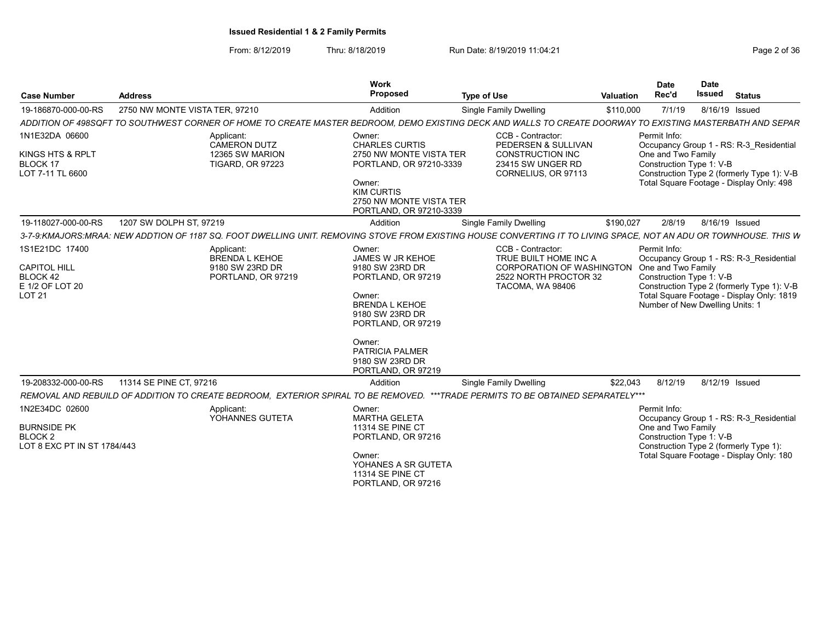| <b>Case Number</b>                                                                           | <b>Address</b>                                                                                                                                                    | <b>Work</b><br><b>Proposed</b>                                                                                                                                                                                        | <b>Type of Use</b>                                                                                                          | <b>Valuation</b> | Date<br>Rec'd                                                                                            | <b>Date</b><br><b>Issued</b> | <b>Status</b>                                                                                                                      |
|----------------------------------------------------------------------------------------------|-------------------------------------------------------------------------------------------------------------------------------------------------------------------|-----------------------------------------------------------------------------------------------------------------------------------------------------------------------------------------------------------------------|-----------------------------------------------------------------------------------------------------------------------------|------------------|----------------------------------------------------------------------------------------------------------|------------------------------|------------------------------------------------------------------------------------------------------------------------------------|
| 19-186870-000-00-RS                                                                          | 2750 NW MONTE VISTA TER, 97210                                                                                                                                    | Addition                                                                                                                                                                                                              | Single Family Dwelling                                                                                                      | \$110,000        | 7/1/19                                                                                                   | 8/16/19 Issued               |                                                                                                                                    |
|                                                                                              | ADDITION OF 498SQFT TO SOUTHWEST CORNER OF HOME TO CREATE MASTER BEDROOM, DEMO EXISTING DECK AND WALLS TO CREATE DOORWAY TO EXISTING MASTERBATH AND SEPAR         |                                                                                                                                                                                                                       |                                                                                                                             |                  |                                                                                                          |                              |                                                                                                                                    |
| 1N1E32DA 06600<br>KINGS HTS & RPLT<br><b>BLOCK 17</b><br>LOT 7-11 TL 6600                    | Applicant:<br>CAMERON DUTZ<br>12365 SW MARION<br><b>TIGARD, OR 97223</b>                                                                                          | Owner:<br><b>CHARLES CURTIS</b><br>2750 NW MONTE VISTA TER<br>PORTLAND, OR 97210-3339<br>Owner:<br><b>KIM CURTIS</b><br>2750 NW MONTE VISTA TER<br>PORTLAND, OR 97210-3339                                            | CCB - Contractor:<br>PEDERSEN & SULLIVAN<br><b>CONSTRUCTION INC</b><br>23415 SW UNGER RD<br>CORNELIUS, OR 97113             |                  | Permit Info:<br>One and Two Family<br>Construction Type 1: V-B                                           |                              | Occupancy Group 1 - RS: R-3 Residential<br>Construction Type 2 (formerly Type 1): V-B<br>Total Square Footage - Display Only: 498  |
| 19-118027-000-00-RS                                                                          | 1207 SW DOLPH ST, 97219                                                                                                                                           | Addition                                                                                                                                                                                                              | Single Family Dwelling                                                                                                      | \$190,027        | 2/8/19                                                                                                   | 8/16/19 Issued               |                                                                                                                                    |
|                                                                                              | 3-7-9:KMAJORS:MRAA: NEW ADDTION OF 1187 SQ. FOOT DWELLING UNIT. REMOVING STOVE FROM EXISTING HOUSE CONVERTING IT TO LIVING SPACE, NOT AN ADU OR TOWNHOUSE. THIS W |                                                                                                                                                                                                                       |                                                                                                                             |                  |                                                                                                          |                              |                                                                                                                                    |
| 1S1E21DC 17400<br><b>CAPITOL HILL</b><br><b>BLOCK 42</b><br>E 1/2 OF LOT 20<br><b>LOT 21</b> | Applicant:<br><b>BRENDA L KEHOE</b><br>9180 SW 23RD DR<br>PORTLAND, OR 97219                                                                                      | Owner:<br>JAMES W JR KEHOE<br>9180 SW 23RD DR<br>PORTLAND, OR 97219<br>Owner:<br><b>BRENDA L KEHOE</b><br>9180 SW 23RD DR<br>PORTLAND, OR 97219<br>Owner:<br>PATRICIA PALMER<br>9180 SW 23RD DR<br>PORTLAND, OR 97219 | CCB - Contractor:<br>TRUE BUILT HOME INC A<br><b>CORPORATION OF WASHINGTON</b><br>2522 NORTH PROCTOR 32<br>TACOMA, WA 98406 |                  | Permit Info:<br>One and Two Family<br>Construction Type 1: V-B<br>Number of New Dwelling Units: 1        |                              | Occupancy Group 1 - RS: R-3 Residential<br>Construction Type 2 (formerly Type 1): V-B<br>Total Square Footage - Display Only: 1819 |
| 19-208332-000-00-RS                                                                          | 11314 SE PINE CT, 97216                                                                                                                                           | Addition                                                                                                                                                                                                              | <b>Single Family Dwelling</b>                                                                                               | \$22,043         | 8/12/19                                                                                                  | 8/12/19 Issued               |                                                                                                                                    |
|                                                                                              | REMOVAL AND REBUILD OF ADDITION TO CREATE BEDROOM, EXTERIOR SPIRAL TO BE REMOVED. ***TRADE PERMITS TO BE OBTAINED SEPARATELY***                                   |                                                                                                                                                                                                                       |                                                                                                                             |                  |                                                                                                          |                              |                                                                                                                                    |
| 1N2E34DC 02600<br><b>BURNSIDE PK</b><br><b>BLOCK2</b><br>LOT 8 EXC PT IN ST 1784/443         | Applicant:<br>YOHANNES GUTETA                                                                                                                                     | Owner:<br><b>MARTHA GELETA</b><br><b>11314 SE PINE CT</b><br>PORTLAND, OR 97216<br>Owner:<br>YOHANES A SR GUTETA<br><b>11314 SE PINE CT</b><br>PORTLAND, OR 97216                                                     |                                                                                                                             |                  | Permit Info:<br>One and Two Family<br>Construction Type 1: V-B<br>Construction Type 2 (formerly Type 1): |                              | Occupancy Group 1 - RS: R-3 Residential<br>Total Square Footage - Display Only: 180                                                |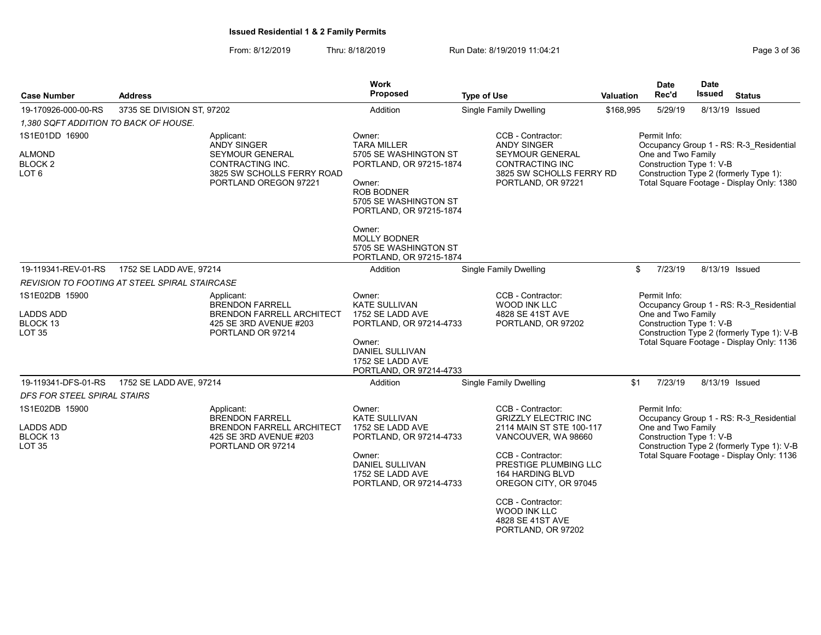| <b>Case Number</b>                                       | <b>Address</b>                                |                                                                                                           | <b>Work</b><br>Proposed                                                                                                                                                                       | <b>Type of Use</b>                                                                                                                                | <b>Valuation</b> | <b>Date</b><br>Rec'd                                           | <b>Date</b><br>Issued | <b>Status</b>                                                                                                                      |
|----------------------------------------------------------|-----------------------------------------------|-----------------------------------------------------------------------------------------------------------|-----------------------------------------------------------------------------------------------------------------------------------------------------------------------------------------------|---------------------------------------------------------------------------------------------------------------------------------------------------|------------------|----------------------------------------------------------------|-----------------------|------------------------------------------------------------------------------------------------------------------------------------|
| 19-170926-000-00-RS                                      | 3735 SE DIVISION ST, 97202                    |                                                                                                           | Addition                                                                                                                                                                                      | <b>Single Family Dwelling</b>                                                                                                                     | \$168,995        | 5/29/19                                                        |                       | 8/13/19 Issued                                                                                                                     |
| 1,380 SQFT ADDITION TO BACK OF HOUSE.                    |                                               |                                                                                                           |                                                                                                                                                                                               |                                                                                                                                                   |                  |                                                                |                       |                                                                                                                                    |
| 1S1E01DD 16900<br><b>ALMOND</b><br>BLOCK 2<br>LOT 6      | Applicant:<br><b>ANDY SINGER</b>              | <b>SEYMOUR GENERAL</b><br>CONTRACTING INC.<br>3825 SW SCHOLLS FERRY ROAD<br>PORTLAND OREGON 97221         | Owner:<br><b>TARA MILLER</b><br>5705 SE WASHINGTON ST<br>PORTLAND, OR 97215-1874<br>Owner:<br>ROB BODNER<br>5705 SE WASHINGTON ST<br>PORTLAND, OR 97215-1874<br>Owner:<br><b>MOLLY BODNER</b> | CCB - Contractor:<br><b>ANDY SINGER</b><br>SEYMOUR GENERAL<br>CONTRACTING INC<br>3825 SW SCHOLLS FERRY RD<br>PORTLAND, OR 97221                   |                  | Permit Info:<br>One and Two Family<br>Construction Type 1: V-B |                       | Occupancy Group 1 - RS: R-3 Residential<br>Construction Type 2 (formerly Type 1):<br>Total Square Footage - Display Only: 1380     |
|                                                          |                                               |                                                                                                           | 5705 SE WASHINGTON ST<br>PORTLAND, OR 97215-1874                                                                                                                                              |                                                                                                                                                   |                  |                                                                |                       |                                                                                                                                    |
| 19-119341-REV-01-RS                                      | 1752 SE LADD AVE, 97214                       |                                                                                                           | Addition                                                                                                                                                                                      | <b>Single Family Dwelling</b>                                                                                                                     |                  | \$<br>7/23/19                                                  |                       | 8/13/19 Issued                                                                                                                     |
|                                                          | REVISION TO FOOTING AT STEEL SPIRAL STAIRCASE |                                                                                                           |                                                                                                                                                                                               |                                                                                                                                                   |                  |                                                                |                       |                                                                                                                                    |
| 1S1E02DB 15900<br><b>LADDS ADD</b><br>BLOCK 13<br>LOT 35 | Applicant:                                    | <b>BRENDON FARRELL</b><br><b>BRENDON FARRELL ARCHITECT</b><br>425 SE 3RD AVENUE #203<br>PORTLAND OR 97214 | Owner:<br>KATE SULLIVAN<br>1752 SE LADD AVE<br>PORTLAND, OR 97214-4733<br>Owner:<br>DANIEL SULLIVAN<br>1752 SE LADD AVE<br>PORTLAND, OR 97214-4733                                            | CCB - Contractor:<br>WOOD INK LLC<br>4828 SE 41ST AVE<br>PORTLAND, OR 97202                                                                       |                  | Permit Info:<br>One and Two Family<br>Construction Type 1: V-B |                       | Occupancy Group 1 - RS: R-3 Residential<br>Construction Type 2 (formerly Type 1): V-B<br>Total Square Footage - Display Only: 1136 |
| 19-119341-DFS-01-RS                                      | 1752 SE LADD AVE, 97214                       |                                                                                                           | Addition                                                                                                                                                                                      | Single Family Dwelling                                                                                                                            | \$1              | 7/23/19                                                        | 8/13/19 Issued        |                                                                                                                                    |
| DFS FOR STEEL SPIRAL STAIRS<br>1S1E02DB 15900            | Applicant:                                    | <b>BRENDON FARRELL</b>                                                                                    | Owner:<br><b>KATE SULLIVAN</b>                                                                                                                                                                | CCB - Contractor:<br><b>GRIZZLY ELECTRIC INC</b>                                                                                                  |                  | Permit Info:                                                   |                       | Occupancy Group 1 - RS: R-3 Residential                                                                                            |
| LADDS ADD<br>BLOCK 13<br><b>LOT 35</b>                   |                                               | <b>BRENDON FARRELL ARCHITECT</b><br>425 SE 3RD AVENUE #203<br>PORTLAND OR 97214                           | 1752 SE LADD AVE<br>PORTLAND, OR 97214-4733<br>Owner:<br>DANIEL SULLIVAN<br>1752 SE LADD AVE<br>PORTLAND, OR 97214-4733                                                                       | 2114 MAIN ST STE 100-117<br>VANCOUVER, WA 98660<br>CCB - Contractor:<br>PRESTIGE PLUMBING LLC<br><b>164 HARDING BLVD</b><br>OREGON CITY, OR 97045 |                  | One and Two Family<br>Construction Type 1: V-B                 |                       | Construction Type 2 (formerly Type 1): V-B<br>Total Square Footage - Display Only: 1136                                            |
|                                                          |                                               |                                                                                                           |                                                                                                                                                                                               | CCB - Contractor:<br><b>WOOD INK LLC</b><br>4828 SE 41ST AVE<br>PORTLAND, OR 97202                                                                |                  |                                                                |                       |                                                                                                                                    |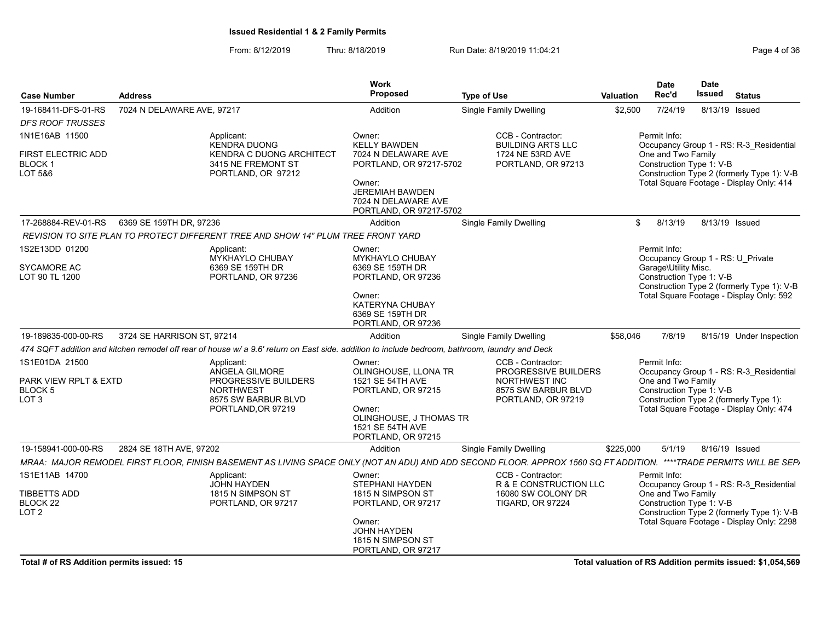From: 8/12/2019 Thru: 8/18/2019 Run Date: 8/19/2019 11:04:21 From: 8/12/2019 11:04:21

| <b>Case Number</b>                              | <b>Address</b>             |                                                                                                                                                | <b>Work</b><br>Proposed                                                            | <b>Type of Use</b>                                                                                                                                                 | <b>Valuation</b> | <b>Date</b><br>Rec'd                                                                                  | <b>Date</b><br><b>Issued</b> | <b>Status</b>                                                                         |
|-------------------------------------------------|----------------------------|------------------------------------------------------------------------------------------------------------------------------------------------|------------------------------------------------------------------------------------|--------------------------------------------------------------------------------------------------------------------------------------------------------------------|------------------|-------------------------------------------------------------------------------------------------------|------------------------------|---------------------------------------------------------------------------------------|
| 19-168411-DFS-01-RS                             | 7024 N DELAWARE AVE, 97217 |                                                                                                                                                | Addition                                                                           | Single Family Dwelling                                                                                                                                             | \$2,500          | 7/24/19                                                                                               | 8/13/19 Issued               |                                                                                       |
| <b>DFS ROOF TRUSSES</b>                         |                            |                                                                                                                                                |                                                                                    |                                                                                                                                                                    |                  |                                                                                                       |                              |                                                                                       |
| 1N1E16AB 11500                                  |                            | Applicant:                                                                                                                                     | Owner:                                                                             | CCB - Contractor:                                                                                                                                                  |                  | Permit Info:                                                                                          |                              |                                                                                       |
| FIRST ELECTRIC ADD<br>BLOCK 1<br>LOT 5&6        |                            | <b>KENDRA DUONG</b><br><b>KENDRA C DUONG ARCHITECT</b><br>3415 NE FREMONT ST<br>PORTLAND, OR 97212                                             | <b>KELLY BAWDEN</b><br>7024 N DELAWARE AVE<br>PORTLAND, OR 97217-5702              | <b>BUILDING ARTS LLC</b><br>1724 NE 53RD AVE<br>PORTLAND, OR 97213                                                                                                 |                  | One and Two Family<br>Construction Type 1: V-B                                                        |                              | Occupancy Group 1 - RS: R-3 Residential<br>Construction Type 2 (formerly Type 1): V-B |
|                                                 |                            |                                                                                                                                                | Owner:<br><b>JEREMIAH BAWDEN</b><br>7024 N DELAWARE AVE<br>PORTLAND, OR 97217-5702 |                                                                                                                                                                    |                  |                                                                                                       |                              | Total Square Footage - Display Only: 414                                              |
| 17-268884-REV-01-RS                             | 6369 SE 159TH DR, 97236    |                                                                                                                                                | Addition                                                                           | <b>Single Family Dwelling</b>                                                                                                                                      | \$               | 8/13/19                                                                                               | 8/13/19 Issued               |                                                                                       |
|                                                 |                            | REVISION TO SITE PLAN TO PROTECT DIFFERENT TREE AND SHOW 14" PLUM TREE FRONT YARD                                                              |                                                                                    |                                                                                                                                                                    |                  |                                                                                                       |                              |                                                                                       |
| 1S2E13DD 01200<br>SYCAMORE AC<br>LOT 90 TL 1200 |                            | Applicant:<br>MYKHAYLO CHUBAY<br>6369 SE 159TH DR<br>PORTLAND, OR 97236                                                                        | Owner:<br><b>MYKHAYLO CHUBAY</b><br>6369 SE 159TH DR<br>PORTLAND, OR 97236         |                                                                                                                                                                    |                  | Permit Info:<br>Occupancy Group 1 - RS: U Private<br>Garage\Utility Misc.<br>Construction Type 1: V-B |                              | Construction Type 2 (formerly Type 1): V-B                                            |
|                                                 |                            |                                                                                                                                                | Owner:<br>KATERYNA CHUBAY<br>6369 SE 159TH DR<br>PORTLAND, OR 97236                |                                                                                                                                                                    |                  |                                                                                                       |                              | Total Square Footage - Display Only: 592                                              |
| 19-189835-000-00-RS                             | 3724 SE HARRISON ST, 97214 |                                                                                                                                                | <b>Addition</b>                                                                    | Single Family Dwelling                                                                                                                                             | \$58,046         | 7/8/19                                                                                                |                              | 8/15/19 Under Inspection                                                              |
|                                                 |                            | 474 SQFT addition and kitchen remodel off rear of house w/ a 9.6' return on East side. addition to include bedroom, bathroom, laundry and Deck |                                                                                    |                                                                                                                                                                    |                  |                                                                                                       |                              |                                                                                       |
| 1S1E01DA 21500                                  |                            | Applicant:<br>ANGELA GILMORE                                                                                                                   | Owner:<br>OLINGHOUSE, LLONA TR                                                     | CCB - Contractor:<br>PROGRESSIVE BUILDERS                                                                                                                          |                  | Permit Info:                                                                                          |                              | Occupancy Group 1 - RS: R-3 Residential                                               |
| PARK VIEW RPLT & EXTD<br>BLOCK 5<br>LOT 3       |                            | PROGRESSIVE BUILDERS<br><b>NORTHWEST</b><br>8575 SW BARBUR BLVD                                                                                | 1521 SE 54TH AVE<br>PORTLAND, OR 97215                                             | NORTHWEST INC<br>8575 SW BARBUR BLVD<br>PORTLAND, OR 97219                                                                                                         |                  | One and Two Family<br>Construction Type 1: V-B                                                        |                              | Construction Type 2 (formerly Type 1):                                                |
|                                                 |                            | PORTLAND, OR 97219                                                                                                                             | Owner:<br>OLINGHOUSE, J THOMAS TR<br>1521 SE 54TH AVE<br>PORTLAND, OR 97215        |                                                                                                                                                                    |                  |                                                                                                       |                              | Total Square Footage - Display Only: 474                                              |
| 19-158941-000-00-RS                             | 2824 SE 18TH AVE, 97202    |                                                                                                                                                | Addition                                                                           | <b>Single Family Dwelling</b>                                                                                                                                      | \$225,000        | 5/1/19                                                                                                | 8/16/19 Issued               |                                                                                       |
|                                                 |                            |                                                                                                                                                |                                                                                    | MRAA: MAJOR REMODEL FIRST FLOOR, FINISH BASEMENT AS LIVING SPACE ONLY (NOT AN ADU) AND ADD SECOND FLOOR. APPROX 1560 SQ FT ADDITION. ****TRADE PERMITS WILL BE SEP |                  |                                                                                                       |                              |                                                                                       |
| 1S1E11AB 14700<br>TIBBETTS ADD                  |                            | Applicant:<br><b>JOHN HAYDEN</b><br>1815 N SIMPSON ST                                                                                          | Owner:<br>STEPHANI HAYDEN<br>1815 N SIMPSON ST                                     | CCB - Contractor:<br>R & E CONSTRUCTION LLC<br>16080 SW COLONY DR                                                                                                  |                  | Permit Info:<br>One and Two Family                                                                    |                              | Occupancy Group 1 - RS: R-3 Residential                                               |
| BLOCK 22<br>LOT 2                               |                            | PORTLAND, OR 97217                                                                                                                             | PORTLAND, OR 97217                                                                 | <b>TIGARD, OR 97224</b>                                                                                                                                            |                  | Construction Type 1: V-B                                                                              |                              | Construction Type 2 (formerly Type 1): V-B                                            |
|                                                 |                            |                                                                                                                                                | Owner:<br><b>JOHN HAYDEN</b><br>1815 N SIMPSON ST<br>PORTLAND, OR 97217            |                                                                                                                                                                    |                  |                                                                                                       |                              | Total Square Footage - Display Only: 2298                                             |

Total # of RS Addition permits issued: 15 Total valuation of RS Addition permits issued: \$1,054,569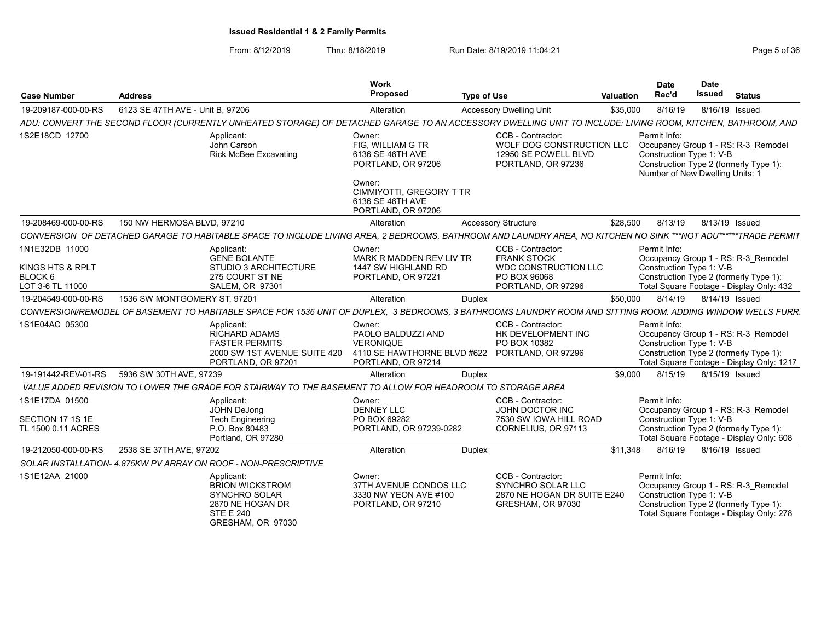| <b>Case Number</b>                              | <b>Address</b>                                                  |                                                                                                                    | <b>Work</b><br>Proposed                                                         | <b>Type of Use</b>                                                                                                                                              | <b>Valuation</b> | <b>Date</b><br>Rec'd                                                        | <b>Date</b><br><b>Issued</b> | <b>Status</b>                                                                                                              |
|-------------------------------------------------|-----------------------------------------------------------------|--------------------------------------------------------------------------------------------------------------------|---------------------------------------------------------------------------------|-----------------------------------------------------------------------------------------------------------------------------------------------------------------|------------------|-----------------------------------------------------------------------------|------------------------------|----------------------------------------------------------------------------------------------------------------------------|
| 19-209187-000-00-RS                             | 6123 SE 47TH AVE - Unit B, 97206                                |                                                                                                                    | Alteration                                                                      | <b>Accessory Dwelling Unit</b>                                                                                                                                  | \$35,000         | 8/16/19                                                                     | 8/16/19 Issued               |                                                                                                                            |
|                                                 |                                                                 |                                                                                                                    |                                                                                 | ADU: CONVERT THE SECOND FLOOR (CURRENTLY UNHEATED STORAGE) OF DETACHED GARAGE TO AN ACCESSORY DWELLING UNIT TO INCLUDE: LIVING ROOM, KITCHEN, BATHROOM, AND     |                  |                                                                             |                              |                                                                                                                            |
| 1S2E18CD 12700                                  |                                                                 | Applicant:<br>John Carson<br><b>Rick McBee Excavating</b>                                                          | Owner:<br>FIG, WILLIAM G TR<br>6136 SE 46TH AVE<br>PORTLAND, OR 97206<br>Owner: | CCB - Contractor:<br>WOLF DOG CONSTRUCTION LLC<br>12950 SE POWELL BLVD<br>PORTLAND, OR 97236                                                                    |                  | Permit Info:<br>Construction Type 1: V-B<br>Number of New Dwelling Units: 1 |                              | Occupancy Group 1 - RS: R-3 Remodel<br>Construction Type 2 (formerly Type 1):                                              |
|                                                 |                                                                 |                                                                                                                    | CIMMIYOTTI, GREGORY T TR<br>6136 SE 46TH AVE<br>PORTLAND, OR 97206              |                                                                                                                                                                 |                  |                                                                             |                              |                                                                                                                            |
| 19-208469-000-00-RS                             | 150 NW HERMOSA BLVD, 97210                                      |                                                                                                                    | Alteration                                                                      | <b>Accessory Structure</b>                                                                                                                                      | \$28,500         | 8/13/19                                                                     | 8/13/19 Issued               |                                                                                                                            |
|                                                 |                                                                 |                                                                                                                    |                                                                                 | CONVERSION OF DETACHED GARAGE TO HABITABLE SPACE TO INCLUDE LIVING AREA, 2 BEDROOMS, BATHROOM AND LAUNDRY AREA, NO KITCHEN NO SINK ***NOT ADU******TRADE PERMIT |                  |                                                                             |                              |                                                                                                                            |
| 1N1E32DB 11000                                  |                                                                 | Applicant:<br><b>GENE BOLANTE</b>                                                                                  | Owner:<br>MARK R MADDEN REV LIV TR                                              | CCB - Contractor:<br><b>FRANK STOCK</b>                                                                                                                         |                  | Permit Info:                                                                |                              | Occupancy Group 1 - RS: R-3 Remodel                                                                                        |
| KINGS HTS & RPLT<br>BLOCK 6<br>LOT 3-6 TL 11000 |                                                                 | STUDIO 3 ARCHITECTURE<br>275 COURT ST NE<br><b>SALEM, OR 97301</b>                                                 | 1447 SW HIGHLAND RD<br>PORTLAND, OR 97221                                       | <b>WDC CONSTRUCTION LLC</b><br>PO BOX 96068<br>PORTLAND, OR 97296                                                                                               |                  | Construction Type 1: V-B                                                    |                              | Construction Type 2 (formerly Type 1):<br>Total Square Footage - Display Only: 432                                         |
| 19-204549-000-00-RS                             | 1536 SW MONTGOMERY ST, 97201                                    |                                                                                                                    | Alteration                                                                      | Duplex                                                                                                                                                          | \$50,000         | 8/14/19                                                                     | 8/14/19 Issued               |                                                                                                                            |
|                                                 |                                                                 |                                                                                                                    |                                                                                 | CONVERSION/REMODEL OF BASEMENT TO HABITABLE SPACE FOR 1536 UNIT OF DUPLEX, 3 BEDROOMS, 3 BATHROOMS LAUNDRY ROOM AND SITTING ROOM. ADDING WINDOW WELLS FURRI     |                  |                                                                             |                              |                                                                                                                            |
| 1S1E04AC 05300                                  |                                                                 | Applicant:<br><b>RICHARD ADAMS</b><br><b>FASTER PERMITS</b><br>2000 SW 1ST AVENUE SUITE 420<br>PORTLAND, OR 97201  | Owner:<br>PAOLO BALDUZZI AND<br><b>VERONIQUE</b><br>PORTLAND, OR 97214          | CCB - Contractor:<br>HK DEVELOPMENT INC<br>PO BOX 10382<br>4110 SE HAWTHORNE BLVD #622 PORTLAND, OR 97296                                                       |                  | Permit Info:<br>Construction Type 1: V-B                                    |                              | Occupancy Group 1 - RS: R-3 Remodel<br>Construction Type 2 (formerly Type 1):<br>Total Square Footage - Display Only: 1217 |
| 19-191442-REV-01-RS                             | 5936 SW 30TH AVE, 97239                                         |                                                                                                                    | Alteration                                                                      | Duplex                                                                                                                                                          | \$9,000          | 8/15/19                                                                     | 8/15/19 Issued               |                                                                                                                            |
|                                                 |                                                                 | VALUE ADDED REVISION TO LOWER THE GRADE FOR STAIRWAY TO THE BASEMENT TO ALLOW FOR HEADROOM TO STORAGE AREA         |                                                                                 |                                                                                                                                                                 |                  |                                                                             |                              |                                                                                                                            |
| 1S1E17DA 01500                                  |                                                                 | Applicant:<br><b>JOHN DeJong</b>                                                                                   | Owner:<br><b>DENNEY LLC</b>                                                     | CCB - Contractor:<br>JOHN DOCTOR INC                                                                                                                            |                  | Permit Info:                                                                |                              | Occupancy Group 1 - RS: R-3 Remodel                                                                                        |
| SECTION 17 1S 1E<br>TL 1500 0.11 ACRES          |                                                                 | <b>Tech Engineering</b><br>P.O. Box 80483<br>Portland, OR 97280                                                    | PO BOX 69282<br>PORTLAND, OR 97239-0282                                         | 7530 SW IOWA HILL ROAD<br>CORNELIUS, OR 97113                                                                                                                   |                  | Construction Type 1: V-B                                                    |                              | Construction Type 2 (formerly Type 1):<br>Total Square Footage - Display Only: 608                                         |
| 19-212050-000-00-RS                             | 2538 SE 37TH AVE, 97202                                         |                                                                                                                    | Alteration                                                                      | <b>Duplex</b>                                                                                                                                                   | \$11.348         | 8/16/19                                                                     | 8/16/19 Issued               |                                                                                                                            |
|                                                 | SOLAR INSTALLATION- 4.875KW PV ARRAY ON ROOF - NON-PRESCRIPTIVE |                                                                                                                    |                                                                                 |                                                                                                                                                                 |                  |                                                                             |                              |                                                                                                                            |
| 1S1E12AA 21000                                  |                                                                 | Applicant:<br><b>BRION WICKSTROM</b><br>SYNCHRO SOLAR<br>2870 NE HOGAN DR<br><b>STE E 240</b><br>GRESHAM, OR 97030 | Owner:<br>37TH AVENUE CONDOS LLC<br>3330 NW YEON AVE #100<br>PORTLAND, OR 97210 | CCB - Contractor:<br>SYNCHRO SOLAR LLC<br>2870 NE HOGAN DR SUITE E240<br>GRESHAM, OR 97030                                                                      |                  | Permit Info:<br>Construction Type 1: V-B                                    |                              | Occupancy Group 1 - RS: R-3 Remodel<br>Construction Type 2 (formerly Type 1):<br>Total Square Footage - Display Only: 278  |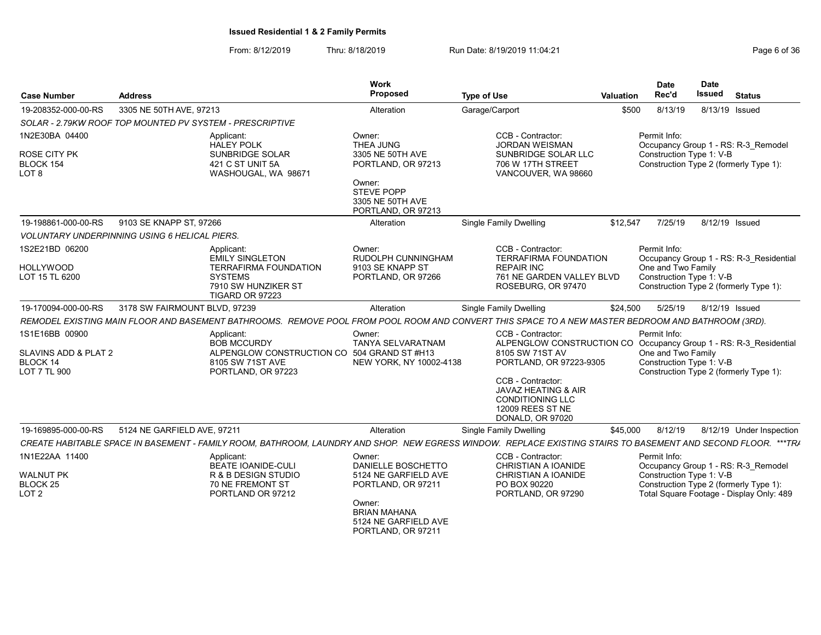| <b>Case Number</b>                                        | <b>Address</b>                |                                                                                                                                                               | <b>Work</b><br>Proposed                                                     | <b>Type of Use</b>                                                                                                                   | <b>Valuation</b> | <b>Date</b><br>Rec'd                                           | <b>Date</b><br><b>Issued</b> | <b>Status</b>                                                                      |
|-----------------------------------------------------------|-------------------------------|---------------------------------------------------------------------------------------------------------------------------------------------------------------|-----------------------------------------------------------------------------|--------------------------------------------------------------------------------------------------------------------------------------|------------------|----------------------------------------------------------------|------------------------------|------------------------------------------------------------------------------------|
| 19-208352-000-00-RS                                       | 3305 NE 50TH AVE, 97213       |                                                                                                                                                               | Alteration                                                                  | Garage/Carport                                                                                                                       | \$500            | 8/13/19                                                        | 8/13/19 Issued               |                                                                                    |
| SOLAR - 2.79KW ROOF TOP MOUNTED PV SYSTEM - PRESCRIPTIVE  |                               |                                                                                                                                                               |                                                                             |                                                                                                                                      |                  |                                                                |                              |                                                                                    |
| 1N2E30BA 04400                                            |                               | Applicant:<br><b>HALEY POLK</b>                                                                                                                               | Owner:<br><b>THEA JUNG</b>                                                  | CCB - Contractor:<br><b>JORDAN WEISMAN</b>                                                                                           |                  | Permit Info:                                                   |                              | Occupancy Group 1 - RS: R-3 Remodel                                                |
| ROSE CITY PK<br>BLOCK 154<br>LOT <sub>8</sub>             |                               | SUNBRIDGE SOLAR<br>421 C ST UNIT 5A<br>WASHOUGAL, WA 98671                                                                                                    | 3305 NE 50TH AVE<br>PORTLAND, OR 97213                                      | SUNBRIDGE SOLAR LLC<br>706 W 17TH STREET<br>VANCOUVER, WA 98660                                                                      |                  | Construction Type 1: V-B                                       |                              | Construction Type 2 (formerly Type 1):                                             |
|                                                           |                               |                                                                                                                                                               | Owner:<br><b>STEVE POPP</b><br>3305 NE 50TH AVE<br>PORTLAND, OR 97213       |                                                                                                                                      |                  |                                                                |                              |                                                                                    |
| 19-198861-000-00-RS                                       | 9103 SE KNAPP ST, 97266       |                                                                                                                                                               | Alteration                                                                  | <b>Single Family Dwelling</b>                                                                                                        | \$12,547         | 7/25/19                                                        | 8/12/19 Issued               |                                                                                    |
| <b>VOLUNTARY UNDERPINNING USING 6 HELICAL PIERS.</b>      |                               |                                                                                                                                                               |                                                                             |                                                                                                                                      |                  |                                                                |                              |                                                                                    |
| 1S2E21BD 06200                                            |                               | Applicant:<br><b>EMILY SINGLETON</b>                                                                                                                          | Owner:<br>RUDOLPH CUNNINGHAM                                                | CCB - Contractor:<br><b>TERRAFIRMA FOUNDATION</b>                                                                                    |                  | Permit Info:                                                   |                              | Occupancy Group 1 - RS: R-3_Residential                                            |
| <b>HOLLYWOOD</b><br>LOT 15 TL 6200                        |                               | <b>TERRAFIRMA FOUNDATION</b><br><b>SYSTEMS</b><br>7910 SW HUNZIKER ST<br>TIGARD OR 97223                                                                      | 9103 SE KNAPP ST<br>PORTLAND, OR 97266                                      | <b>REPAIR INC</b><br>761 NE GARDEN VALLEY BLVD<br>ROSEBURG, OR 97470                                                                 |                  | One and Two Family<br>Construction Type 1: V-B                 |                              | Construction Type 2 (formerly Type 1):                                             |
| 19-170094-000-00-RS                                       | 3178 SW FAIRMOUNT BLVD, 97239 |                                                                                                                                                               | Alteration                                                                  | Single Family Dwelling                                                                                                               | \$24,500         | 5/25/19                                                        | 8/12/19 Issued               |                                                                                    |
|                                                           |                               | REMODEL EXISTING MAIN FLOOR AND BASEMENT BATHROOMS. REMOVE POOL FROM POOL ROOM AND CONVERT THIS SPACE TO A NEW MASTER BEDROOM AND BATHROOM (3RD).             |                                                                             |                                                                                                                                      |                  |                                                                |                              |                                                                                    |
| 1S1E16BB 00900<br>SLAVINS ADD & PLAT 2<br><b>BLOCK 14</b> |                               | Applicant:<br><b>BOB MCCURDY</b><br>ALPENGLOW CONSTRUCTION CO 504 GRAND ST #H13<br>8105 SW 71ST AVE                                                           | Owner:<br><b>TANYA SELVARATNAM</b><br>NEW YORK, NY 10002-4138               | CCB - Contractor:<br>ALPENGLOW CONSTRUCTION CO Occupancy Group 1 - RS: R-3 Residential<br>8105 SW 71ST AV<br>PORTLAND, OR 97223-9305 |                  | Permit Info:<br>One and Two Family<br>Construction Type 1: V-B |                              |                                                                                    |
| LOT 7 TL 900                                              |                               | PORTLAND, OR 97223                                                                                                                                            |                                                                             | CCB - Contractor:<br>JAVAZ HEATING & AIR<br><b>CONDITIONING LLC</b><br>12009 REES ST NE<br>DONALD, OR 97020                          |                  |                                                                |                              | Construction Type 2 (formerly Type 1):                                             |
| 19-169895-000-00-RS                                       | 5124 NE GARFIELD AVE, 97211   |                                                                                                                                                               | Alteration                                                                  | <b>Single Family Dwelling</b>                                                                                                        | \$45,000         | 8/12/19                                                        |                              | 8/12/19 Under Inspection                                                           |
|                                                           |                               | CREATE HABITABLE SPACE IN BASEMENT - FAMILY ROOM, BATHROOM, LAUNDRY AND SHOP. NEW EGRESS WINDOW. REPLACE EXISTING STAIRS TO BASEMENT AND SECOND FLOOR. ***TRA |                                                                             |                                                                                                                                      |                  |                                                                |                              |                                                                                    |
| 1N1E22AA 11400                                            |                               | Applicant:<br><b>BEATE IOANIDE-CULI</b>                                                                                                                       | Owner:<br>DANIELLE BOSCHETTO                                                | CCB - Contractor:<br>CHRISTIAN A IOANIDE                                                                                             |                  | Permit Info:                                                   |                              | Occupancy Group 1 - RS: R-3 Remodel                                                |
| <b>WALNUT PK</b><br>BLOCK 25<br>LOT <sub>2</sub>          |                               | R & B DESIGN STUDIO<br>70 NE FREMONT ST<br>PORTLAND OR 97212                                                                                                  | 5124 NE GARFIELD AVE<br>PORTLAND, OR 97211                                  | CHRISTIAN A IOANIDE<br>PO BOX 90220<br>PORTLAND, OR 97290                                                                            |                  | Construction Type 1: V-B                                       |                              | Construction Type 2 (formerly Type 1):<br>Total Square Footage - Display Only: 489 |
|                                                           |                               |                                                                                                                                                               | Owner:<br><b>BRIAN MAHANA</b><br>5124 NE GARFIELD AVE<br>PORTLAND, OR 97211 |                                                                                                                                      |                  |                                                                |                              |                                                                                    |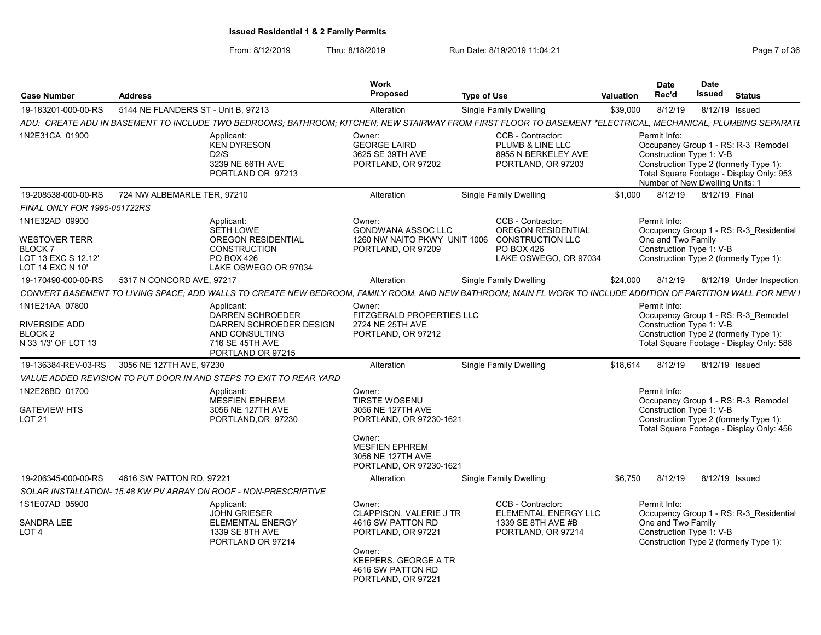| <b>Case Number</b>                                                                                 | <b>Address</b>                      |                                                                                                                                                                | <b>Work</b><br>Proposed                                                                                                                                           | <b>Type of Use</b> |                                                                                                                  | Valuation | <b>Date</b><br>Rec'd                                                        | <b>Date</b><br><b>Issued</b> | <b>Status</b>                                                                                                             |
|----------------------------------------------------------------------------------------------------|-------------------------------------|----------------------------------------------------------------------------------------------------------------------------------------------------------------|-------------------------------------------------------------------------------------------------------------------------------------------------------------------|--------------------|------------------------------------------------------------------------------------------------------------------|-----------|-----------------------------------------------------------------------------|------------------------------|---------------------------------------------------------------------------------------------------------------------------|
| 19-183201-000-00-RS                                                                                | 5144 NE FLANDERS ST - Unit B, 97213 |                                                                                                                                                                | Alteration                                                                                                                                                        |                    | <b>Single Family Dwelling</b>                                                                                    | \$39,000  | 8/12/19                                                                     |                              | 8/12/19 Issued                                                                                                            |
|                                                                                                    |                                     | ADU: CREATE ADU IN BASEMENT TO INCLUDE TWO BEDROOMS; BATHROOM; KITCHEN; NEW STAIRWAY FROM FIRST FLOOR TO BASEMENT *ELECTRICAL, MECHANICAL, PLUMBING SEPARATE   |                                                                                                                                                                   |                    |                                                                                                                  |           |                                                                             |                              |                                                                                                                           |
| 1N2E31CA 01900                                                                                     |                                     | Applicant:<br><b>KEN DYRESON</b><br>D2/S<br>3239 NE 66TH AVE<br>PORTLAND OR 97213                                                                              | Owner:<br><b>GEORGE LAIRD</b><br>3625 SE 39TH AVE<br>PORTLAND, OR 97202                                                                                           |                    | CCB - Contractor:<br>PLUMB & LINE LLC<br>8955 N BERKELEY AVE<br>PORTLAND, OR 97203                               |           | Permit Info:<br>Construction Type 1: V-B<br>Number of New Dwelling Units: 1 |                              | Occupancy Group 1 - RS: R-3 Remodel<br>Construction Type 2 (formerly Type 1):<br>Total Square Footage - Display Only: 953 |
| 19-208538-000-00-RS                                                                                | 724 NW ALBEMARLE TER, 97210         |                                                                                                                                                                | Alteration                                                                                                                                                        |                    | <b>Single Family Dwelling</b>                                                                                    | \$1.000   | 8/12/19                                                                     | 8/12/19 Final                |                                                                                                                           |
| <b>FINAL ONLY FOR 1995-051722RS</b>                                                                |                                     |                                                                                                                                                                |                                                                                                                                                                   |                    |                                                                                                                  |           |                                                                             |                              |                                                                                                                           |
| 1N1E32AD 09900<br><b>WESTOVER TERR</b><br><b>BLOCK7</b><br>LOT 13 EXC S 12.12'<br>LOT 14 EXC N 10' |                                     | Applicant:<br><b>SETH LOWE</b><br><b>OREGON RESIDENTIAL</b><br><b>CONSTRUCTION</b><br><b>PO BOX 426</b><br>LAKE OSWEGO OR 97034                                | Owner:<br><b>GONDWANA ASSOC LLC</b><br>1260 NW NAITO PKWY UNIT 1006<br>PORTLAND, OR 97209                                                                         |                    | CCB - Contractor:<br><b>OREGON RESIDENTIAL</b><br><b>CONSTRUCTION LLC</b><br>PO BOX 426<br>LAKE OSWEGO, OR 97034 |           | Permit Info:<br>One and Two Family<br>Construction Type 1: V-B              |                              | Occupancy Group 1 - RS: R-3 Residential<br>Construction Type 2 (formerly Type 1):                                         |
| 19-170490-000-00-RS                                                                                | 5317 N CONCORD AVE, 97217           |                                                                                                                                                                | Alteration                                                                                                                                                        |                    | <b>Single Family Dwelling</b>                                                                                    | \$24,000  | 8/12/19                                                                     |                              | 8/12/19 Under Inspection                                                                                                  |
|                                                                                                    |                                     | CONVERT BASEMENT TO LIVING SPACE; ADD WALLS TO CREATE NEW BEDROOM, FAMILY ROOM, AND NEW BATHROOM; MAIN FL WORK TO INCLUDE ADDITION OF PARTITION WALL FOR NEW I |                                                                                                                                                                   |                    |                                                                                                                  |           |                                                                             |                              |                                                                                                                           |
| 1N1E21AA 07800<br><b>RIVERSIDE ADD</b><br>BLOCK <sub>2</sub><br>N 33 1/3' OF LOT 13                |                                     | Applicant:<br><b>DARREN SCHROEDER</b><br>DARREN SCHROEDER DESIGN<br>AND CONSULTING<br>716 SE 45TH AVE<br>PORTLAND OR 97215                                     | Owner:<br>FITZGERALD PROPERTIES LLC<br>2724 NE 25TH AVE<br>PORTLAND, OR 97212                                                                                     |                    |                                                                                                                  |           | Permit Info:<br>Construction Type 1: V-B                                    |                              | Occupancy Group 1 - RS: R-3 Remodel<br>Construction Type 2 (formerly Type 1):<br>Total Square Footage - Display Only: 588 |
| 19-136384-REV-03-RS                                                                                | 3056 NE 127TH AVE, 97230            |                                                                                                                                                                | Alteration                                                                                                                                                        |                    | <b>Single Family Dwelling</b>                                                                                    | \$18,614  | 8/12/19                                                                     |                              | 8/12/19 Issued                                                                                                            |
|                                                                                                    |                                     | VALUE ADDED REVISION TO PUT DOOR IN AND STEPS TO EXIT TO REAR YARD                                                                                             |                                                                                                                                                                   |                    |                                                                                                                  |           |                                                                             |                              |                                                                                                                           |
| 1N2E26BD 01700<br><b>GATEVIEW HTS</b><br><b>LOT 21</b>                                             |                                     | Applicant:<br><b>MESFIEN EPHREM</b><br>3056 NE 127TH AVE<br>PORTLAND, OR 97230                                                                                 | Owner:<br><b>TIRSTE WOSENU</b><br>3056 NE 127TH AVE<br>PORTLAND, OR 97230-1621<br>Owner:<br><b>MESFIEN EPHREM</b><br>3056 NE 127TH AVE<br>PORTLAND, OR 97230-1621 |                    |                                                                                                                  |           | Permit Info:<br>Construction Type 1: V-B                                    |                              | Occupancy Group 1 - RS: R-3 Remodel<br>Construction Type 2 (formerly Type 1):<br>Total Square Footage - Display Only: 456 |
| 19-206345-000-00-RS                                                                                | 4616 SW PATTON RD, 97221            |                                                                                                                                                                | Alteration                                                                                                                                                        |                    | <b>Single Family Dwelling</b>                                                                                    | \$6,750   | 8/12/19                                                                     |                              | 8/12/19 Issued                                                                                                            |
|                                                                                                    |                                     | SOLAR INSTALLATION- 15.48 KW PV ARRAY ON ROOF - NON-PRESCRIPTIVE                                                                                               |                                                                                                                                                                   |                    |                                                                                                                  |           |                                                                             |                              |                                                                                                                           |
| 1S1E07AD 05900<br><b>SANDRA LEE</b><br>LOT <sub>4</sub>                                            |                                     | Applicant:<br><b>JOHN GRIESER</b><br><b>ELEMENTAL ENERGY</b><br>1339 SE 8TH AVE<br>PORTLAND OR 97214                                                           | Owner:<br>CLAPPISON, VALERIE J TR<br>4616 SW PATTON RD<br>PORTLAND, OR 97221<br>Owner:                                                                            |                    | CCB - Contractor:<br>ELEMENTAL ENERGY LLC<br>1339 SE 8TH AVE #B<br>PORTLAND, OR 97214                            |           | Permit Info:<br>One and Two Family<br>Construction Type 1: V-B              |                              | Occupancy Group 1 - RS: R-3_Residential<br>Construction Type 2 (formerly Type 1):                                         |
|                                                                                                    |                                     |                                                                                                                                                                | KEEPERS, GEORGE A TR<br>4616 SW PATTON RD<br>PORTLAND, OR 97221                                                                                                   |                    |                                                                                                                  |           |                                                                             |                              |                                                                                                                           |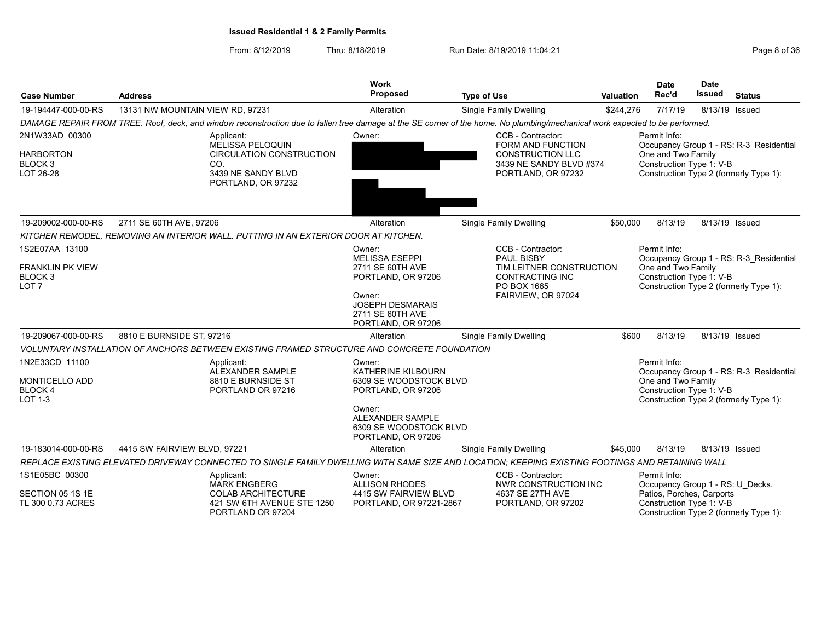| <b>Case Number</b>                                            | <b>Address</b>                                                                                                                                                               | <b>Work</b><br>Proposed                                                             | <b>Type of Use</b>                                                                                                        | <b>Valuation</b> | <b>Date</b><br>Rec'd                                                                                     | <b>Date</b><br>Issued | <b>Status</b>                           |
|---------------------------------------------------------------|------------------------------------------------------------------------------------------------------------------------------------------------------------------------------|-------------------------------------------------------------------------------------|---------------------------------------------------------------------------------------------------------------------------|------------------|----------------------------------------------------------------------------------------------------------|-----------------------|-----------------------------------------|
| 19-194447-000-00-RS                                           | 13131 NW MOUNTAIN VIEW RD, 97231                                                                                                                                             | Alteration                                                                          | <b>Single Family Dwelling</b>                                                                                             | \$244,276        | 7/17/19                                                                                                  | 8/13/19 Issued        |                                         |
|                                                               | DAMAGE REPAIR FROM TREE. Roof, deck, and window reconstruction due to fallen tree damage at the SE corner of the home. No plumbing/mechanical work expected to be performed. |                                                                                     |                                                                                                                           |                  |                                                                                                          |                       |                                         |
| 2N1W33AD 00300<br><b>HARBORTON</b><br>BLOCK 3<br>LOT 26-28    | Applicant:<br><b>MELISSA PELOQUIN</b><br>CIRCULATION CONSTRUCTION<br>CO.<br>3439 NE SANDY BLVD<br>PORTLAND, OR 97232                                                         | Owner:                                                                              | CCB - Contractor:<br><b>FORM AND FUNCTION</b><br><b>CONSTRUCTION LLC</b><br>3439 NE SANDY BLVD #374<br>PORTLAND, OR 97232 |                  | Permit Info:<br>One and Two Family<br>Construction Type 1: V-B<br>Construction Type 2 (formerly Type 1): |                       | Occupancy Group 1 - RS: R-3 Residential |
| 19-209002-000-00-RS                                           | 2711 SE 60TH AVE, 97206                                                                                                                                                      | Alteration                                                                          | Single Family Dwelling                                                                                                    | \$50,000         | 8/13/19                                                                                                  | 8/13/19 Issued        |                                         |
|                                                               | KITCHEN REMODEL, REMOVING AN INTERIOR WALL. PUTTING IN AN EXTERIOR DOOR AT KITCHEN.                                                                                          |                                                                                     |                                                                                                                           |                  |                                                                                                          |                       |                                         |
| 1S2E07AA 13100                                                |                                                                                                                                                                              | Owner:<br><b>MELISSA ESEPPI</b>                                                     | CCB - Contractor:<br><b>PAUL BISBY</b>                                                                                    |                  | Permit Info:                                                                                             |                       | Occupancy Group 1 - RS: R-3 Residential |
| FRANKLIN PK VIEW<br>BLOCK 3<br>LOT <sub>7</sub>               |                                                                                                                                                                              | 2711 SE 60TH AVE<br>PORTLAND, OR 97206                                              | TIM LEITNER CONSTRUCTION<br><b>CONTRACTING INC</b><br>PO BOX 1665                                                         |                  | One and Two Family<br>Construction Type 1: V-B<br>Construction Type 2 (formerly Type 1):                 |                       |                                         |
|                                                               |                                                                                                                                                                              | Owner:<br><b>JOSEPH DESMARAIS</b><br>2711 SE 60TH AVE<br>PORTLAND, OR 97206         | FAIRVIEW, OR 97024                                                                                                        |                  |                                                                                                          |                       |                                         |
| 19-209067-000-00-RS                                           | 8810 E BURNSIDE ST, 97216                                                                                                                                                    | Alteration                                                                          | Single Family Dwelling                                                                                                    | \$600            | 8/13/19                                                                                                  | 8/13/19 Issued        |                                         |
|                                                               | VOLUNTARY INSTALLATION OF ANCHORS BETWEEN EXISTING FRAMED STRUCTURE AND CONCRETE FOUNDATION                                                                                  |                                                                                     |                                                                                                                           |                  |                                                                                                          |                       |                                         |
| 1N2E33CD 11100<br>MONTICELLO ADD<br><b>BLOCK 4</b><br>LOT 1-3 | Applicant:<br><b>ALEXANDER SAMPLE</b><br>8810 E BURNSIDE ST<br>PORTLAND OR 97216                                                                                             | Owner:<br><b>KATHERINE KILBOURN</b><br>6309 SE WOODSTOCK BLVD<br>PORTLAND, OR 97206 |                                                                                                                           |                  | Permit Info:<br>One and Two Family<br>Construction Type 1: V-B<br>Construction Type 2 (formerly Type 1): |                       | Occupancy Group 1 - RS: R-3 Residential |
|                                                               |                                                                                                                                                                              | Owner:<br>ALEXANDER SAMPLE<br>6309 SE WOODSTOCK BLVD<br>PORTLAND, OR 97206          |                                                                                                                           |                  |                                                                                                          |                       |                                         |
| 19-183014-000-00-RS                                           | 4415 SW FAIRVIEW BLVD, 97221                                                                                                                                                 | Alteration                                                                          | <b>Single Family Dwelling</b>                                                                                             | \$45,000         | 8/13/19                                                                                                  | 8/13/19 Issued        |                                         |
|                                                               | REPLACE EXISTING ELEVATED DRIVEWAY CONNECTED TO SINGLE FAMILY DWELLING WITH SAME SIZE AND LOCATION; KEEPING EXISTING FOOTINGS AND RETAINING WALL                             |                                                                                     |                                                                                                                           |                  |                                                                                                          |                       |                                         |
| 1S1E05BC 00300                                                | Applicant:<br><b>MARK ENGBERG</b>                                                                                                                                            | Owner:<br><b>ALLISON RHODES</b>                                                     | CCB - Contractor:<br>NWR CONSTRUCTION INC                                                                                 |                  | Permit Info:<br>Occupancy Group 1 - RS: U_Decks,                                                         |                       |                                         |
| SECTION 05 1S 1E<br>TL 300 0.73 ACRES                         | <b>COLAB ARCHITECTURE</b><br>421 SW 6TH AVENUE STE 1250<br>PORTLAND OR 97204                                                                                                 | 4415 SW FAIRVIEW BLVD<br>PORTLAND, OR 97221-2867                                    | 4637 SE 27TH AVE<br>PORTLAND, OR 97202                                                                                    |                  | Patios, Porches, Carports<br>Construction Type 1: V-B<br>Construction Type 2 (formerly Type 1):          |                       |                                         |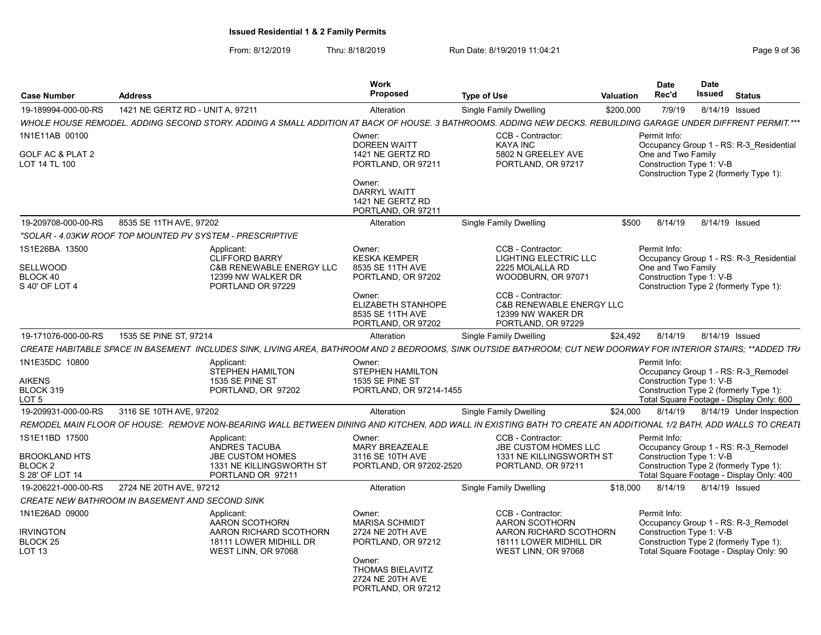| <b>Case Number</b>                                                              | <b>Address</b>                                         |                                                                                                                                                                  | Work<br><b>Proposed</b>                                                                                                                           | <b>Type of Use</b>                                                                                                                                                                         | <b>Valuation</b> | Date<br>Rec'd                                                  | <b>Date</b><br><b>Issued</b> | <b>Status</b>                                                                                                             |
|---------------------------------------------------------------------------------|--------------------------------------------------------|------------------------------------------------------------------------------------------------------------------------------------------------------------------|---------------------------------------------------------------------------------------------------------------------------------------------------|--------------------------------------------------------------------------------------------------------------------------------------------------------------------------------------------|------------------|----------------------------------------------------------------|------------------------------|---------------------------------------------------------------------------------------------------------------------------|
| 19-189994-000-00-RS                                                             | 1421 NE GERTZ RD - UNIT A, 97211                       |                                                                                                                                                                  | Alteration                                                                                                                                        | <b>Single Family Dwelling</b>                                                                                                                                                              | \$200,000        | 7/9/19                                                         |                              | 8/14/19 Issued                                                                                                            |
|                                                                                 |                                                        | WHOLE HOUSE REMODEL. ADDING SECOND STORY. ADDING A SMALL ADDITION AT BACK OF HOUSE. 3 BATHROOMS. ADDING NEW DECKS. REBUILDING GARAGE UNDER DIFFRENT PERMIT.***   |                                                                                                                                                   |                                                                                                                                                                                            |                  |                                                                |                              |                                                                                                                           |
| 1N1E11AB 00100<br>GOLF AC & PLAT 2<br>LOT 14 TL 100                             |                                                        |                                                                                                                                                                  | Owner:<br><b>DOREEN WAITT</b><br>1421 NE GERTZ RD<br>PORTLAND, OR 97211<br>Owner:<br><b>DARRYL WAITT</b>                                          | CCB - Contractor:<br><b>KAYA INC</b><br>5802 N GREELEY AVE<br>PORTLAND, OR 97217                                                                                                           |                  | Permit Info:<br>One and Two Family<br>Construction Type 1: V-B |                              | Occupancy Group 1 - RS: R-3 Residential<br>Construction Type 2 (formerly Type 1):                                         |
|                                                                                 |                                                        |                                                                                                                                                                  | 1421 NE GERTZ RD<br>PORTLAND, OR 97211                                                                                                            |                                                                                                                                                                                            |                  |                                                                |                              |                                                                                                                           |
| 19-209708-000-00-RS                                                             | 8535 SE 11TH AVE, 97202                                |                                                                                                                                                                  | Alteration                                                                                                                                        | <b>Single Family Dwelling</b>                                                                                                                                                              | \$500            | 8/14/19                                                        |                              | 8/14/19 Issued                                                                                                            |
|                                                                                 |                                                        | "SOLAR - 4.03KW ROOF TOP MOUNTED PV SYSTEM - PRESCRIPTIVE                                                                                                        |                                                                                                                                                   |                                                                                                                                                                                            |                  |                                                                |                              |                                                                                                                           |
| 1S1E26BA 13500<br><b>SELLWOOD</b><br>BLOCK 40<br>S 40' OF LOT 4                 |                                                        | Applicant:<br><b>CLIFFORD BARRY</b><br><b>C&amp;B RENEWABLE ENERGY LLC</b><br>12399 NW WALKER DR<br>PORTLAND OR 97229                                            | Owner:<br><b>KESKA KEMPER</b><br>8535 SE 11TH AVE<br>PORTLAND, OR 97202<br>Owner:<br>ELIZABETH STANHOPE<br>8535 SE 11TH AVE<br>PORTLAND, OR 97202 | CCB - Contractor:<br>LIGHTING ELECTRIC LLC<br>2225 MOLALLA RD<br>WOODBURN, OR 97071<br>CCB - Contractor:<br><b>C&amp;B RENEWABLE ENERGY LLC</b><br>12399 NW WAKER DR<br>PORTLAND, OR 97229 |                  | Permit Info:<br>One and Two Family<br>Construction Type 1: V-B |                              | Occupancy Group 1 - RS: R-3 Residential<br>Construction Type 2 (formerly Type 1):                                         |
| 19-171076-000-00-RS                                                             | 1535 SE PINE ST, 97214                                 |                                                                                                                                                                  | Alteration                                                                                                                                        | <b>Single Family Dwelling</b>                                                                                                                                                              | \$24,492         | 8/14/19                                                        |                              | 8/14/19 Issued                                                                                                            |
|                                                                                 |                                                        | CREATE HABITABLE SPACE IN BASEMENT INCLUDES SINK, LIVING AREA, BATHROOM AND 2 BEDROOMS, SINK OUTSIDE BATHROOM; CUT NEW DOORWAY FOR INTERIOR STAIRS; **ADDED TRA  |                                                                                                                                                   |                                                                                                                                                                                            |                  |                                                                |                              |                                                                                                                           |
| 1N1E35DC 10800<br><b>AIKENS</b><br>BLOCK 319<br>LOT 5                           |                                                        | Applicant:<br><b>STEPHEN HAMILTON</b><br>1535 SE PINE ST<br>PORTLAND, OR 97202                                                                                   | Owner:<br><b>STEPHEN HAMILTON</b><br>1535 SE PINE ST<br>PORTLAND, OR 97214-1455                                                                   |                                                                                                                                                                                            |                  | Permit Info:<br>Construction Type 1: V-B                       |                              | Occupancy Group 1 - RS: R-3 Remodel<br>Construction Type 2 (formerly Type 1):<br>Total Square Footage - Display Only: 600 |
| 19-209931-000-00-RS                                                             | 3116 SE 10TH AVE, 97202                                |                                                                                                                                                                  | Alteration                                                                                                                                        | <b>Single Family Dwelling</b>                                                                                                                                                              | \$24,000         | 8/14/19                                                        |                              | 8/14/19 Under Inspection                                                                                                  |
|                                                                                 |                                                        | REMODEL MAIN FLOOR OF HOUSE: REMOVE NON-BEARING WALL BETWEEN DINING AND KITCHEN. ADD WALL IN EXISTING BATH TO CREATE AN ADDITIONAL 1/2 BATH, ADD WALLS TO CREATI |                                                                                                                                                   |                                                                                                                                                                                            |                  |                                                                |                              |                                                                                                                           |
| 1S1E11BD 17500<br><b>BROOKLAND HTS</b><br>BLOCK <sub>2</sub><br>S 28' OF LOT 14 |                                                        | Applicant:<br>ANDRES TACUBA<br><b>JBE CUSTOM HOMES</b><br>1331 NE KILLINGSWORTH ST<br>PORTLAND OR 97211                                                          | Owner:<br><b>MARY BREAZEALE</b><br>3116 SE 10TH AVE<br>PORTLAND, OR 97202-2520                                                                    | CCB - Contractor:<br><b>JBE CUSTOM HOMES LLC</b><br>1331 NE KILLINGSWORTH ST<br>PORTLAND, OR 97211                                                                                         |                  | Permit Info:<br>Construction Type 1: V-B                       |                              | Occupancy Group 1 - RS: R-3 Remodel<br>Construction Type 2 (formerly Type 1):<br>Total Square Footage - Display Only: 400 |
| 19-206221-000-00-RS                                                             | 2724 NE 20TH AVE, 97212                                |                                                                                                                                                                  | Alteration                                                                                                                                        | Single Family Dwelling                                                                                                                                                                     | \$18,000         | 8/14/19                                                        |                              | 8/14/19 Issued                                                                                                            |
|                                                                                 | <i>CREATE NEW BATHROOM IN BASEMENT AND SECOND SINK</i> |                                                                                                                                                                  |                                                                                                                                                   |                                                                                                                                                                                            |                  |                                                                |                              |                                                                                                                           |
| 1N1E26AD 09000<br><b>IRVINGTON</b><br>BLOCK <sub>25</sub><br>LOT <sub>13</sub>  |                                                        | Applicant:<br>AARON SCOTHORN<br>AARON RICHARD SCOTHORN<br>18111 LOWER MIDHILL DR<br>WEST LINN, OR 97068                                                          | Owner:<br><b>MARISA SCHMIDT</b><br>2724 NE 20TH AVE<br>PORTLAND, OR 97212<br>Owner:<br>THOMAS BIELAVITZ<br>2724 NE 20TH AVE<br>PORTLAND, OR 97212 | CCB - Contractor:<br>AARON SCOTHORN<br>AARON RICHARD SCOTHORN<br>18111 LOWER MIDHILL DR<br>WEST LINN, OR 97068                                                                             |                  | Permit Info:<br>Construction Type 1: V-B                       |                              | Occupancy Group 1 - RS: R-3 Remodel<br>Construction Type 2 (formerly Type 1):<br>Total Square Footage - Display Only: 90  |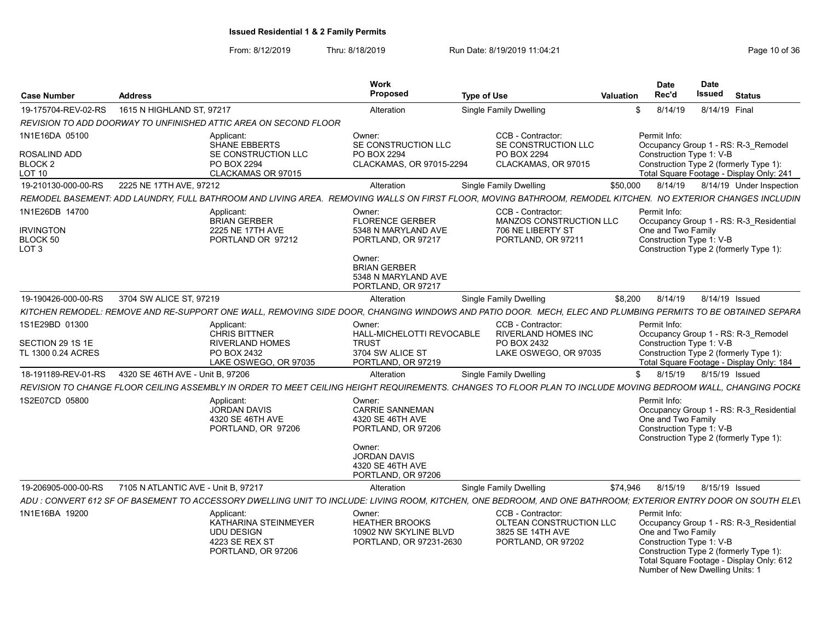| <b>Case Number</b>                                                 | <b>Address</b>                      |                                                                                                 | Work<br><b>Proposed</b>                                                                                                                                     | <b>Type of Use</b>                                                                                                                                             | <b>Valuation</b> | Date<br>Rec'd                                                                                     | <b>Date</b><br>Issued | <b>Status</b>                                                                                                                 |
|--------------------------------------------------------------------|-------------------------------------|-------------------------------------------------------------------------------------------------|-------------------------------------------------------------------------------------------------------------------------------------------------------------|----------------------------------------------------------------------------------------------------------------------------------------------------------------|------------------|---------------------------------------------------------------------------------------------------|-----------------------|-------------------------------------------------------------------------------------------------------------------------------|
| 19-175704-REV-02-RS                                                | 1615 N HIGHLAND ST, 97217           |                                                                                                 | Alteration                                                                                                                                                  | <b>Single Family Dwelling</b>                                                                                                                                  | \$               | 8/14/19                                                                                           | 8/14/19 Final         |                                                                                                                               |
|                                                                    |                                     | REVISION TO ADD DOORWAY TO UNFINISHED ATTIC AREA ON SECOND FLOOR                                |                                                                                                                                                             |                                                                                                                                                                |                  |                                                                                                   |                       |                                                                                                                               |
| 1N1E16DA 05100                                                     |                                     | Applicant:<br><b>SHANE EBBERTS</b>                                                              | Owner:<br>SE CONSTRUCTION LLC                                                                                                                               | CCB - Contractor:<br>SE CONSTRUCTION LLC                                                                                                                       |                  | Permit Info:                                                                                      |                       | Occupancy Group 1 - RS: R-3 Remodel                                                                                           |
| ROSALIND ADD<br>BLOCK <sub>2</sub><br>LOT 10                       |                                     | SE CONSTRUCTION LLC<br>PO BOX 2294<br>CLACKAMAS OR 97015                                        | PO BOX 2294<br>CLACKAMAS, OR 97015-2294                                                                                                                     | PO BOX 2294<br>CLACKAMAS, OR 97015                                                                                                                             |                  | Construction Type 1: V-B                                                                          |                       | Construction Type 2 (formerly Type 1):<br>Total Square Footage - Display Only: 241                                            |
| 19-210130-000-00-RS                                                | 2225 NE 17TH AVE, 97212             |                                                                                                 | Alteration                                                                                                                                                  | <b>Single Family Dwelling</b>                                                                                                                                  | \$50,000         | 8/14/19                                                                                           |                       | 8/14/19 Under Inspection                                                                                                      |
|                                                                    |                                     |                                                                                                 |                                                                                                                                                             | REMODEL BASEMENT: ADD LAUNDRY, FULL BATHROOM AND LIVING AREA. REMOVING WALLS ON FIRST FLOOR, MOVING BATHROOM, REMODEL KITCHEN. NO EXTERIOR CHANGES INCLUDIN    |                  |                                                                                                   |                       |                                                                                                                               |
| 1N1E26DB 14700<br><b>IRVINGTON</b><br>BLOCK 50<br>LOT <sub>3</sub> |                                     | Applicant:<br><b>BRIAN GERBER</b><br>2225 NE 17TH AVE<br>PORTLAND OR 97212                      | Owner:<br><b>FLORENCE GERBER</b><br>5348 N MARYLAND AVE<br>PORTLAND, OR 97217<br>Owner:<br><b>BRIAN GERBER</b><br>5348 N MARYLAND AVE<br>PORTLAND, OR 97217 | CCB - Contractor:<br>MANZOS CONSTRUCTION LLC<br>706 NE LIBERTY ST<br>PORTLAND, OR 97211                                                                        |                  | Permit Info:<br>One and Two Family<br>Construction Type 1: V-B                                    |                       | Occupancy Group 1 - RS: R-3 Residential<br>Construction Type 2 (formerly Type 1):                                             |
| 19-190426-000-00-RS                                                | 3704 SW ALICE ST, 97219             |                                                                                                 | Alteration                                                                                                                                                  | <b>Single Family Dwelling</b>                                                                                                                                  | \$8,200          | 8/14/19                                                                                           | 8/14/19 Issued        |                                                                                                                               |
|                                                                    |                                     |                                                                                                 |                                                                                                                                                             | KITCHEN REMODEL: REMOVE AND RE-SUPPORT ONE WALL, REMOVING SIDE DOOR, CHANGING WINDOWS AND PATIO DOOR. MECH, ELEC AND PLUMBING PERMITS TO BE OBTAINED SEPARA    |                  |                                                                                                   |                       |                                                                                                                               |
| 1S1E29BD 01300                                                     |                                     | Applicant:                                                                                      | Owner:                                                                                                                                                      | CCB - Contractor:                                                                                                                                              |                  | Permit Info:                                                                                      |                       |                                                                                                                               |
| SECTION 29 1S 1E<br>TL 1300 0.24 ACRES                             |                                     | <b>CHRIS BITTNER</b><br><b>RIVERLAND HOMES</b><br>PO BOX 2432<br>LAKE OSWEGO, OR 97035          | HALL-MICHELOTTI REVOCABLE<br><b>TRUST</b><br>3704 SW ALICE ST<br>PORTLAND, OR 97219                                                                         | <b>RIVERLAND HOMES INC</b><br>PO BOX 2432<br>LAKE OSWEGO, OR 97035                                                                                             |                  | Construction Type 1: V-B                                                                          |                       | Occupancy Group 1 - RS: R-3 Remodel<br>Construction Type 2 (formerly Type 1):<br>Total Square Footage - Display Only: 184     |
| 18-191189-REV-01-RS                                                | 4320 SE 46TH AVE - Unit B. 97206    |                                                                                                 | Alteration                                                                                                                                                  | <b>Single Family Dwelling</b>                                                                                                                                  | $\mathbb{S}$     | 8/15/19                                                                                           | 8/15/19 Issued        |                                                                                                                               |
|                                                                    |                                     |                                                                                                 |                                                                                                                                                             | REVISION TO CHANGE FLOOR CEILING ASSEMBLY IN ORDER TO MEET CEILING HEIGHT REQUIREMENTS. CHANGES TO FLOOR PLAN TO INCLUDE MOVING BEDROOM WALL, CHANGING POCKE   |                  |                                                                                                   |                       |                                                                                                                               |
| 1S2E07CD 05800                                                     |                                     | Applicant:<br><b>JORDAN DAVIS</b><br>4320 SE 46TH AVE<br>PORTLAND, OR 97206                     | Owner:<br><b>CARRIE SANNEMAN</b><br>4320 SE 46TH AVE<br>PORTLAND, OR 97206<br>Owner:<br><b>JORDAN DAVIS</b><br>4320 SE 46TH AVE<br>PORTLAND, OR 97206       |                                                                                                                                                                |                  | Permit Info:<br>One and Two Family<br>Construction Type 1: V-B                                    |                       | Occupancy Group 1 - RS: R-3 Residential<br>Construction Type 2 (formerly Type 1):                                             |
| 19-206905-000-00-RS                                                | 7105 N ATLANTIC AVE - Unit B, 97217 |                                                                                                 | Alteration                                                                                                                                                  | <b>Single Family Dwelling</b>                                                                                                                                  | \$74,946         | 8/15/19                                                                                           | 8/15/19 Issued        |                                                                                                                               |
|                                                                    |                                     |                                                                                                 |                                                                                                                                                             | ADU : CONVERT 612 SF OF BASEMENT TO ACCESSORY DWELLING UNIT TO INCLUDE: LIVING ROOM, KITCHEN, ONE BEDROOM, AND ONE BATHROOM; EXTERIOR ENTRY DOOR ON SOUTH ELEV |                  |                                                                                                   |                       |                                                                                                                               |
| 1N1E16BA 19200                                                     |                                     | Applicant:<br>KATHARINA STEINMEYER<br><b>UDU DESIGN</b><br>4223 SE REX ST<br>PORTLAND, OR 97206 | Owner:<br><b>HEATHER BROOKS</b><br>10902 NW SKYLINE BLVD<br>PORTLAND, OR 97231-2630                                                                         | CCB - Contractor:<br>OLTEAN CONSTRUCTION LLC<br>3825 SE 14TH AVE<br>PORTLAND, OR 97202                                                                         |                  | Permit Info:<br>One and Two Family<br>Construction Type 1: V-B<br>Number of New Dwelling Units: 1 |                       | Occupancy Group 1 - RS: R-3 Residential<br>Construction Type 2 (formerly Type 1):<br>Total Square Footage - Display Only: 612 |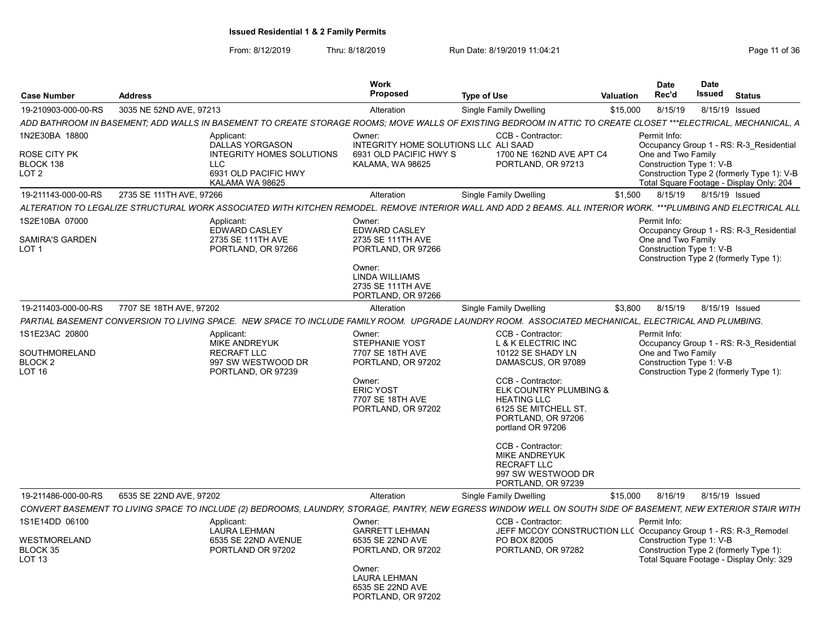| <b>Case Number</b>                                   | <b>Address</b>           |                                                                                                       | <b>Work</b><br><b>Proposed</b>                                                                                                                       | <b>Type of Use</b>                                                                                                                                                                                                                                                                                                                        | Valuation | <b>Date</b><br>Rec'd                                           | <b>Date</b><br><b>Issued</b> | <b>Status</b>                                                                                                                     |
|------------------------------------------------------|--------------------------|-------------------------------------------------------------------------------------------------------|------------------------------------------------------------------------------------------------------------------------------------------------------|-------------------------------------------------------------------------------------------------------------------------------------------------------------------------------------------------------------------------------------------------------------------------------------------------------------------------------------------|-----------|----------------------------------------------------------------|------------------------------|-----------------------------------------------------------------------------------------------------------------------------------|
| 19-210903-000-00-RS                                  | 3035 NE 52ND AVE, 97213  |                                                                                                       | Alteration                                                                                                                                           | <b>Single Family Dwelling</b>                                                                                                                                                                                                                                                                                                             | \$15,000  | 8/15/19                                                        |                              | 8/15/19 Issued                                                                                                                    |
|                                                      |                          |                                                                                                       |                                                                                                                                                      | ADD BATHROOM IN BASEMENT; ADD WALLS IN BASEMENT TO CREATE STORAGE ROOMS; MOVE WALLS OF EXISTING BEDROOM IN ATTIC TO CREATE CLOSET ***ELECTRICAL, MECHANICAL, A                                                                                                                                                                            |           |                                                                |                              |                                                                                                                                   |
| 1N2E30BA 18800<br>ROSE CITY PK<br>BLOCK 138<br>LOT 2 | Applicant:<br><b>LLC</b> | <b>DALLAS YORGASON</b><br><b>INTEGRITY HOMES SOLUTIONS</b><br>6931 OLD PACIFIC HWY<br>KALAMA WA 98625 | Owner:<br>INTEGRITY HOME SOLUTIONS LLC ALI SAAD<br>6931 OLD PACIFIC HWY S<br>KALAMA, WA 98625                                                        | CCB - Contractor:<br>1700 NE 162ND AVE APT C4<br>PORTLAND, OR 97213                                                                                                                                                                                                                                                                       |           | Permit Info:<br>One and Two Family<br>Construction Type 1: V-B |                              | Occupancy Group 1 - RS: R-3 Residential<br>Construction Type 2 (formerly Type 1): V-B<br>Total Square Footage - Display Only: 204 |
| 19-211143-000-00-RS                                  | 2735 SE 111TH AVE, 97266 |                                                                                                       | Alteration                                                                                                                                           | <b>Single Family Dwelling</b>                                                                                                                                                                                                                                                                                                             | \$1,500   | 8/15/19                                                        |                              | 8/15/19 Issued                                                                                                                    |
|                                                      |                          |                                                                                                       |                                                                                                                                                      | ALTERATION TO LEGALIZE STRUCTURAL WORK ASSOCIATED WITH KITCHEN REMODEL. REMOVE INTERIOR WALL AND ADD 2 BEAMS. ALL INTERIOR WORK. ***PLUMBING AND ELECTRICAL ALL                                                                                                                                                                           |           |                                                                |                              |                                                                                                                                   |
| 1S2E10BA 07000<br>SAMIRA'S GARDEN<br>LOT 1           | Applicant:               | <b>EDWARD CASLEY</b><br>2735 SE 111TH AVE<br>PORTLAND, OR 97266                                       | Owner:<br><b>EDWARD CASLEY</b><br>2735 SE 111TH AVE<br>PORTLAND, OR 97266<br>Owner:<br>LINDA WILLIAMS<br>2735 SE 111TH AVE<br>PORTLAND, OR 97266     |                                                                                                                                                                                                                                                                                                                                           |           | Permit Info:<br>One and Two Family<br>Construction Type 1: V-B |                              | Occupancy Group 1 - RS: R-3 Residential<br>Construction Type 2 (formerly Type 1):                                                 |
| 19-211403-000-00-RS                                  | 7707 SE 18TH AVE, 97202  |                                                                                                       | Alteration                                                                                                                                           | <b>Single Family Dwelling</b>                                                                                                                                                                                                                                                                                                             | \$3,800   | 8/15/19                                                        |                              | 8/15/19 Issued                                                                                                                    |
|                                                      |                          |                                                                                                       |                                                                                                                                                      | PARTIAL BASEMENT CONVERSION TO LIVING SPACE. NEW SPACE TO INCLUDE FAMILY ROOM. UPGRADE LAUNDRY ROOM. ASSOCIATED MECHANICAL, ELECTRICAL AND PLUMBING.                                                                                                                                                                                      |           |                                                                |                              |                                                                                                                                   |
| 1S1E23AC 20800<br>SOUTHMORELAND<br>BLOCK 2<br>LOT 16 | Applicant:               | <b>MIKE ANDREYUK</b><br><b>RECRAFT LLC</b><br>997 SW WESTWOOD DR<br>PORTLAND, OR 97239                | Owner:<br><b>STEPHANIE YOST</b><br>7707 SE 18TH AVE<br>PORTLAND, OR 97202<br>Owner:<br><b>ERIC YOST</b><br>7707 SE 18TH AVE<br>PORTLAND, OR 97202    | CCB - Contractor:<br>L & K ELECTRIC INC<br>10122 SE SHADY LN<br>DAMASCUS, OR 97089<br>CCB - Contractor:<br>ELK COUNTRY PLUMBING &<br><b>HEATING LLC</b><br>6125 SE MITCHELL ST.<br>PORTLAND, OR 97206<br>portland OR 97206<br>CCB - Contractor:<br><b>MIKE ANDREYUK</b><br><b>RECRAFT LLC</b><br>997 SW WESTWOOD DR<br>PORTLAND, OR 97239 |           | Permit Info:<br>One and Two Family<br>Construction Type 1: V-B |                              | Occupancy Group 1 - RS: R-3 Residential<br>Construction Type 2 (formerly Type 1):                                                 |
| 19-211486-000-00-RS                                  | 6535 SE 22ND AVE, 97202  |                                                                                                       | Alteration                                                                                                                                           | Single Family Dwelling                                                                                                                                                                                                                                                                                                                    | \$15,000  | 8/16/19                                                        |                              | 8/15/19 Issued                                                                                                                    |
|                                                      |                          |                                                                                                       |                                                                                                                                                      | CONVERT BASEMENT TO LIVING SPACE TO INCLUDE (2) BEDROOMS, LAUNDRY, STORAGE, PANTRY, NEW EGRESS WINDOW WELL ON SOUTH SIDE OF BASEMENT, NEW EXTERIOR STAIR WITH                                                                                                                                                                             |           |                                                                |                              |                                                                                                                                   |
| 1S1E14DD 06100<br>WESTMORELAND<br>BLOCK 35<br>LOT 13 | Applicant:               | <b>LAURA LEHMAN</b><br>6535 SE 22ND AVENUE<br>PORTLAND OR 97202                                       | Owner:<br><b>GARRETT LEHMAN</b><br>6535 SE 22ND AVE<br>PORTLAND, OR 97202<br>Owner:<br><b>LAURA LEHMAN</b><br>6535 SE 22ND AVE<br>PORTLAND, OR 97202 | CCB - Contractor:<br>JEFF MCCOY CONSTRUCTION LLC Occupancy Group 1 - RS: R-3 Remodel<br>PO BOX 82005<br>PORTLAND, OR 97282                                                                                                                                                                                                                |           | Permit Info:<br>Construction Type 1: V-B                       |                              | Construction Type 2 (formerly Type 1):<br>Total Square Footage - Display Only: 329                                                |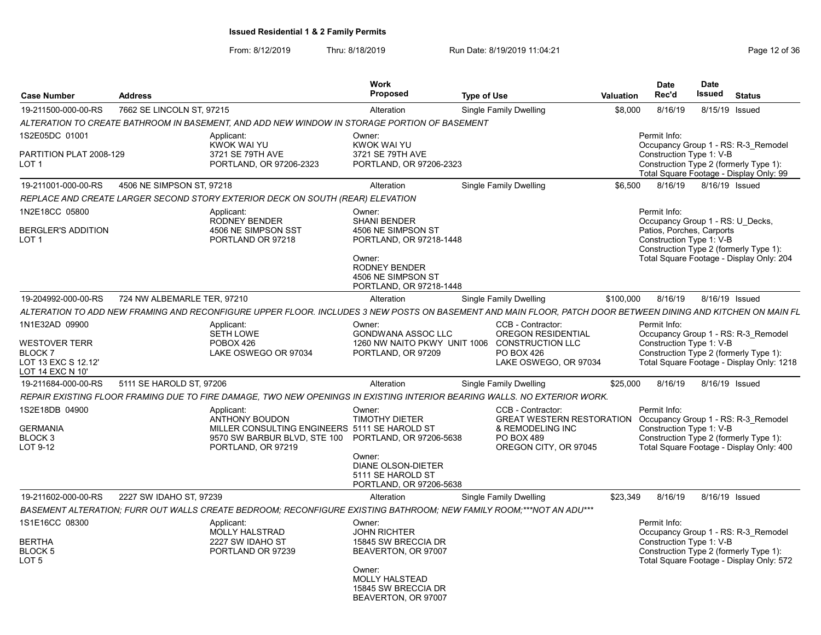| <b>Case Number</b>                                                                                  | <b>Address</b>              |                                                                                                                                                              | <b>Work</b><br><b>Proposed</b>                                                                                                                                    | <b>Type of Use</b> |                                                                                                                                               | <b>Valuation</b> | <b>Date</b><br>Rec'd                                                                                      | <b>Date</b><br>Issued | <b>Status</b>                                                                                                              |
|-----------------------------------------------------------------------------------------------------|-----------------------------|--------------------------------------------------------------------------------------------------------------------------------------------------------------|-------------------------------------------------------------------------------------------------------------------------------------------------------------------|--------------------|-----------------------------------------------------------------------------------------------------------------------------------------------|------------------|-----------------------------------------------------------------------------------------------------------|-----------------------|----------------------------------------------------------------------------------------------------------------------------|
| 19-211500-000-00-RS                                                                                 | 7662 SE LINCOLN ST. 97215   |                                                                                                                                                              | Alteration                                                                                                                                                        |                    | <b>Single Family Dwelling</b>                                                                                                                 | \$8.000          | 8/16/19                                                                                                   |                       | 8/15/19 Issued                                                                                                             |
|                                                                                                     |                             | ALTERATION TO CREATE BATHROOM IN BASEMENT, AND ADD NEW WINDOW IN STORAGE PORTION OF BASEMENT                                                                 |                                                                                                                                                                   |                    |                                                                                                                                               |                  |                                                                                                           |                       |                                                                                                                            |
| 1S2E05DC 01001<br>PARTITION PLAT 2008-129<br>LOT 1                                                  |                             | Applicant:<br><b>KWOK WAI YU</b><br>3721 SE 79TH AVE<br>PORTLAND, OR 97206-2323                                                                              | Owner:<br><b>KWOK WAI YU</b><br>3721 SE 79TH AVE<br>PORTLAND, OR 97206-2323                                                                                       |                    |                                                                                                                                               |                  | Permit Info:<br>Construction Type 1: V-B                                                                  |                       | Occupancy Group 1 - RS: R-3 Remodel<br>Construction Type 2 (formerly Type 1):<br>Total Square Footage - Display Only: 99   |
| 19-211001-000-00-RS                                                                                 | 4506 NE SIMPSON ST. 97218   |                                                                                                                                                              | Alteration                                                                                                                                                        |                    | <b>Single Family Dwelling</b>                                                                                                                 | \$6,500          | 8/16/19                                                                                                   |                       | 8/16/19 Issued                                                                                                             |
|                                                                                                     |                             | REPLACE AND CREATE LARGER SECOND STORY EXTERIOR DECK ON SOUTH (REAR) ELEVATION                                                                               |                                                                                                                                                                   |                    |                                                                                                                                               |                  |                                                                                                           |                       |                                                                                                                            |
| 1N2E18CC 05800<br><b>BERGLER'S ADDITION</b><br>LOT 1                                                |                             | Applicant:<br><b>RODNEY BENDER</b><br>4506 NE SIMPSON SST<br>PORTLAND OR 97218                                                                               | Owner:<br><b>SHANI BENDER</b><br>4506 NE SIMPSON ST<br>PORTLAND, OR 97218-1448<br>Owner:<br><b>RODNEY BENDER</b><br>4506 NE SIMPSON ST<br>PORTLAND, OR 97218-1448 |                    |                                                                                                                                               |                  | Permit Info:<br>Occupancy Group 1 - RS: U Decks,<br>Patios, Porches, Carports<br>Construction Type 1: V-B |                       | Construction Type 2 (formerly Type 1):<br>Total Square Footage - Display Only: 204                                         |
| 19-204992-000-00-RS                                                                                 | 724 NW ALBEMARLE TER, 97210 |                                                                                                                                                              | Alteration                                                                                                                                                        |                    | <b>Single Family Dwelling</b>                                                                                                                 | \$100,000        | 8/16/19                                                                                                   |                       | 8/16/19 Issued                                                                                                             |
|                                                                                                     |                             | ALTERATION TO ADD NEW FRAMING AND RECONFIGURE UPPER FLOOR. INCLUDES 3 NEW POSTS ON BASEMENT AND MAIN FLOOR, PATCH DOOR BETWEEN DINING AND KITCHEN ON MAIN FL |                                                                                                                                                                   |                    |                                                                                                                                               |                  |                                                                                                           |                       |                                                                                                                            |
| 1N1E32AD 09900<br><b>WESTOVER TERR</b><br><b>BLOCK 7</b><br>LOT 13 EXC S 12.12'<br>LOT 14 EXC N 10' |                             | Applicant:<br><b>SETH LOWE</b><br>POBOX 426<br>LAKE OSWEGO OR 97034                                                                                          | Owner:<br><b>GONDWANA ASSOC LLC</b><br>1260 NW NAITO PKWY UNIT 1006 CONSTRUCTION LLC<br>PORTLAND, OR 97209                                                        |                    | CCB - Contractor:<br>OREGON RESIDENTIAL<br><b>PO BOX 426</b><br>LAKE OSWEGO, OR 97034                                                         |                  | Permit Info:<br>Construction Type 1: V-B                                                                  |                       | Occupancy Group 1 - RS: R-3 Remodel<br>Construction Type 2 (formerly Type 1):<br>Total Square Footage - Display Only: 1218 |
| 19-211684-000-00-RS                                                                                 | 5111 SE HAROLD ST. 97206    |                                                                                                                                                              | Alteration                                                                                                                                                        |                    | <b>Single Family Dwelling</b>                                                                                                                 | \$25,000         | 8/16/19                                                                                                   |                       | 8/16/19 Issued                                                                                                             |
|                                                                                                     |                             | REPAIR EXISTING FLOOR FRAMING DUE TO FIRE DAMAGE, TWO NEW OPENINGS IN EXISTING INTERIOR BEARING WALLS. NO EXTERIOR WORK.                                     |                                                                                                                                                                   |                    |                                                                                                                                               |                  |                                                                                                           |                       |                                                                                                                            |
| 1S2E18DB 04900<br><b>GERMANIA</b><br>BLOCK 3<br>LOT 9-12                                            |                             | Applicant:<br>ANTHONY BOUDON<br>MILLER CONSULTING ENGINEERS 5111 SE HAROLD ST<br>9570 SW BARBUR BLVD, STE 100<br>PORTLAND, OR 97219                          | Owner:<br><b>TIMOTHY DIETER</b><br>PORTLAND, OR 97206-5638<br>Owner:<br><b>DIANE OLSON-DIETER</b><br>5111 SE HAROLD ST<br>PORTLAND, OR 97206-5638                 |                    | CCB - Contractor:<br>GREAT WESTERN RESTORATION Occupancy Group 1 - RS: R-3 Remodel<br>& REMODELING INC<br>PO BOX 489<br>OREGON CITY, OR 97045 |                  | Permit Info:<br>Construction Type 1: V-B                                                                  |                       | Construction Type 2 (formerly Type 1):<br>Total Square Footage - Display Only: 400                                         |
| 19-211602-000-00-RS                                                                                 | 2227 SW IDAHO ST, 97239     |                                                                                                                                                              | Alteration                                                                                                                                                        |                    | <b>Single Family Dwelling</b>                                                                                                                 | \$23,349         | 8/16/19                                                                                                   |                       | 8/16/19 Issued                                                                                                             |
|                                                                                                     |                             | BASEMENT ALTERATION; FURR OUT WALLS CREATE BEDROOM; RECONFIGURE EXISTING BATHROOM; NEW FAMILY ROOM;***NOT AN ADU***                                          |                                                                                                                                                                   |                    |                                                                                                                                               |                  |                                                                                                           |                       |                                                                                                                            |
| 1S1E16CC 08300<br><b>BERTHA</b><br>BLOCK 5<br>LOT 5                                                 |                             | Applicant:<br><b>MOLLY HALSTRAD</b><br>2227 SW IDAHO ST<br>PORTLAND OR 97239                                                                                 | Owner:<br><b>JOHN RICHTER</b><br>15845 SW BRECCIA DR<br>BEAVERTON, OR 97007<br>Owner:<br><b>MOLLY HALSTEAD</b><br>15845 SW BRECCIA DR<br>BEAVERTON, OR 97007      |                    |                                                                                                                                               |                  | Permit Info:<br>Construction Type 1: V-B                                                                  |                       | Occupancy Group 1 - RS: R-3 Remodel<br>Construction Type 2 (formerly Type 1):<br>Total Square Footage - Display Only: 572  |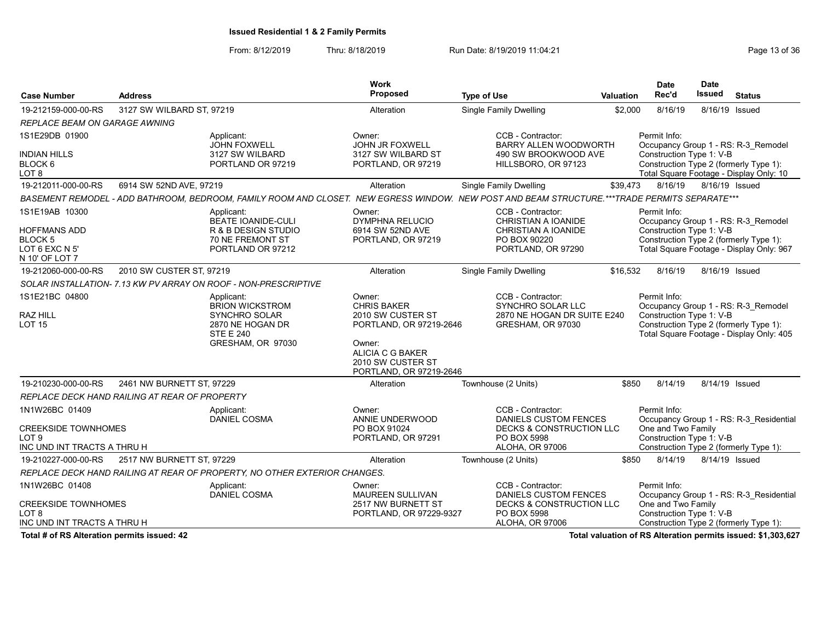From: 8/12/2019 Thru: 8/18/2019 Run Date: 8/19/2019 11:04:21 From: 8/12/2019 11:04:21

| <b>Case Number</b>                                                                   | <b>Address</b>                                |                                                                                                                                               | Work<br>Proposed                                                                                                                                                  | <b>Type of Use</b>                                                                                                         | <b>Valuation</b> | <b>Date</b><br>Rec'd                                                                                     | Date<br><b>Issued</b> | <b>Status</b>                                                                   |
|--------------------------------------------------------------------------------------|-----------------------------------------------|-----------------------------------------------------------------------------------------------------------------------------------------------|-------------------------------------------------------------------------------------------------------------------------------------------------------------------|----------------------------------------------------------------------------------------------------------------------------|------------------|----------------------------------------------------------------------------------------------------------|-----------------------|---------------------------------------------------------------------------------|
| 19-212159-000-00-RS                                                                  | 3127 SW WILBARD ST, 97219                     |                                                                                                                                               | Alteration                                                                                                                                                        | Single Family Dwelling                                                                                                     | \$2,000          | 8/16/19                                                                                                  | 8/16/19 Issued        |                                                                                 |
| <b>REPLACE BEAM ON GARAGE AWNING</b>                                                 |                                               |                                                                                                                                               |                                                                                                                                                                   |                                                                                                                            |                  |                                                                                                          |                       |                                                                                 |
| 1S1E29DB 01900<br><b>INDIAN HILLS</b><br>BLOCK 6                                     |                                               | Applicant:<br><b>JOHN FOXWELL</b><br>3127 SW WILBARD<br>PORTLAND OR 97219                                                                     | Owner:<br><b>JOHN JR FOXWELL</b><br>3127 SW WILBARD ST<br>PORTLAND, OR 97219                                                                                      | CCB - Contractor:<br><b>BARRY ALLEN WOODWORTH</b><br>490 SW BROOKWOOD AVE<br>HILLSBORO, OR 97123                           |                  | Permit Info:<br>Construction Type 1: V-B<br>Construction Type 2 (formerly Type 1):                       |                       | Occupancy Group 1 - RS: R-3 Remodel                                             |
| LOT 8                                                                                |                                               |                                                                                                                                               |                                                                                                                                                                   |                                                                                                                            |                  |                                                                                                          |                       | Total Square Footage - Display Only: 10                                         |
| 19-212011-000-00-RS                                                                  | 6914 SW 52ND AVE, 97219                       |                                                                                                                                               | Alteration                                                                                                                                                        | <b>Single Family Dwelling</b>                                                                                              | \$39,473         | 8/16/19                                                                                                  | 8/16/19 Issued        |                                                                                 |
|                                                                                      |                                               | BASEMENT REMODEL - ADD BATHROOM, BEDROOM, FAMILY ROOM AND CLOSET. NEW EGRESS WINDOW. NEW POST AND BEAM STRUCTURE.***TRADE PERMITS SEPARATE*** |                                                                                                                                                                   |                                                                                                                            |                  |                                                                                                          |                       |                                                                                 |
| 1S1E19AB 10300<br>HOFFMANS ADD<br><b>BLOCK 5</b><br>LOT 6 EXC N 5'<br>N 10' OF LOT 7 |                                               | Applicant:<br><b>BEATE IOANIDE-CULI</b><br><b>R &amp; B DESIGN STUDIO</b><br>70 NE FREMONT ST<br>PORTLAND OR 97212                            | Owner:<br>DYMPHNA RELUCIO<br>6914 SW 52ND AVE<br>PORTLAND, OR 97219                                                                                               | CCB - Contractor:<br>CHRISTIAN A IOANIDE<br>CHRISTIAN A IOANIDE<br>PO BOX 90220<br>PORTLAND, OR 97290                      |                  | Permit Info:<br>Construction Type 1: V-B<br>Construction Type 2 (formerly Type 1):                       |                       | Occupancy Group 1 - RS: R-3 Remodel<br>Total Square Footage - Display Only: 967 |
| 19-212060-000-00-RS                                                                  | 2010 SW CUSTER ST, 97219                      |                                                                                                                                               | Alteration                                                                                                                                                        | <b>Single Family Dwelling</b>                                                                                              | \$16,532         | 8/16/19                                                                                                  | 8/16/19 Issued        |                                                                                 |
|                                                                                      |                                               | SOLAR INSTALLATION- 7.13 KW PV ARRAY ON ROOF - NON-PRESCRIPTIVE                                                                               |                                                                                                                                                                   |                                                                                                                            |                  |                                                                                                          |                       |                                                                                 |
| 1S1E21BC 04800<br>RAZ HILL<br><b>LOT 15</b>                                          |                                               | Applicant:<br><b>BRION WICKSTROM</b><br>SYNCHRO SOLAR<br>2870 NE HOGAN DR<br><b>STE E 240</b><br>GRESHAM, OR 97030                            | Owner:<br><b>CHRIS BAKER</b><br>2010 SW CUSTER ST<br>PORTLAND, OR 97219-2646<br>Owner:<br><b>ALICIA C G BAKER</b><br>2010 SW CUSTER ST<br>PORTLAND, OR 97219-2646 | CCB - Contractor:<br>SYNCHRO SOLAR LLC<br>2870 NE HOGAN DR SUITE E240<br>GRESHAM, OR 97030                                 |                  | Permit Info:<br>Construction Type 1: V-B<br>Construction Type 2 (formerly Type 1):                       |                       | Occupancy Group 1 - RS: R-3 Remodel<br>Total Square Footage - Display Only: 405 |
| 19-210230-000-00-RS                                                                  | 2461 NW BURNETT ST, 97229                     |                                                                                                                                               | Alteration                                                                                                                                                        | Townhouse (2 Units)                                                                                                        | \$850            | 8/14/19                                                                                                  |                       | 8/14/19 Issued                                                                  |
|                                                                                      | REPLACE DECK HAND RAILING AT REAR OF PROPERTY |                                                                                                                                               |                                                                                                                                                                   |                                                                                                                            |                  |                                                                                                          |                       |                                                                                 |
| 1N1W26BC 01409<br><b>CREEKSIDE TOWNHOMES</b><br>LOT 9<br>INC UND INT TRACTS A THRU H |                                               | Applicant:<br><b>DANIEL COSMA</b>                                                                                                             | Owner:<br>ANNIE UNDERWOOD<br>PO BOX 91024<br>PORTLAND, OR 97291                                                                                                   | CCB - Contractor:<br><b>DANIELS CUSTOM FENCES</b><br><b>DECKS &amp; CONSTRUCTION LLC</b><br>PO BOX 5998<br>ALOHA, OR 97006 |                  | Permit Info:<br>One and Two Family<br>Construction Type 1: V-B<br>Construction Type 2 (formerly Type 1): |                       | Occupancy Group 1 - RS: R-3 Residential                                         |
| 19-210227-000-00-RS                                                                  | 2517 NW BURNETT ST, 97229                     |                                                                                                                                               | Alteration                                                                                                                                                        | Townhouse (2 Units)                                                                                                        | \$850            | 8/14/19                                                                                                  | 8/14/19 Issued        |                                                                                 |
|                                                                                      |                                               | REPLACE DECK HAND RAILING AT REAR OF PROPERTY, NO OTHER EXTERIOR CHANGES.                                                                     |                                                                                                                                                                   |                                                                                                                            |                  |                                                                                                          |                       |                                                                                 |
| 1N1W26BC 01408<br><b>CREEKSIDE TOWNHOMES</b><br>LOT 8<br>INC UND INT TRACTS A THRU H |                                               | Applicant:<br><b>DANIEL COSMA</b>                                                                                                             | Owner:<br>MAUREEN SULLIVAN<br>2517 NW BURNETT ST<br>PORTLAND, OR 97229-9327                                                                                       | CCB - Contractor:<br><b>DANIELS CUSTOM FENCES</b><br><b>DECKS &amp; CONSTRUCTION LLC</b><br>PO BOX 5998<br>ALOHA, OR 97006 |                  | Permit Info:<br>One and Two Family<br>Construction Type 1: V-B<br>Construction Type 2 (formerly Type 1): |                       | Occupancy Group 1 - RS: R-3 Residential                                         |

Total # of RS Alteration permits issued: 42 Total valuation of RS Alteration permits issued: \$1,303,627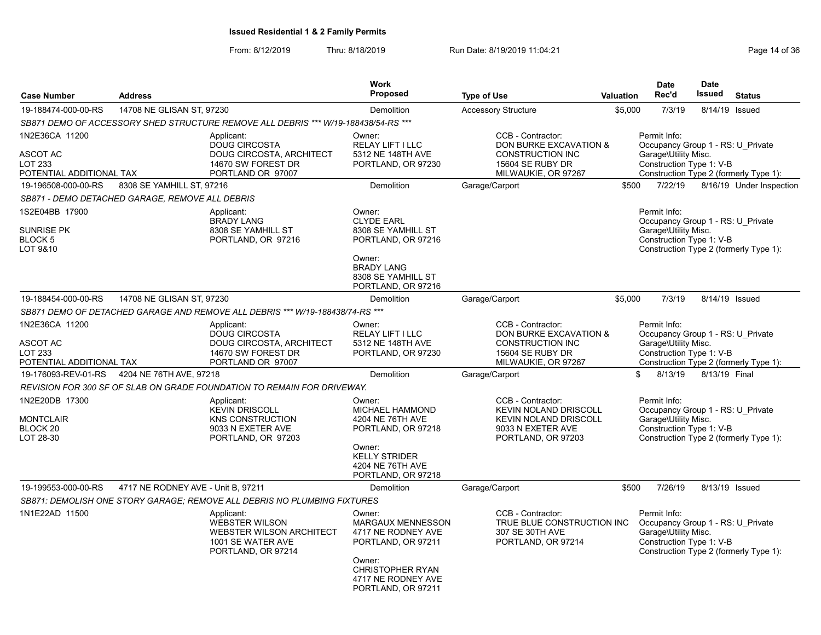|                                                                   |                                    |                                                                                                                   | <b>Work</b>                                                                                                                                              |                                                                                                                              |                  | <b>Date</b>                                                                                                                                     | <b>Date</b>    |                          |
|-------------------------------------------------------------------|------------------------------------|-------------------------------------------------------------------------------------------------------------------|----------------------------------------------------------------------------------------------------------------------------------------------------------|------------------------------------------------------------------------------------------------------------------------------|------------------|-------------------------------------------------------------------------------------------------------------------------------------------------|----------------|--------------------------|
| <b>Case Number</b>                                                | <b>Address</b>                     |                                                                                                                   | <b>Proposed</b>                                                                                                                                          | <b>Type of Use</b>                                                                                                           | <b>Valuation</b> | Rec'd                                                                                                                                           | <b>Issued</b>  | <b>Status</b>            |
| 19-188474-000-00-RS                                               | 14708 NE GLISAN ST. 97230          |                                                                                                                   | <b>Demolition</b>                                                                                                                                        | <b>Accessory Structure</b>                                                                                                   | \$5,000          | 7/3/19                                                                                                                                          | 8/14/19        | Issued                   |
|                                                                   |                                    | SB871 DEMO OF ACCESSORY SHED STRUCTURE REMOVE ALL DEBRIS *** W/19-188438/54-RS ***                                |                                                                                                                                                          |                                                                                                                              |                  |                                                                                                                                                 |                |                          |
| 1N2E36CA 11200<br>ASCOT AC<br>LOT 233<br>POTENTIAL ADDITIONAL TAX |                                    | Applicant:<br>DOUG CIRCOSTA<br>DOUG CIRCOSTA, ARCHITECT<br>14670 SW FOREST DR<br>PORTLAND OR 97007                | Owner:<br>RELAY LIFT I LLC<br>5312 NE 148TH AVE<br>PORTLAND, OR 97230                                                                                    | CCB - Contractor:<br>DON BURKE EXCAVATION &<br><b>CONSTRUCTION INC</b><br>15604 SE RUBY DR<br>MILWAUKIE, OR 97267            |                  | Permit Info:<br>Occupancy Group 1 - RS: U_Private<br>Garage\Utility Misc.<br>Construction Type 1: V-B<br>Construction Type 2 (formerly Type 1): |                |                          |
| 19-196508-000-00-RS                                               | 8308 SE YAMHILL ST. 97216          |                                                                                                                   | Demolition                                                                                                                                               | Garage/Carport                                                                                                               | \$500            | 7/22/19                                                                                                                                         |                | 8/16/19 Under Inspection |
| SB871 - DEMO DETACHED GARAGE, REMOVE ALL DEBRIS                   |                                    |                                                                                                                   |                                                                                                                                                          |                                                                                                                              |                  |                                                                                                                                                 |                |                          |
| 1S2E04BB 17900<br><b>SUNRISE PK</b><br>BLOCK 5<br>LOT 9&10        |                                    | Applicant:<br><b>BRADY LANG</b><br>8308 SE YAMHILL ST<br>PORTLAND, OR 97216                                       | Owner:<br><b>CLYDE EARL</b><br>8308 SE YAMHILL ST<br>PORTLAND, OR 97216<br>Owner:<br><b>BRADY LANG</b><br>8308 SE YAMHILL ST<br>PORTLAND, OR 97216       |                                                                                                                              |                  | Permit Info:<br>Occupancy Group 1 - RS: U Private<br>Garage\Utility Misc.<br>Construction Type 1: V-B<br>Construction Type 2 (formerly Type 1): |                |                          |
| 19-188454-000-00-RS                                               | 14708 NE GLISAN ST, 97230          |                                                                                                                   | Demolition                                                                                                                                               | Garage/Carport                                                                                                               | \$5,000          | 7/3/19                                                                                                                                          | 8/14/19 Issued |                          |
|                                                                   |                                    | SB871 DEMO OF DETACHED GARAGE AND REMOVE ALL DEBRIS *** W/19-188438/74-RS ***                                     |                                                                                                                                                          |                                                                                                                              |                  |                                                                                                                                                 |                |                          |
| 1N2E36CA 11200<br>ASCOT AC<br>LOT 233<br>POTENTIAL ADDITIONAL TAX |                                    | Applicant:<br><b>DOUG CIRCOSTA</b><br><b>DOUG CIRCOSTA, ARCHITECT</b><br>14670 SW FOREST DR<br>PORTLAND OR 97007  | Owner:<br><b>RELAY LIFT I LLC</b><br>5312 NE 148TH AVE<br>PORTLAND, OR 97230                                                                             | CCB - Contractor:<br><b>DON BURKE EXCAVATION &amp;</b><br><b>CONSTRUCTION INC</b><br>15604 SE RUBY DR<br>MILWAUKIE, OR 97267 |                  | Permit Info:<br>Occupancy Group 1 - RS: U Private<br>Garage\Utility Misc.<br>Construction Type 1: V-B<br>Construction Type 2 (formerly Type 1): |                |                          |
| 19-176093-REV-01-RS                                               | 4204 NE 76TH AVE, 97218            |                                                                                                                   | <b>Demolition</b>                                                                                                                                        | Garage/Carport                                                                                                               |                  | \$<br>8/13/19                                                                                                                                   | 8/13/19 Final  |                          |
|                                                                   |                                    | REVISION FOR 300 SF OF SLAB ON GRADE FOUNDATION TO REMAIN FOR DRIVEWAY.                                           |                                                                                                                                                          |                                                                                                                              |                  |                                                                                                                                                 |                |                          |
| 1N2E20DB 17300<br><b>MONTCLAIR</b><br>BLOCK 20<br>LOT 28-30       |                                    | Applicant:<br><b>KEVIN DRISCOLL</b><br><b>KNS CONSTRUCTION</b><br>9033 N EXETER AVE<br>PORTLAND, OR 97203         | Owner:<br><b>MICHAEL HAMMOND</b><br>4204 NE 76TH AVE<br>PORTLAND, OR 97218<br>Owner:<br><b>KELLY STRIDER</b><br>4204 NE 76TH AVE<br>PORTLAND, OR 97218   | CCB - Contractor:<br><b>KEVIN NOLAND DRISCOLL</b><br><b>KEVIN NOLAND DRISCOLL</b><br>9033 N EXETER AVE<br>PORTLAND, OR 97203 |                  | Permit Info:<br>Occupancy Group 1 - RS: U Private<br>Garage\Utility Misc.<br>Construction Type 1: V-B<br>Construction Type 2 (formerly Type 1): |                |                          |
| 19-199553-000-00-RS                                               | 4717 NE RODNEY AVE - Unit B, 97211 |                                                                                                                   | Demolition                                                                                                                                               | Garage/Carport                                                                                                               | \$500            | 7/26/19                                                                                                                                         | 8/13/19 Issued |                          |
|                                                                   |                                    | SB871: DEMOLISH ONE STORY GARAGE; REMOVE ALL DEBRIS NO PLUMBING FIXTURES                                          |                                                                                                                                                          |                                                                                                                              |                  |                                                                                                                                                 |                |                          |
| 1N1E22AD 11500                                                    |                                    | Applicant:<br><b>WEBSTER WILSON</b><br><b>WEBSTER WILSON ARCHITECT</b><br>1001 SE WATER AVE<br>PORTLAND, OR 97214 | Owner:<br>MARGAUX MENNESSON<br>4717 NE RODNEY AVE<br>PORTLAND, OR 97211<br>Owner:<br><b>CHRISTOPHER RYAN</b><br>4717 NE RODNEY AVE<br>PORTLAND, OR 97211 | CCB - Contractor:<br>TRUE BLUE CONSTRUCTION INC<br>307 SE 30TH AVE<br>PORTLAND, OR 97214                                     |                  | Permit Info:<br>Occupancy Group 1 - RS: U Private<br>Garage\Utility Misc.<br>Construction Type 1: V-B<br>Construction Type 2 (formerly Type 1): |                |                          |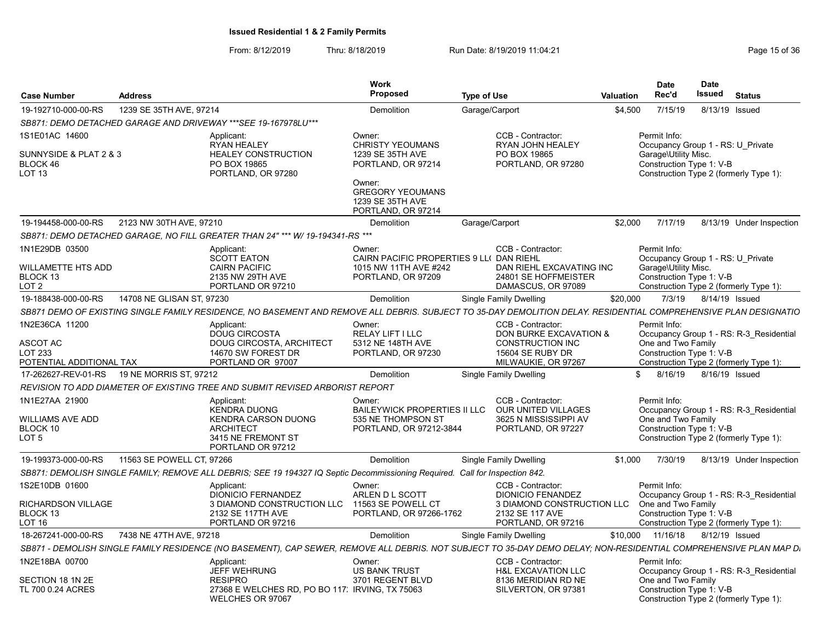|                                                                           |                           |                                                                                                                                                                   | Work                                                                                                                                                       |                    |                                                                                                |           | <b>Date</b>                                                                                                                                     | <b>Date</b>    |                                                                                   |
|---------------------------------------------------------------------------|---------------------------|-------------------------------------------------------------------------------------------------------------------------------------------------------------------|------------------------------------------------------------------------------------------------------------------------------------------------------------|--------------------|------------------------------------------------------------------------------------------------|-----------|-------------------------------------------------------------------------------------------------------------------------------------------------|----------------|-----------------------------------------------------------------------------------|
| <b>Case Number</b>                                                        | <b>Address</b>            |                                                                                                                                                                   | <b>Proposed</b>                                                                                                                                            | <b>Type of Use</b> |                                                                                                | Valuation | Rec'd                                                                                                                                           | Issued         | <b>Status</b>                                                                     |
| 19-192710-000-00-RS                                                       | 1239 SE 35TH AVE, 97214   |                                                                                                                                                                   | Demolition                                                                                                                                                 | Garage/Carport     |                                                                                                | \$4,500   | 7/15/19                                                                                                                                         | 8/13/19 Issued |                                                                                   |
|                                                                           |                           | SB871: DEMO DETACHED GARAGE AND DRIVEWAY *** SEE 19-167978LU***                                                                                                   |                                                                                                                                                            |                    |                                                                                                |           |                                                                                                                                                 |                |                                                                                   |
| 1S1E01AC 14600<br>SUNNYSIDE & PLAT 2 & 3<br>BLOCK 46<br>LOT <sub>13</sub> |                           | Applicant:<br><b>RYAN HEALEY</b><br><b>HEALEY CONSTRUCTION</b><br>PO BOX 19865<br>PORTLAND, OR 97280                                                              | Owner:<br><b>CHRISTY YEOUMANS</b><br>1239 SE 35TH AVE<br>PORTLAND, OR 97214<br>Owner:<br><b>GREGORY YEOUMANS</b><br>1239 SE 35TH AVE<br>PORTLAND, OR 97214 |                    | CCB - Contractor:<br>RYAN JOHN HEALEY<br>PO BOX 19865<br>PORTLAND, OR 97280                    |           | Permit Info:<br>Occupancy Group 1 - RS: U Private<br>Garage\Utility Misc.<br>Construction Type 1: V-B<br>Construction Type 2 (formerly Type 1): |                |                                                                                   |
| 19-194458-000-00-RS                                                       | 2123 NW 30TH AVE, 97210   |                                                                                                                                                                   | Demolition                                                                                                                                                 | Garage/Carport     |                                                                                                | \$2,000   | 7/17/19                                                                                                                                         |                | 8/13/19 Under Inspection                                                          |
|                                                                           |                           | SB871: DEMO DETACHED GARAGE, NO FILL GREATER THAN 24" *** W/ 19-194341-RS ***                                                                                     |                                                                                                                                                            |                    |                                                                                                |           |                                                                                                                                                 |                |                                                                                   |
| 1N1E29DB 03500<br>WILLAMETTE HTS ADD<br>BLOCK 13<br>LOT 2                 |                           | Applicant:<br><b>SCOTT EATON</b><br><b>CAIRN PACIFIC</b><br>2135 NW 29TH AVE<br>PORTLAND OR 97210                                                                 | Owner:<br>CAIRN PACIFIC PROPERTIES 9 LL( DAN RIEHL<br>1015 NW 11TH AVE #242<br>PORTLAND, OR 97209                                                          |                    | CCB - Contractor:<br>DAN RIEHL EXCAVATING INC<br>24801 SE HOFFMEISTER<br>DAMASCUS, OR 97089    |           | Permit Info:<br>Occupancy Group 1 - RS: U Private<br>Garage\Utility Misc.<br>Construction Type 1: V-B                                           |                | Construction Type 2 (formerly Type 1):                                            |
| 19-188438-000-00-RS                                                       | 14708 NE GLISAN ST, 97230 |                                                                                                                                                                   | Demolition                                                                                                                                                 |                    | Single Family Dwelling                                                                         | \$20,000  | 7/3/19                                                                                                                                          | 8/14/19 Issued |                                                                                   |
|                                                                           |                           | SB871 DEMO OF EXISTING SINGLE FAMILY RESIDENCE, NO BASEMENT AND REMOVE ALL DEBRIS. SUBJECT TO 35-DAY DEMOLITION DELAY. RESIDENTIAL COMPREHENSIVE PLAN DESIGNATIO  |                                                                                                                                                            |                    |                                                                                                |           |                                                                                                                                                 |                |                                                                                   |
| 1N2E36CA 11200<br>ASCOT AC                                                |                           | Applicant:<br>DOUG CIRCOSTA<br><b>DOUG CIRCOSTA, ARCHITECT</b>                                                                                                    | Owner:<br>RELAY LIFT I LLC<br>5312 NE 148TH AVE                                                                                                            |                    | CCB - Contractor:<br>DON BURKE EXCAVATION &<br><b>CONSTRUCTION INC</b>                         |           | Permit Info:<br>One and Two Family                                                                                                              |                | Occupancy Group 1 - RS: R-3 Residential                                           |
| LOT 233<br>POTENTIAL ADDITIONAL TAX                                       |                           | 14670 SW FOREST DR<br>PORTLAND OR 97007                                                                                                                           | PORTLAND, OR 97230                                                                                                                                         |                    | 15604 SE RUBY DR<br>MILWAUKIE, OR 97267                                                        |           | Construction Type 1: V-B                                                                                                                        |                | Construction Type 2 (formerly Type 1):                                            |
| 17-262627-REV-01-RS                                                       | 19 NE MORRIS ST, 97212    |                                                                                                                                                                   | <b>Demolition</b>                                                                                                                                          |                    | Single Family Dwelling                                                                         |           | \$<br>8/16/19                                                                                                                                   | 8/16/19 Issued |                                                                                   |
|                                                                           |                           | REVISION TO ADD DIAMETER OF EXISTING TREE AND SUBMIT REVISED ARBORIST REPORT                                                                                      |                                                                                                                                                            |                    |                                                                                                |           |                                                                                                                                                 |                |                                                                                   |
| 1N1E27AA 21900<br>WILLIAMS AVE ADD<br>BLOCK 10<br>LOT 5                   |                           | Applicant:<br><b>KENDRA DUONG</b><br><b>KENDRA CARSON DUONG</b><br><b>ARCHITECT</b><br>3415 NE FREMONT ST<br>PORTLAND OR 97212                                    | Owner:<br><b>BAILEYWICK PROPERTIES II LLC</b><br>535 NE THOMPSON ST<br>PORTLAND, OR 97212-3844                                                             |                    | CCB - Contractor:<br><b>OUR UNITED VILLAGES</b><br>3625 N MISSISSIPPI AV<br>PORTLAND, OR 97227 |           | Permit Info:<br>One and Two Family<br>Construction Type 1: V-B                                                                                  |                | Occupancy Group 1 - RS: R-3 Residential<br>Construction Type 2 (formerly Type 1): |
| 19-199373-000-00-RS                                                       | 11563 SE POWELL CT, 97266 |                                                                                                                                                                   | Demolition                                                                                                                                                 |                    | Single Family Dwelling                                                                         | \$1,000   | 7/30/19                                                                                                                                         |                | 8/13/19 Under Inspection                                                          |
|                                                                           |                           | SB871: DEMOLISH SINGLE FAMILY; REMOVE ALL DEBRIS; SEE 19 194327 IQ Septic Decommissioning Required. Call for Inspection 842.                                      |                                                                                                                                                            |                    |                                                                                                |           |                                                                                                                                                 |                |                                                                                   |
| 1S2E10DB 01600                                                            |                           | Applicant:<br><b>DIONICIO FERNANDEZ</b>                                                                                                                           | Owner:<br>ARLEN D L SCOTT                                                                                                                                  |                    | CCB - Contractor:<br><b>DIONICIO FENANDEZ</b>                                                  |           | Permit Info:                                                                                                                                    |                | Occupancy Group 1 - RS: R-3 Residential                                           |
| <b>RICHARDSON VILLAGE</b><br>BLOCK 13<br>LOT 16                           |                           | 3 DIAMOND CONSTRUCTION LLC<br>2132 SE 117TH AVE<br>PORTLAND OR 97216                                                                                              | 11563 SE POWELL CT<br>PORTLAND, OR 97266-1762                                                                                                              |                    | 3 DIAMOND CONSTRUCTION LLC<br>2132 SE 117 AVE<br>PORTLAND, OR 97216                            |           | One and Two Family<br>Construction Type 1: V-B                                                                                                  |                | Construction Type 2 (formerly Type 1):                                            |
| 18-267241-000-00-RS                                                       | 7438 NE 47TH AVE, 97218   |                                                                                                                                                                   | Demolition                                                                                                                                                 |                    | Single Family Dwelling                                                                         | \$10,000  | 11/16/18                                                                                                                                        | 8/12/19 Issued |                                                                                   |
|                                                                           |                           | SB871 - DEMOLISH SINGLE FAMILY RESIDENCE (NO BASEMENT), CAP SEWER, REMOVE ALL DEBRIS. NOT SUBJECT TO 35-DAY DEMO DELAY; NON-RESIDENTIAL COMPREHENSIVE PLAN MAP D. |                                                                                                                                                            |                    |                                                                                                |           |                                                                                                                                                 |                |                                                                                   |
| 1N2E18BA 00700                                                            |                           | Applicant:<br><b>JEFF WEHRUNG</b>                                                                                                                                 | Owner:<br><b>US BANK TRUST</b>                                                                                                                             |                    | CCB - Contractor:<br><b>H&amp;L EXCAVATION LLC</b>                                             |           | Permit Info:                                                                                                                                    |                | Occupancy Group 1 - RS: R-3 Residential                                           |
| SECTION 18 1N 2E<br>TL 700 0.24 ACRES                                     |                           | <b>RESIPRO</b><br>27368 E WELCHES RD, PO BO 117. IRVING, TX 75063<br>WELCHES OR 97067                                                                             | 3701 REGENT BLVD                                                                                                                                           |                    | 8136 MERIDIAN RD NE<br>SILVERTON, OR 97381                                                     |           | One and Two Family<br>Construction Type 1: V-B                                                                                                  |                | Construction Type 2 (formerly Type 1):                                            |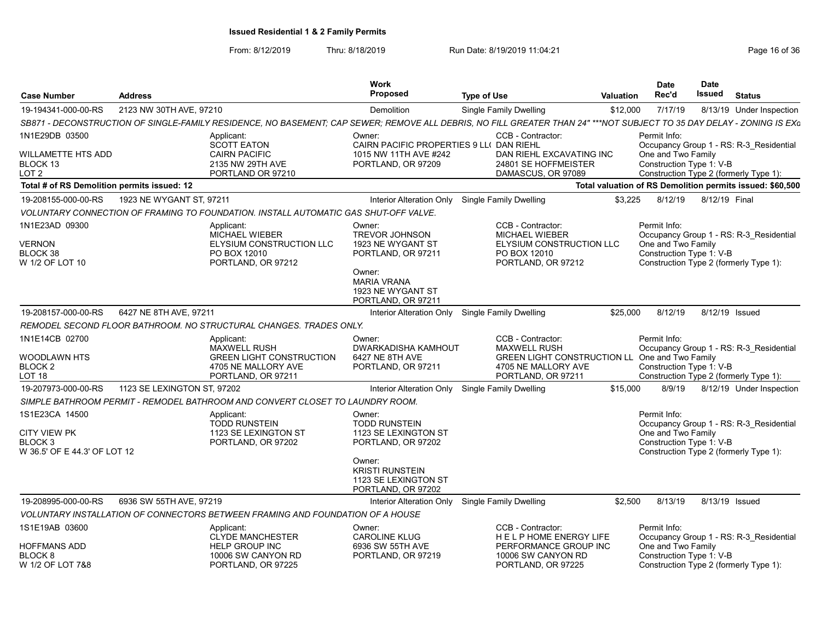| <b>Case Number</b>                                                        | <b>Address</b>              |                                                                                                                                                                       | <b>Work</b><br><b>Proposed</b>                                                         | <b>Type of Use</b>                                                                                           | Valuation | <b>Date</b><br>Rec'd                                                                                     | <b>Date</b><br>Issued | <b>Status</b>                                             |
|---------------------------------------------------------------------------|-----------------------------|-----------------------------------------------------------------------------------------------------------------------------------------------------------------------|----------------------------------------------------------------------------------------|--------------------------------------------------------------------------------------------------------------|-----------|----------------------------------------------------------------------------------------------------------|-----------------------|-----------------------------------------------------------|
| 19-194341-000-00-RS                                                       | 2123 NW 30TH AVE, 97210     |                                                                                                                                                                       | Demolition                                                                             | Single Family Dwelling                                                                                       | \$12,000  | 7/17/19                                                                                                  |                       | 8/13/19 Under Inspection                                  |
|                                                                           |                             | SB871 - DECONSTRUCTION OF SINGLE-FAMILY RESIDENCE, NO BASEMENT; CAP SEWER; REMOVE ALL DEBRIS, NO FILL GREATER THAN 24" ***NOT SUBJECT TO 35 DAY DELAY - ZONING IS EXG |                                                                                        |                                                                                                              |           |                                                                                                          |                       |                                                           |
| 1N1E29DB 03500                                                            |                             | Applicant:<br><b>SCOTT EATON</b>                                                                                                                                      | Owner:<br>CAIRN PACIFIC PROPERTIES 9 LL( DAN RIEHL                                     | CCB - Contractor:                                                                                            |           | Permit Info:                                                                                             |                       | Occupancy Group 1 - RS: R-3 Residential                   |
| WILLAMETTE HTS ADD<br>BLOCK 13<br>LOT 2                                   |                             | <b>CAIRN PACIFIC</b><br>2135 NW 29TH AVE<br>PORTLAND OR 97210                                                                                                         | 1015 NW 11TH AVE #242<br>PORTLAND, OR 97209                                            | DAN RIEHL EXCAVATING INC<br>24801 SE HOFFMEISTER<br>DAMASCUS, OR 97089                                       |           | One and Two Family<br>Construction Type 1: V-B<br>Construction Type 2 (formerly Type 1):                 |                       |                                                           |
| Total # of RS Demolition permits issued: 12                               |                             |                                                                                                                                                                       |                                                                                        |                                                                                                              |           |                                                                                                          |                       | Total valuation of RS Demolition permits issued: \$60,500 |
| 19-208155-000-00-RS                                                       | 1923 NE WYGANT ST. 97211    |                                                                                                                                                                       | Interior Alteration Only                                                               | Single Family Dwelling                                                                                       | \$3,225   | 8/12/19                                                                                                  | 8/12/19 Final         |                                                           |
|                                                                           |                             | VOLUNTARY CONNECTION OF FRAMING TO FOUNDATION. INSTALL AUTOMATIC GAS SHUT-OFF VALVE.                                                                                  |                                                                                        |                                                                                                              |           |                                                                                                          |                       |                                                           |
| 1N1E23AD 09300<br>VERNON<br>BLOCK 38<br>W 1/2 OF LOT 10                   |                             | Applicant:<br><b>MICHAEL WIEBER</b><br>ELYSIUM CONSTRUCTION LLC<br>PO BOX 12010<br>PORTLAND, OR 97212                                                                 | Owner:<br><b>TREVOR JOHNSON</b><br>1923 NE WYGANT ST<br>PORTLAND, OR 97211             | CCB - Contractor:<br><b>MICHAEL WIEBER</b><br>ELYSIUM CONSTRUCTION LLC<br>PO BOX 12010<br>PORTLAND, OR 97212 |           | Permit Info:<br>One and Two Family<br>Construction Type 1: V-B<br>Construction Type 2 (formerly Type 1): |                       | Occupancy Group 1 - RS: R-3 Residential                   |
|                                                                           |                             |                                                                                                                                                                       | Owner:<br><b>MARIA VRANA</b><br>1923 NE WYGANT ST<br>PORTLAND, OR 97211                |                                                                                                              |           |                                                                                                          |                       |                                                           |
| 19-208157-000-00-RS                                                       | 6427 NE 8TH AVE, 97211      |                                                                                                                                                                       | Interior Alteration Only Single Family Dwelling                                        |                                                                                                              | \$25,000  | 8/12/19                                                                                                  | 8/12/19 Issued        |                                                           |
|                                                                           |                             | REMODEL SECOND FLOOR BATHROOM. NO STRUCTURAL CHANGES. TRADES ONLY.                                                                                                    |                                                                                        |                                                                                                              |           |                                                                                                          |                       |                                                           |
| 1N1E14CB 02700<br>WOODLAWN HTS<br>BLOCK 2                                 |                             | Applicant:<br><b>MAXWELL RUSH</b><br><b>GREEN LIGHT CONSTRUCTION</b><br>4705 NE MALLORY AVE                                                                           | Owner:<br>DWARKADISHA KAMHOUT<br>6427 NE 8TH AVE                                       | CCB - Contractor:<br><b>MAXWELL RUSH</b><br>GREEN LIGHT CONSTRUCTION LL One and Two Family                   |           | Permit Info:                                                                                             |                       | Occupancy Group 1 - RS: R-3 Residential                   |
| LOT 18                                                                    |                             | PORTLAND, OR 97211                                                                                                                                                    | PORTLAND, OR 97211                                                                     | 4705 NE MALLORY AVE<br>PORTLAND, OR 97211                                                                    |           | Construction Type 1: V-B<br>Construction Type 2 (formerly Type 1):                                       |                       |                                                           |
| 19-207973-000-00-RS                                                       | 1123 SE LEXINGTON ST, 97202 |                                                                                                                                                                       | Interior Alteration Only                                                               | <b>Single Family Dwelling</b>                                                                                | \$15,000  | 8/9/19                                                                                                   |                       | 8/12/19 Under Inspection                                  |
|                                                                           |                             | SIMPLE BATHROOM PERMIT - REMODEL BATHROOM AND CONVERT CLOSET TO LAUNDRY ROOM.                                                                                         |                                                                                        |                                                                                                              |           |                                                                                                          |                       |                                                           |
| 1S1E23CA 14500<br>CITY VIEW PK<br>BLOCK 3<br>W 36.5' OF E 44.3' OF LOT 12 |                             | Applicant:<br><b>TODD RUNSTEIN</b><br>1123 SE LEXINGTON ST<br>PORTLAND, OR 97202                                                                                      | Owner:<br><b>TODD RUNSTEIN</b><br>1123 SE LEXINGTON ST<br>PORTLAND, OR 97202<br>Owner: |                                                                                                              |           | Permit Info:<br>One and Two Family<br>Construction Type 1: V-B<br>Construction Type 2 (formerly Type 1): |                       | Occupancy Group 1 - RS: R-3_Residential                   |
|                                                                           |                             |                                                                                                                                                                       | <b>KRISTI RUNSTEIN</b><br>1123 SE LEXINGTON ST<br>PORTLAND, OR 97202                   |                                                                                                              |           |                                                                                                          |                       |                                                           |
| 19-208995-000-00-RS                                                       | 6936 SW 55TH AVE, 97219     |                                                                                                                                                                       | Interior Alteration Only                                                               | Single Family Dwelling                                                                                       | \$2,500   | 8/13/19                                                                                                  | 8/13/19 Issued        |                                                           |
|                                                                           |                             | VOLUNTARY INSTALLATION OF CONNECTORS BETWEEN FRAMING AND FOUNDATION OF A HOUSE                                                                                        |                                                                                        |                                                                                                              |           |                                                                                                          |                       |                                                           |
| 1S1E19AB 03600                                                            |                             | Applicant:<br><b>CLYDE MANCHESTER</b>                                                                                                                                 | Owner:<br><b>CAROLINE KLUG</b>                                                         | CCB - Contractor:<br>HELP HOME ENERGY LIFE                                                                   |           | Permit Info:                                                                                             |                       | Occupancy Group 1 - RS: R-3 Residential                   |
| HOFFMANS ADD<br>BLOCK 8<br>W 1/2 OF LOT 7&8                               |                             | <b>HELP GROUP INC</b><br>10006 SW CANYON RD<br>PORTLAND, OR 97225                                                                                                     | 6936 SW 55TH AVE<br>PORTLAND, OR 97219                                                 | PERFORMANCE GROUP INC<br>10006 SW CANYON RD<br>PORTLAND, OR 97225                                            |           | One and Two Family<br>Construction Type 1: V-B<br>Construction Type 2 (formerly Type 1):                 |                       |                                                           |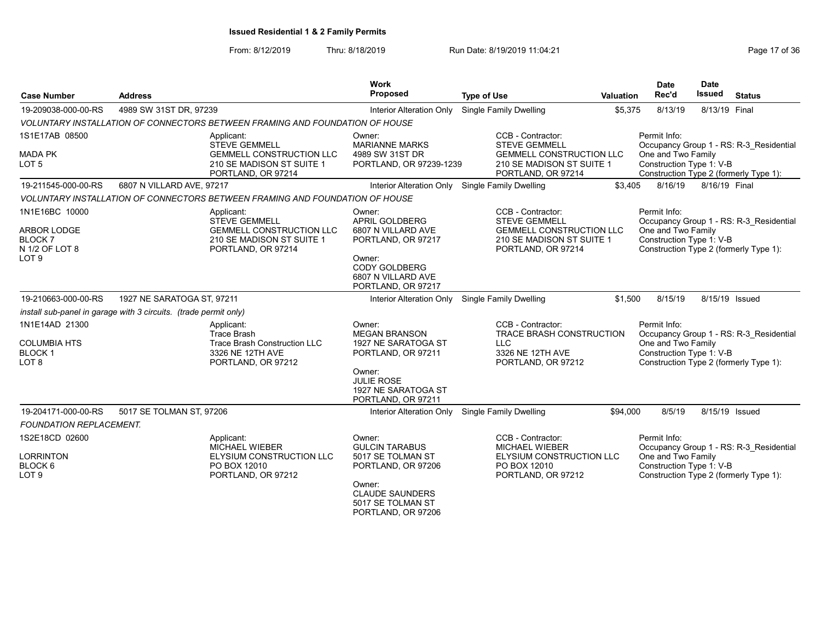| <b>Case Number</b>                                                | <b>Address</b>                                                                                                           | <b>Work</b><br><b>Proposed</b>                                                                                                                          | <b>Type of Use</b>                                                                                                              | <b>Valuation</b> | <b>Date</b><br>Rec'd                                           | <b>Date</b><br>Issued | <b>Status</b>                                                                     |
|-------------------------------------------------------------------|--------------------------------------------------------------------------------------------------------------------------|---------------------------------------------------------------------------------------------------------------------------------------------------------|---------------------------------------------------------------------------------------------------------------------------------|------------------|----------------------------------------------------------------|-----------------------|-----------------------------------------------------------------------------------|
|                                                                   |                                                                                                                          |                                                                                                                                                         |                                                                                                                                 |                  |                                                                |                       |                                                                                   |
| 19-209038-000-00-RS                                               | 4989 SW 31ST DR, 97239                                                                                                   | Interior Alteration Only                                                                                                                                | Single Family Dwelling                                                                                                          | \$5,375          | 8/13/19                                                        | 8/13/19 Final         |                                                                                   |
|                                                                   | VOLUNTARY INSTALLATION OF CONNECTORS BETWEEN FRAMING AND FOUNDATION OF HOUSE                                             |                                                                                                                                                         |                                                                                                                                 |                  |                                                                |                       |                                                                                   |
| 1S1E17AB 08500<br><b>MADA PK</b><br>LOT 5                         | Applicant:<br><b>STEVE GEMMELL</b><br><b>GEMMELL CONSTRUCTION LLC</b><br>210 SE MADISON ST SUITE 1<br>PORTLAND, OR 97214 | Owner:<br><b>MARIANNE MARKS</b><br>4989 SW 31ST DR<br>PORTLAND, OR 97239-1239                                                                           | CCB - Contractor:<br><b>STEVE GEMMELL</b><br><b>GEMMELL CONSTRUCTION LLC</b><br>210 SE MADISON ST SUITE 1<br>PORTLAND, OR 97214 |                  | Permit Info:<br>One and Two Family<br>Construction Type 1: V-B |                       | Occupancy Group 1 - RS: R-3 Residential<br>Construction Type 2 (formerly Type 1): |
| 19-211545-000-00-RS                                               | 6807 N VILLARD AVE, 97217                                                                                                |                                                                                                                                                         | Interior Alteration Only Single Family Dwelling                                                                                 | \$3,405          | 8/16/19                                                        | 8/16/19 Final         |                                                                                   |
|                                                                   | VOLUNTARY INSTALLATION OF CONNECTORS BETWEEN FRAMING AND FOUNDATION OF HOUSE                                             |                                                                                                                                                         |                                                                                                                                 |                  |                                                                |                       |                                                                                   |
| 1N1E16BC 10000<br><b>ARBOR LODGE</b><br>BLOCK 7<br>N 1/2 OF LOT 8 | Applicant:<br><b>STEVE GEMMELL</b><br><b>GEMMELL CONSTRUCTION LLC</b><br>210 SE MADISON ST SUITE 1<br>PORTLAND, OR 97214 | Owner:<br>APRIL GOLDBERG<br>6807 N VILLARD AVE<br>PORTLAND, OR 97217                                                                                    | CCB - Contractor:<br><b>STEVE GEMMELL</b><br><b>GEMMELL CONSTRUCTION LLC</b><br>210 SE MADISON ST SUITE 1<br>PORTLAND, OR 97214 |                  | Permit Info:<br>One and Two Family<br>Construction Type 1: V-B |                       | Occupancy Group 1 - RS: R-3 Residential<br>Construction Type 2 (formerly Type 1): |
| LOT <sub>9</sub>                                                  |                                                                                                                          | Owner:<br><b>CODY GOLDBERG</b><br>6807 N VILLARD AVE<br>PORTLAND, OR 97217                                                                              |                                                                                                                                 |                  |                                                                |                       |                                                                                   |
| 19-210663-000-00-RS                                               | 1927 NE SARATOGA ST, 97211                                                                                               |                                                                                                                                                         | Interior Alteration Only Single Family Dwelling                                                                                 | \$1.500          | 8/15/19                                                        | 8/15/19 Issued        |                                                                                   |
|                                                                   | install sub-panel in garage with 3 circuits. (trade permit only)                                                         |                                                                                                                                                         |                                                                                                                                 |                  |                                                                |                       |                                                                                   |
| 1N1E14AD 21300<br>COLUMBIA HTS<br><b>BLOCK 1</b><br>LOT 8         | Applicant:<br><b>Trace Brash</b><br><b>Trace Brash Construction LLC</b><br>3326 NE 12TH AVE<br>PORTLAND, OR 97212        | Owner:<br><b>MEGAN BRANSON</b><br>1927 NE SARATOGA ST<br>PORTLAND, OR 97211<br>Owner:<br><b>JULIE ROSE</b><br>1927 NE SARATOGA ST<br>PORTLAND, OR 97211 | CCB - Contractor:<br>TRACE BRASH CONSTRUCTION<br><b>LLC</b><br>3326 NE 12TH AVE<br>PORTLAND, OR 97212                           |                  | Permit Info:<br>One and Two Family<br>Construction Type 1: V-B |                       | Occupancy Group 1 - RS: R-3_Residential<br>Construction Type 2 (formerly Type 1): |
| 19-204171-000-00-RS                                               | 5017 SE TOLMAN ST, 97206                                                                                                 |                                                                                                                                                         | Interior Alteration Only Single Family Dwelling                                                                                 | \$94,000         | 8/5/19                                                         | 8/15/19 Issued        |                                                                                   |
| <b>FOUNDATION REPLACEMENT.</b>                                    |                                                                                                                          |                                                                                                                                                         |                                                                                                                                 |                  |                                                                |                       |                                                                                   |
| 1S2E18CD 02600<br>LORRINTON<br>BLOCK 6<br>LOT 9                   | Applicant:<br><b>MICHAEL WIEBER</b><br><b>ELYSIUM CONSTRUCTION LLC</b><br>PO BOX 12010<br>PORTLAND, OR 97212             | Owner:<br><b>GULCIN TARABUS</b><br>5017 SE TOLMAN ST<br>PORTLAND, OR 97206<br>Owner:                                                                    | CCB - Contractor:<br><b>MICHAEL WIEBER</b><br>ELYSIUM CONSTRUCTION LLC<br>PO BOX 12010<br>PORTLAND, OR 97212                    |                  | Permit Info:<br>One and Two Family<br>Construction Type 1: V-B |                       | Occupancy Group 1 - RS: R-3 Residential<br>Construction Type 2 (formerly Type 1): |
|                                                                   |                                                                                                                          | <b>CLAUDE SAUNDERS</b><br>5017 SE TOLMAN ST<br>PORTLAND, OR 97206                                                                                       |                                                                                                                                 |                  |                                                                |                       |                                                                                   |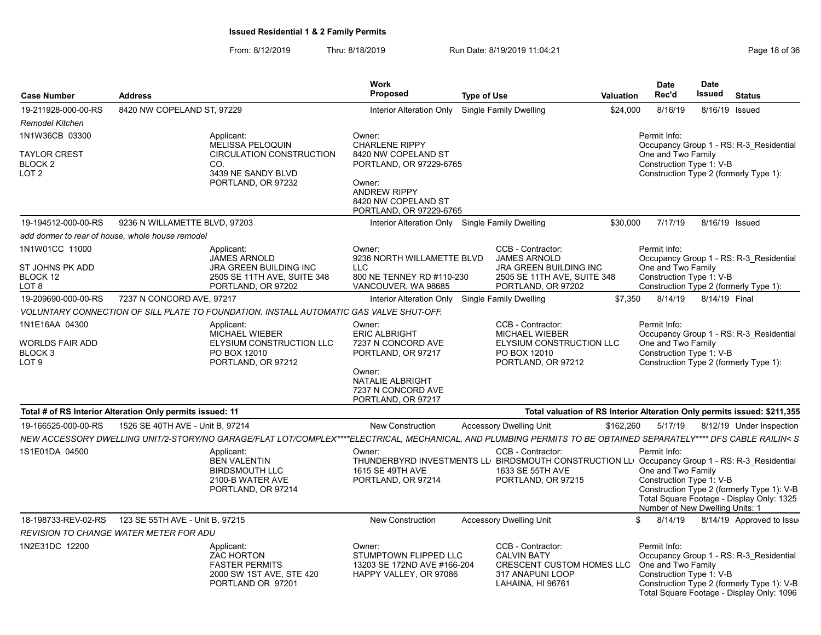| <b>Case Number</b>                                               | <b>Address</b>                                            |                                                                                                                                                                  | <b>Work</b><br>Proposed                                                                                                                                              | <b>Type of Use</b> |                                                                                                                                                              | <b>Valuation</b> | <b>Date</b><br>Rec'd                                                                              | <b>Date</b><br>Issued | <b>Status</b>                                                                                                                      |
|------------------------------------------------------------------|-----------------------------------------------------------|------------------------------------------------------------------------------------------------------------------------------------------------------------------|----------------------------------------------------------------------------------------------------------------------------------------------------------------------|--------------------|--------------------------------------------------------------------------------------------------------------------------------------------------------------|------------------|---------------------------------------------------------------------------------------------------|-----------------------|------------------------------------------------------------------------------------------------------------------------------------|
| 19-211928-000-00-RS                                              | 8420 NW COPELAND ST, 97229                                |                                                                                                                                                                  | Interior Alteration Only                                                                                                                                             |                    | Single Family Dwelling                                                                                                                                       | \$24,000         | 8/16/19                                                                                           | 8/16/19               | Issued                                                                                                                             |
| <b>Remodel Kitchen</b>                                           |                                                           |                                                                                                                                                                  |                                                                                                                                                                      |                    |                                                                                                                                                              |                  |                                                                                                   |                       |                                                                                                                                    |
| 1N1W36CB 03300<br><b>TAYLOR CREST</b><br><b>BLOCK 2</b><br>LOT 2 |                                                           | Applicant:<br><b>MELISSA PELOQUIN</b><br><b>CIRCULATION CONSTRUCTION</b><br>CO.<br>3439 NE SANDY BLVD<br>PORTLAND, OR 97232                                      | Owner:<br><b>CHARLENE RIPPY</b><br>8420 NW COPELAND ST<br>PORTLAND, OR 97229-6765<br>Owner:<br><b>ANDREW RIPPY</b><br>8420 NW COPELAND ST<br>PORTLAND, OR 97229-6765 |                    |                                                                                                                                                              |                  | Permit Info:<br>One and Two Family<br>Construction Type 1: V-B                                    |                       | Occupancy Group 1 - RS: R-3 Residential<br>Construction Type 2 (formerly Type 1):                                                  |
| 19-194512-000-00-RS                                              | 9236 N WILLAMETTE BLVD, 97203                             |                                                                                                                                                                  | Interior Alteration Only Single Family Dwelling                                                                                                                      |                    |                                                                                                                                                              | \$30,000         | 7/17/19                                                                                           | 8/16/19 Issued        |                                                                                                                                    |
|                                                                  | add dormer to rear of house, whole house remodel          |                                                                                                                                                                  |                                                                                                                                                                      |                    |                                                                                                                                                              |                  |                                                                                                   |                       |                                                                                                                                    |
| 1N1W01CC 11000<br>ST JOHNS PK ADD<br><b>BLOCK 12</b><br>LOT 8    |                                                           | Applicant:<br><b>JAMES ARNOLD</b><br><b>JRA GREEN BUILDING INC</b><br>2505 SE 11TH AVE, SUITE 348<br>PORTLAND, OR 97202                                          | Owner:<br>9236 NORTH WILLAMETTE BLVD<br><b>LLC</b><br>800 NE TENNEY RD #110-230<br>VANCOUVER, WA 98685                                                               |                    | CCB - Contractor:<br><b>JAMES ARNOLD</b><br><b>JRA GREEN BUILDING INC</b><br>2505 SE 11TH AVE, SUITE 348<br>PORTLAND, OR 97202                               |                  | Permit Info:<br>One and Two Family<br>Construction Type 1: V-B                                    |                       | Occupancy Group 1 - RS: R-3 Residential<br>Construction Type 2 (formerly Type 1):                                                  |
| 19-209690-000-00-RS                                              | 7237 N CONCORD AVE, 97217                                 |                                                                                                                                                                  | Interior Alteration Only                                                                                                                                             |                    | Single Family Dwelling                                                                                                                                       | \$7,350          | 8/14/19                                                                                           | 8/14/19 Final         |                                                                                                                                    |
|                                                                  |                                                           | VOLUNTARY CONNECTION OF SILL PLATE TO FOUNDATION. INSTALL AUTOMATIC GAS VALVE SHUT-OFF.                                                                          |                                                                                                                                                                      |                    |                                                                                                                                                              |                  |                                                                                                   |                       |                                                                                                                                    |
| 1N1E16AA 04300<br>WORLDS FAIR ADD<br>BLOCK 3<br>LOT 9            |                                                           | Applicant:<br><b>MICHAEL WIEBER</b><br>ELYSIUM CONSTRUCTION LLC<br>PO BOX 12010<br>PORTLAND, OR 97212                                                            | Owner:<br><b>ERIC ALBRIGHT</b><br>7237 N CONCORD AVE<br>PORTLAND, OR 97217<br>Owner:<br><b>NATALIE ALBRIGHT</b><br>7237 N CONCORD AVE<br>PORTLAND, OR 97217          |                    | CCB - Contractor:<br><b>MICHAEL WIEBER</b><br>ELYSIUM CONSTRUCTION LLC<br>PO BOX 12010<br>PORTLAND, OR 97212                                                 |                  | Permit Info:<br>One and Two Family<br>Construction Type 1: V-B                                    |                       | Occupancy Group 1 - RS: R-3 Residential<br>Construction Type 2 (formerly Type 1):                                                  |
|                                                                  | Total # of RS Interior Alteration Only permits issued: 11 |                                                                                                                                                                  |                                                                                                                                                                      |                    | Total valuation of RS Interior Alteration Only permits issued: \$211,355                                                                                     |                  |                                                                                                   |                       |                                                                                                                                    |
| 19-166525-000-00-RS                                              | 1526 SE 40TH AVE - Unit B, 97214                          |                                                                                                                                                                  | <b>New Construction</b>                                                                                                                                              |                    | <b>Accessory Dwelling Unit</b>                                                                                                                               | \$162,260        | 5/17/19                                                                                           |                       | 8/12/19 Under Inspection                                                                                                           |
|                                                                  |                                                           | NEW ACCESSORY DWELLING UNIT/2-STORY/NO GARAGE/FLAT LOT/COMPLEX****ELECTRICAL, MECHANICAL, AND PLUMBING PERMITS TO BE OBTAINED SEPARATELY**** DFS CABLE RAILIN< S |                                                                                                                                                                      |                    |                                                                                                                                                              |                  |                                                                                                   |                       |                                                                                                                                    |
| 1S1E01DA 04500                                                   |                                                           | Applicant:<br><b>BEN VALENTIN</b><br><b>BIRDSMOUTH LLC</b><br>2100-B WATER AVE<br>PORTLAND, OR 97214                                                             | Owner:<br>1615 SE 49TH AVE<br>PORTLAND, OR 97214                                                                                                                     |                    | CCB - Contractor:<br>THUNDERBYRD INVESTMENTS LL BIRDSMOUTH CONSTRUCTION LL Occupancy Group 1 - RS: R-3 Residential<br>1633 SE 55TH AVE<br>PORTLAND, OR 97215 |                  | Permit Info:<br>One and Two Family<br>Construction Type 1: V-B<br>Number of New Dwelling Units: 1 |                       | Construction Type 2 (formerly Type 1): V-B<br>Total Square Footage - Display Only: 1325                                            |
| 18-198733-REV-02-RS                                              | 123 SE 55TH AVE - Unit B, 97215                           |                                                                                                                                                                  | <b>New Construction</b>                                                                                                                                              |                    | <b>Accessory Dwelling Unit</b>                                                                                                                               |                  | \$<br>8/14/19                                                                                     |                       | 8/14/19 Approved to Issue                                                                                                          |
|                                                                  | <b>REVISION TO CHANGE WATER METER FOR ADU</b>             |                                                                                                                                                                  |                                                                                                                                                                      |                    |                                                                                                                                                              |                  |                                                                                                   |                       |                                                                                                                                    |
| 1N2E31DC 12200                                                   |                                                           | Applicant:<br><b>ZAC HORTON</b><br><b>FASTER PERMITS</b><br>2000 SW 1ST AVE, STE 420<br>PORTLAND OR 97201                                                        | Owner:<br>STUMPTOWN FLIPPED LLC<br>13203 SE 172ND AVE #166-204<br>HAPPY VALLEY, OR 97086                                                                             |                    | CCB - Contractor:<br><b>CALVIN BATY</b><br>CRESCENT CUSTOM HOMES LLC<br>317 ANAPUNI LOOP<br>LAHAINA, HI 96761                                                |                  | Permit Info:<br>One and Two Family<br>Construction Type 1: V-B                                    |                       | Occupancy Group 1 - RS: R-3 Residential<br>Construction Type 2 (formerly Type 1): V-B<br>Total Square Footage - Display Only: 1096 |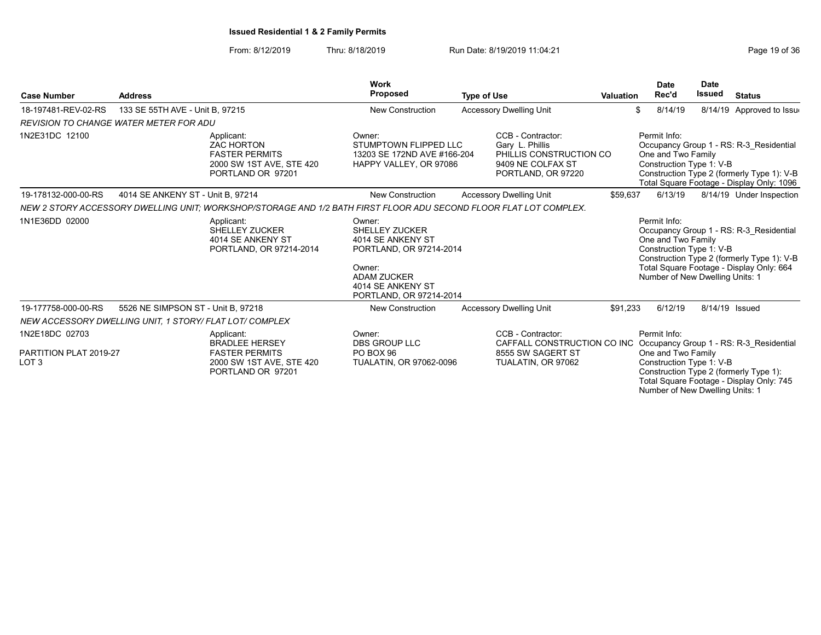|                                                              |                                    |                                                                                                                   | <b>Work</b>                                                                                                                                                     |                                                                                                                                     |           | Date                                                                                              | <b>Date</b>    |                                                                                                                                    |
|--------------------------------------------------------------|------------------------------------|-------------------------------------------------------------------------------------------------------------------|-----------------------------------------------------------------------------------------------------------------------------------------------------------------|-------------------------------------------------------------------------------------------------------------------------------------|-----------|---------------------------------------------------------------------------------------------------|----------------|------------------------------------------------------------------------------------------------------------------------------------|
| <b>Case Number</b>                                           | <b>Address</b>                     |                                                                                                                   | <b>Proposed</b>                                                                                                                                                 | <b>Type of Use</b>                                                                                                                  | Valuation | Rec'd                                                                                             | Issued         | <b>Status</b>                                                                                                                      |
| 18-197481-REV-02-RS                                          | 133 SE 55TH AVE - Unit B, 97215    |                                                                                                                   | <b>New Construction</b>                                                                                                                                         | <b>Accessory Dwelling Unit</b>                                                                                                      |           | \$<br>8/14/19                                                                                     |                | 8/14/19 Approved to Issue                                                                                                          |
| <b>REVISION TO CHANGE WATER METER FOR ADU</b>                |                                    |                                                                                                                   |                                                                                                                                                                 |                                                                                                                                     |           |                                                                                                   |                |                                                                                                                                    |
| 1N2E31DC 12100                                               |                                    | Applicant:<br><b>ZAC HORTON</b><br><b>FASTER PERMITS</b><br>2000 SW 1ST AVE, STE 420<br>PORTLAND OR 97201         | Owner:<br>STUMPTOWN FLIPPED LLC<br>13203 SE 172ND AVE #166-204<br>HAPPY VALLEY, OR 97086                                                                        | CCB - Contractor:<br>Gary L. Phillis<br>PHILLIS CONSTRUCTION CO<br>9409 NE COLFAX ST<br>PORTLAND, OR 97220                          |           | Permit Info:<br>One and Two Family<br>Construction Type 1: V-B                                    |                | Occupancy Group 1 - RS: R-3_Residential<br>Construction Type 2 (formerly Type 1): V-B<br>Total Square Footage - Display Only: 1096 |
| 19-178132-000-00-RS                                          | 4014 SE ANKENY ST - Unit B, 97214  |                                                                                                                   | New Construction                                                                                                                                                | <b>Accessory Dwelling Unit</b>                                                                                                      | \$59,637  | 6/13/19                                                                                           |                | 8/14/19 Under Inspection                                                                                                           |
|                                                              |                                    | NEW 2 STORY ACCESSORY DWELLING UNIT: WORKSHOP/STORAGE AND 1/2 BATH FIRST FLOOR ADU SECOND FLOOR FLAT LOT COMPLEX. |                                                                                                                                                                 |                                                                                                                                     |           |                                                                                                   |                |                                                                                                                                    |
| 1N1E36DD 02000                                               |                                    | Applicant:<br>SHELLEY ZUCKER<br>4014 SE ANKENY ST<br>PORTLAND, OR 97214-2014                                      | Owner:<br><b>SHELLEY ZUCKER</b><br>4014 SE ANKENY ST<br>PORTLAND, OR 97214-2014<br>Owner:<br><b>ADAM ZUCKER</b><br>4014 SE ANKENY ST<br>PORTLAND, OR 97214-2014 |                                                                                                                                     |           | Permit Info:<br>One and Two Family<br>Construction Type 1: V-B<br>Number of New Dwelling Units: 1 |                | Occupancy Group 1 - RS: R-3 Residential<br>Construction Type 2 (formerly Type 1): V-B<br>Total Square Footage - Display Only: 664  |
| 19-177758-000-00-RS                                          | 5526 NE SIMPSON ST - Unit B, 97218 |                                                                                                                   | <b>New Construction</b>                                                                                                                                         | <b>Accessory Dwelling Unit</b>                                                                                                      | \$91,233  | 6/12/19                                                                                           | 8/14/19 Issued |                                                                                                                                    |
| NEW ACCESSORY DWELLING UNIT. 1 STORY/ FLAT LOT/ COMPLEX      |                                    |                                                                                                                   |                                                                                                                                                                 |                                                                                                                                     |           |                                                                                                   |                |                                                                                                                                    |
| 1N2E18DC 02703<br>PARTITION PLAT 2019-27<br>LOT <sub>3</sub> |                                    | Applicant:<br><b>BRADLEE HERSEY</b><br><b>FASTER PERMITS</b><br>2000 SW 1ST AVE, STE 420<br>PORTLAND OR 97201     | Owner:<br><b>DBS GROUP LLC</b><br>PO BOX 96<br>TUALATIN, OR 97062-0096                                                                                          | CCB - Contractor:<br>CAFFALL CONSTRUCTION CO INC Occupancy Group 1 - RS: R-3_Residential<br>8555 SW SAGERT ST<br>TUALATIN, OR 97062 |           | Permit Info:<br>One and Two Family<br>Construction Type 1: V-B<br>Number of New Dwelling Units: 1 |                | Construction Type 2 (formerly Type 1):<br>Total Square Footage - Display Only: 745                                                 |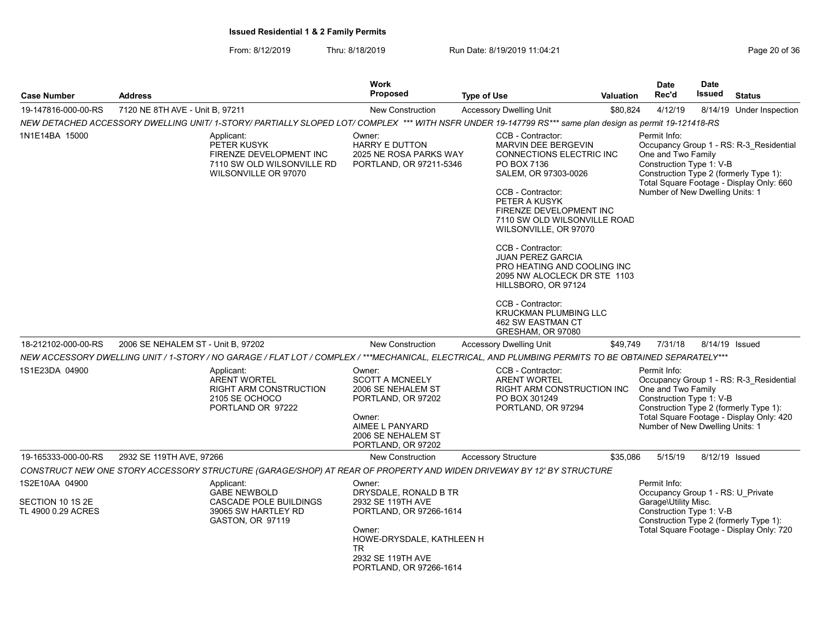| <b>Case Number</b>                                       | <b>Address</b>                                                                                                                                                                                                                                                     | <b>Work</b><br><b>Proposed</b>                                                                                                                                                | <b>Type of Use</b>                                                                                                                                                                                                                                                                                                                                                                                                                                     | <b>Valuation</b> | <b>Date</b><br>Rec'd                                                                                  | <b>Date</b><br><b>Issued</b> | <b>Status</b>                                                                                                                 |
|----------------------------------------------------------|--------------------------------------------------------------------------------------------------------------------------------------------------------------------------------------------------------------------------------------------------------------------|-------------------------------------------------------------------------------------------------------------------------------------------------------------------------------|--------------------------------------------------------------------------------------------------------------------------------------------------------------------------------------------------------------------------------------------------------------------------------------------------------------------------------------------------------------------------------------------------------------------------------------------------------|------------------|-------------------------------------------------------------------------------------------------------|------------------------------|-------------------------------------------------------------------------------------------------------------------------------|
| 19-147816-000-00-RS                                      | 7120 NE 8TH AVE - Unit B, 97211                                                                                                                                                                                                                                    | New Construction                                                                                                                                                              | <b>Accessory Dwelling Unit</b>                                                                                                                                                                                                                                                                                                                                                                                                                         | \$80,824         | 4/12/19                                                                                               |                              | 8/14/19 Under Inspection                                                                                                      |
|                                                          | NEW DETACHED ACCESSORY DWELLING UNIT/ 1-STORY/ PARTIALLY SLOPED LOT/ COMPLEX *** WITH NSFR UNDER 19-147799 RS*** same plan design as permit 19-121418-RS                                                                                                           |                                                                                                                                                                               |                                                                                                                                                                                                                                                                                                                                                                                                                                                        |                  |                                                                                                       |                              |                                                                                                                               |
| 1N1E14BA 15000                                           | Applicant:<br>PETER KUSYK<br>FIRENZE DEVELOPMENT INC<br>7110 SW OLD WILSONVILLE RD<br>WILSONVILLE OR 97070                                                                                                                                                         | Owner:<br><b>HARRY E DUTTON</b><br>2025 NE ROSA PARKS WAY<br>PORTLAND, OR 97211-5346                                                                                          | CCB - Contractor:<br>MARVIN DEE BERGEVIN<br>CONNECTIONS ELECTRIC INC<br>PO BOX 7136<br>SALEM, OR 97303-0026<br>CCB - Contractor:<br>PETER A KUSYK<br>FIRENZE DEVELOPMENT INC<br>7110 SW OLD WILSONVILLE ROAD<br>WILSONVILLE, OR 97070<br>CCB - Contractor:<br><b>JUAN PEREZ GARCIA</b><br>PRO HEATING AND COOLING INC<br>2095 NW ALOCLECK DR STE 1103<br>HILLSBORO, OR 97124<br>CCB - Contractor:<br><b>KRUCKMAN PLUMBING LLC</b><br>462 SW EASTMAN CT |                  | Permit Info:<br>One and Two Family<br>Construction Type 1: V-B<br>Number of New Dwelling Units: 1     |                              | Occupancy Group 1 - RS: R-3_Residential<br>Construction Type 2 (formerly Type 1):<br>Total Square Footage - Display Only: 660 |
| 18-212102-000-00-RS                                      | 2006 SE NEHALEM ST - Unit B, 97202                                                                                                                                                                                                                                 | <b>New Construction</b>                                                                                                                                                       | GRESHAM, OR 97080<br><b>Accessory Dwelling Unit</b>                                                                                                                                                                                                                                                                                                                                                                                                    | \$49.749         | 7/31/18                                                                                               |                              | 8/14/19 Issued                                                                                                                |
|                                                          |                                                                                                                                                                                                                                                                    |                                                                                                                                                                               |                                                                                                                                                                                                                                                                                                                                                                                                                                                        |                  |                                                                                                       |                              |                                                                                                                               |
| 1S1E23DA 04900                                           | NEW ACCESSORY DWELLING UNIT / 1-STORY / NO GARAGE / FLAT LOT / COMPLEX / ***MECHANICAL, ELECTRICAL, AND PLUMBING PERMITS TO BE OBTAINED SEPARATELY***<br>Applicant:<br><b>ARENT WORTEL</b><br><b>RIGHT ARM CONSTRUCTION</b><br>2105 SE OCHOCO<br>PORTLAND OR 97222 | Owner:<br><b>SCOTT A MCNEELY</b><br>2006 SE NEHALEM ST<br>PORTLAND, OR 97202<br>Owner:<br>AIMEE L PANYARD<br>2006 SE NEHALEM ST<br>PORTLAND, OR 97202                         | CCB - Contractor:<br><b>ARENT WORTEL</b><br>RIGHT ARM CONSTRUCTION INC<br>PO BOX 301249<br>PORTLAND, OR 97294                                                                                                                                                                                                                                                                                                                                          |                  | Permit Info:<br>One and Two Family<br>Construction Type 1: V-B<br>Number of New Dwelling Units: 1     |                              | Occupancy Group 1 - RS: R-3 Residential<br>Construction Type 2 (formerly Type 1):<br>Total Square Footage - Display Only: 420 |
| 19-165333-000-00-RS                                      | 2932 SE 119TH AVE, 97266                                                                                                                                                                                                                                           | <b>New Construction</b>                                                                                                                                                       | Accessory Structure                                                                                                                                                                                                                                                                                                                                                                                                                                    | \$35,086         | 5/15/19                                                                                               | 8/12/19 Issued               |                                                                                                                               |
|                                                          | CONSTRUCT NEW ONE STORY ACCESSORY STRUCTURE (GARAGE/SHOP) AT REAR OF PROPERTY AND WIDEN DRIVEWAY BY 12' BY STRUCTURE                                                                                                                                               |                                                                                                                                                                               |                                                                                                                                                                                                                                                                                                                                                                                                                                                        |                  |                                                                                                       |                              |                                                                                                                               |
| 1S2E10AA 04900<br>SECTION 10 1S 2E<br>TL 4900 0.29 ACRES | Applicant:<br><b>GABE NEWBOLD</b><br>CASCADE POLE BUILDINGS<br>39065 SW HARTLEY RD<br>GASTON, OR 97119                                                                                                                                                             | Owner:<br>DRYSDALE, RONALD B TR<br>2932 SE 119TH AVE<br>PORTLAND, OR 97266-1614<br>Owner:<br>HOWE-DRYSDALE, KATHLEEN H<br>TR.<br>2932 SE 119TH AVE<br>PORTLAND, OR 97266-1614 |                                                                                                                                                                                                                                                                                                                                                                                                                                                        |                  | Permit Info:<br>Occupancy Group 1 - RS: U Private<br>Garage\Utility Misc.<br>Construction Type 1: V-B |                              | Construction Type 2 (formerly Type 1):<br>Total Square Footage - Display Only: 720                                            |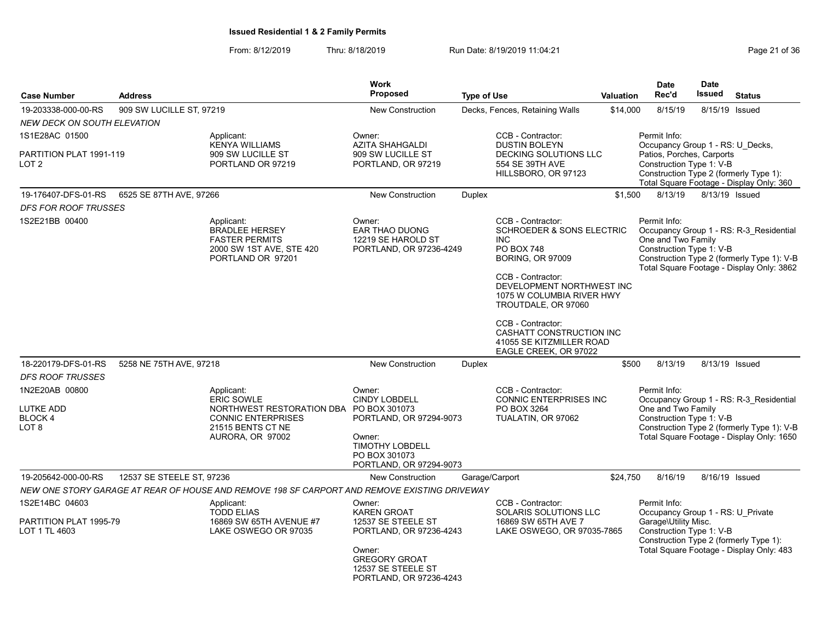| <b>Case Number</b>                                        | <b>Address</b>            |                                                                                                                                                  | <b>Work</b><br><b>Proposed</b>                                                                                                                                   | <b>Type of Use</b> |                                                                                                                                                                                                                               | <b>Valuation</b> | <b>Date</b><br>Rec'd                                                                                                                            | <b>Date</b><br>Issued | <b>Status</b>                                                                                                                      |
|-----------------------------------------------------------|---------------------------|--------------------------------------------------------------------------------------------------------------------------------------------------|------------------------------------------------------------------------------------------------------------------------------------------------------------------|--------------------|-------------------------------------------------------------------------------------------------------------------------------------------------------------------------------------------------------------------------------|------------------|-------------------------------------------------------------------------------------------------------------------------------------------------|-----------------------|------------------------------------------------------------------------------------------------------------------------------------|
| 19-203338-000-00-RS                                       | 909 SW LUCILLE ST, 97219  |                                                                                                                                                  | <b>New Construction</b>                                                                                                                                          |                    | Decks, Fences, Retaining Walls                                                                                                                                                                                                | \$14,000         | 8/15/19                                                                                                                                         | 8/15/19               | Issued                                                                                                                             |
| <b>NEW DECK ON SOUTH ELEVATION</b>                        |                           |                                                                                                                                                  |                                                                                                                                                                  |                    |                                                                                                                                                                                                                               |                  |                                                                                                                                                 |                       |                                                                                                                                    |
| 1S1E28AC 01500                                            |                           | Applicant:                                                                                                                                       | Owner:                                                                                                                                                           |                    | CCB - Contractor:                                                                                                                                                                                                             |                  | Permit Info:                                                                                                                                    |                       |                                                                                                                                    |
| PARTITION PLAT 1991-119<br>LOT 2                          |                           | <b>KENYA WILLIAMS</b><br>909 SW LUCILLE ST<br>PORTLAND OR 97219                                                                                  | <b>AZITA SHAHGALDI</b><br>909 SW LUCILLE ST<br>PORTLAND, OR 97219                                                                                                |                    | <b>DUSTIN BOLEYN</b><br>DECKING SOLUTIONS LLC<br>554 SE 39TH AVE<br>HILLSBORO, OR 97123                                                                                                                                       |                  | Occupancy Group 1 - RS: U Decks,<br>Patios, Porches, Carports<br>Construction Type 1: V-B<br>Construction Type 2 (formerly Type 1):             |                       | Total Square Footage - Display Only: 360                                                                                           |
| 19-176407-DFS-01-RS                                       | 6525 SE 87TH AVE, 97266   |                                                                                                                                                  | <b>New Construction</b>                                                                                                                                          | <b>Duplex</b>      |                                                                                                                                                                                                                               | \$1.500          | 8/13/19                                                                                                                                         |                       | 8/13/19 Issued                                                                                                                     |
| <b>DFS FOR ROOF TRUSSES</b>                               |                           |                                                                                                                                                  |                                                                                                                                                                  |                    |                                                                                                                                                                                                                               |                  |                                                                                                                                                 |                       |                                                                                                                                    |
| 1S2E21BB 00400                                            |                           | Applicant:<br><b>BRADLEE HERSEY</b><br><b>FASTER PERMITS</b><br>2000 SW 1ST AVE, STE 420<br>PORTLAND OR 97201                                    | Owner:<br><b>EAR THAO DUONG</b><br>12219 SE HAROLD ST<br>PORTLAND, OR 97236-4249                                                                                 |                    | CCB - Contractor:<br><b>SCHROEDER &amp; SONS ELECTRIC</b><br><b>INC</b><br><b>PO BOX 748</b><br><b>BORING, OR 97009</b><br>CCB - Contractor:<br>DEVELOPMENT NORTHWEST INC<br>1075 W COLUMBIA RIVER HWY<br>TROUTDALE, OR 97060 |                  | Permit Info:<br>One and Two Family<br>Construction Type 1: V-B                                                                                  |                       | Occupancy Group 1 - RS: R-3 Residential<br>Construction Type 2 (formerly Type 1): V-B<br>Total Square Footage - Display Only: 3862 |
|                                                           |                           |                                                                                                                                                  |                                                                                                                                                                  |                    | CCB - Contractor:<br>CASHATT CONSTRUCTION INC<br>41055 SE KITZMILLER ROAD<br>EAGLE CREEK, OR 97022                                                                                                                            |                  |                                                                                                                                                 |                       |                                                                                                                                    |
| 18-220179-DFS-01-RS                                       | 5258 NE 75TH AVE, 97218   |                                                                                                                                                  | <b>New Construction</b>                                                                                                                                          | <b>Duplex</b>      |                                                                                                                                                                                                                               | \$500            | 8/13/19                                                                                                                                         |                       | 8/13/19 Issued                                                                                                                     |
| <b>DFS ROOF TRUSSES</b>                                   |                           |                                                                                                                                                  |                                                                                                                                                                  |                    |                                                                                                                                                                                                                               |                  |                                                                                                                                                 |                       |                                                                                                                                    |
| 1N2E20AB 00800<br>LUTKE ADD<br>BLOCK 4<br>LOT 8           |                           | Applicant:<br><b>ERIC SOWLE</b><br>NORTHWEST RESTORATION DBA PO BOX 301073<br><b>CONNIC ENTERPRISES</b><br>21515 BENTS CT NE<br>AURORA, OR 97002 | Owner:<br><b>CINDY LOBDELL</b><br>PORTLAND, OR 97294-9073<br>Owner:<br><b>TIMOTHY LOBDELL</b><br>PO BOX 301073<br>PORTLAND, OR 97294-9073                        |                    | CCB - Contractor:<br><b>CONNIC ENTERPRISES INC</b><br>PO BOX 3264<br>TUALATIN, OR 97062                                                                                                                                       |                  | Permit Info:<br>One and Two Family<br>Construction Type 1: V-B                                                                                  |                       | Occupancy Group 1 - RS: R-3 Residential<br>Construction Type 2 (formerly Type 1): V-B<br>Total Square Footage - Display Only: 1650 |
| 19-205642-000-00-RS                                       | 12537 SE STEELE ST, 97236 |                                                                                                                                                  | <b>New Construction</b>                                                                                                                                          | Garage/Carport     |                                                                                                                                                                                                                               | \$24,750         | 8/16/19                                                                                                                                         |                       | 8/16/19 Issued                                                                                                                     |
|                                                           |                           | NEW ONE STORY GARAGE AT REAR OF HOUSE AND REMOVE 198 SF CARPORT AND REMOVE EXISTING DRIVEWAY                                                     |                                                                                                                                                                  |                    |                                                                                                                                                                                                                               |                  |                                                                                                                                                 |                       |                                                                                                                                    |
| 1S2E14BC 04603<br>PARTITION PLAT 1995-79<br>LOT 1 TL 4603 |                           | Applicant:<br><b>TODD ELIAS</b><br>16869 SW 65TH AVENUE #7<br>LAKE OSWEGO OR 97035                                                               | Owner:<br><b>KAREN GROAT</b><br>12537 SE STEELE ST<br>PORTLAND, OR 97236-4243<br>Owner:<br><b>GREGORY GROAT</b><br>12537 SE STEELE ST<br>PORTLAND, OR 97236-4243 |                    | CCB - Contractor:<br><b>SOLARIS SOLUTIONS LLC</b><br>16869 SW 65TH AVE 7<br>LAKE OSWEGO, OR 97035-7865                                                                                                                        |                  | Permit Info:<br>Occupancy Group 1 - RS: U Private<br>Garage\Utility Misc.<br>Construction Type 1: V-B<br>Construction Type 2 (formerly Type 1): |                       | Total Square Footage - Display Only: 483                                                                                           |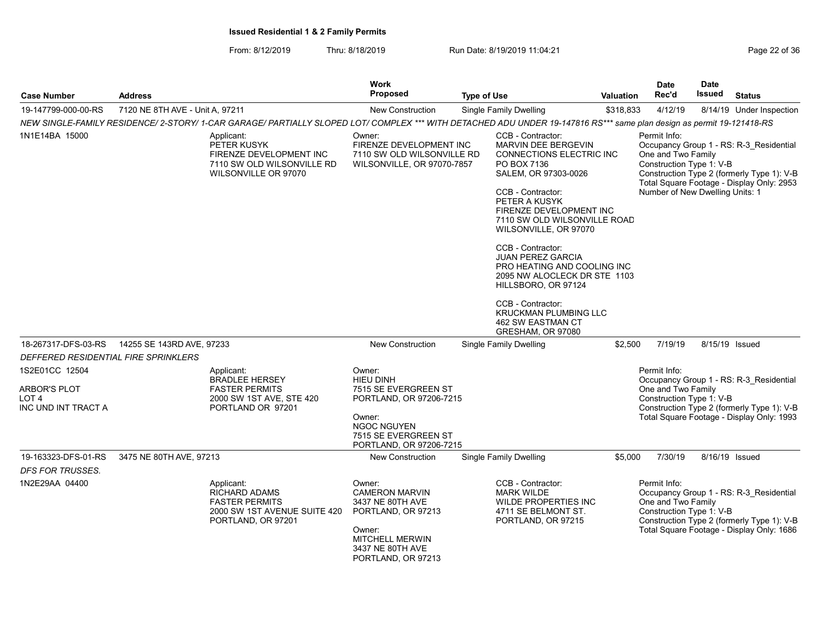| <b>Case Number</b>                                             | <b>Address</b>                  |                                                                                                                                                                       | <b>Work</b><br><b>Proposed</b>                                                                                                                          | <b>Type of Use</b> |                                                                                                                                                                                                                                                                                                                                                                                                                                                        | Valuation | <b>Date</b><br>Rec'd                                                                              | <b>Date</b><br><b>Issued</b> | <b>Status</b>                                                                                                                      |
|----------------------------------------------------------------|---------------------------------|-----------------------------------------------------------------------------------------------------------------------------------------------------------------------|---------------------------------------------------------------------------------------------------------------------------------------------------------|--------------------|--------------------------------------------------------------------------------------------------------------------------------------------------------------------------------------------------------------------------------------------------------------------------------------------------------------------------------------------------------------------------------------------------------------------------------------------------------|-----------|---------------------------------------------------------------------------------------------------|------------------------------|------------------------------------------------------------------------------------------------------------------------------------|
| 19-147799-000-00-RS                                            | 7120 NE 8TH AVE - Unit A, 97211 |                                                                                                                                                                       | <b>New Construction</b>                                                                                                                                 |                    | <b>Single Family Dwelling</b>                                                                                                                                                                                                                                                                                                                                                                                                                          | \$318,833 | 4/12/19                                                                                           |                              | 8/14/19 Under Inspection                                                                                                           |
|                                                                |                                 | NEW SINGLE-FAMILY RESIDENCE/ 2-STORY/ 1-CAR GARAGE/ PARTIALLY SLOPED LOT/ COMPLEX *** WITH DETACHED ADU UNDER 19-147816 RS*** same plan design as permit 19-121418-RS |                                                                                                                                                         |                    |                                                                                                                                                                                                                                                                                                                                                                                                                                                        |           |                                                                                                   |                              |                                                                                                                                    |
| 1N1E14BA 15000                                                 |                                 | Applicant:<br>PETER KUSYK<br>FIRENZE DEVELOPMENT INC<br>7110 SW OLD WILSONVILLE RD<br>WILSONVILLE OR 97070                                                            | Owner:<br>FIRENZE DEVELOPMENT INC<br>7110 SW OLD WILSONVILLE RD<br>WILSONVILLE, OR 97070-7857                                                           |                    | CCB - Contractor:<br><b>MARVIN DEE BERGEVIN</b><br>CONNECTIONS ELECTRIC INC<br>PO BOX 7136<br>SALEM, OR 97303-0026<br>CCB - Contractor:<br>PETER A KUSYK<br>FIRENZE DEVELOPMENT INC<br>7110 SW OLD WILSONVILLE ROAD<br>WILSONVILLE, OR 97070<br>CCB - Contractor:<br><b>JUAN PEREZ GARCIA</b><br>PRO HEATING AND COOLING INC<br>2095 NW ALOCLECK DR STE 1103<br>HILLSBORO, OR 97124<br>CCB - Contractor:<br>KRUCKMAN PLUMBING LLC<br>462 SW EASTMAN CT |           | Permit Info:<br>One and Two Family<br>Construction Type 1: V-B<br>Number of New Dwelling Units: 1 |                              | Occupancy Group 1 - RS: R-3 Residential<br>Construction Type 2 (formerly Type 1): V-B<br>Total Square Footage - Display Only: 2953 |
| 18-267317-DFS-03-RS                                            | 14255 SE 143RD AVE, 97233       |                                                                                                                                                                       | <b>New Construction</b>                                                                                                                                 |                    | GRESHAM, OR 97080<br><b>Single Family Dwelling</b>                                                                                                                                                                                                                                                                                                                                                                                                     | \$2.500   | 7/19/19                                                                                           |                              | 8/15/19 Issued                                                                                                                     |
| DEFFERED RESIDENTIAL FIRE SPRINKLERS                           |                                 |                                                                                                                                                                       |                                                                                                                                                         |                    |                                                                                                                                                                                                                                                                                                                                                                                                                                                        |           |                                                                                                   |                              |                                                                                                                                    |
| 1S2E01CC 12504                                                 |                                 | Applicant:<br><b>BRADLEE HERSEY</b>                                                                                                                                   | Owner:<br><b>HIEU DINH</b>                                                                                                                              |                    |                                                                                                                                                                                                                                                                                                                                                                                                                                                        |           | Permit Info:                                                                                      |                              | Occupancy Group 1 - RS: R-3_Residential                                                                                            |
| <b>ARBOR'S PLOT</b><br>LOT <sub>4</sub><br>INC UND INT TRACT A |                                 | <b>FASTER PERMITS</b><br>2000 SW 1ST AVE, STE 420<br>PORTLAND OR 97201                                                                                                | 7515 SE EVERGREEN ST<br>PORTLAND, OR 97206-7215<br>Owner:<br><b>NGOC NGUYEN</b>                                                                         |                    |                                                                                                                                                                                                                                                                                                                                                                                                                                                        |           | One and Two Family<br>Construction Type 1: V-B                                                    |                              | Construction Type 2 (formerly Type 1): V-B<br>Total Square Footage - Display Only: 1993                                            |
|                                                                |                                 |                                                                                                                                                                       | 7515 SE EVERGREEN ST<br>PORTLAND, OR 97206-7215                                                                                                         |                    |                                                                                                                                                                                                                                                                                                                                                                                                                                                        |           |                                                                                                   |                              |                                                                                                                                    |
| 19-163323-DFS-01-RS<br><b>DFS FOR TRUSSES.</b>                 | 3475 NE 80TH AVE, 97213         |                                                                                                                                                                       | New Construction                                                                                                                                        |                    | Single Family Dwelling                                                                                                                                                                                                                                                                                                                                                                                                                                 | \$5,000   | 7/30/19                                                                                           |                              | 8/16/19 Issued                                                                                                                     |
| 1N2E29AA 04400                                                 |                                 | Applicant:<br>RICHARD ADAMS<br><b>FASTER PERMITS</b><br>2000 SW 1ST AVENUE SUITE 420<br>PORTLAND, OR 97201                                                            | Owner:<br><b>CAMERON MARVIN</b><br>3437 NE 80TH AVE<br>PORTLAND, OR 97213<br>Owner:<br><b>MITCHELL MERWIN</b><br>3437 NE 80TH AVE<br>PORTLAND, OR 97213 |                    | CCB - Contractor:<br><b>MARK WILDE</b><br>WILDE PROPERTIES INC<br>4711 SE BELMONT ST.<br>PORTLAND, OR 97215                                                                                                                                                                                                                                                                                                                                            |           | Permit Info:<br>One and Two Family<br>Construction Type 1: V-B                                    |                              | Occupancy Group 1 - RS: R-3 Residential<br>Construction Type 2 (formerly Type 1): V-B<br>Total Square Footage - Display Only: 1686 |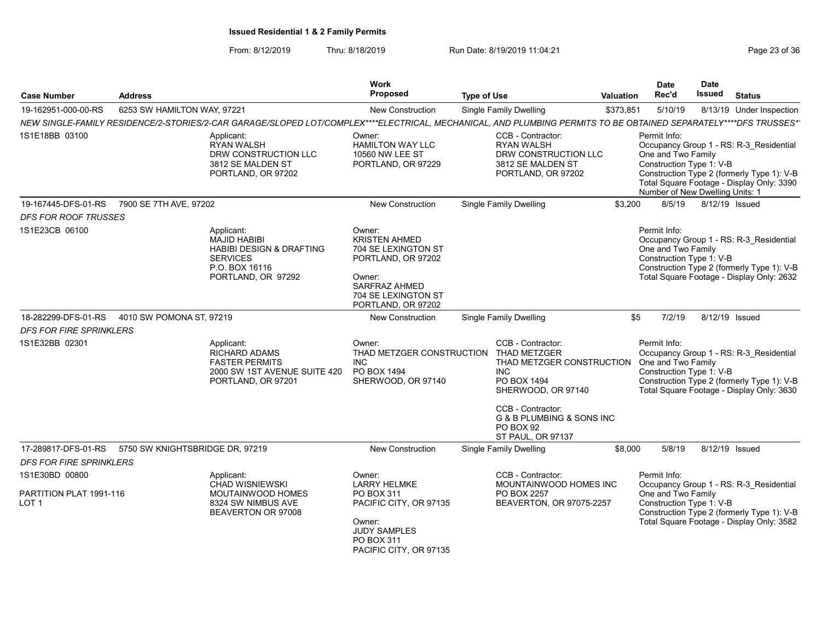| <b>Case Number</b>                                            | <b>Address</b>                  |                                                                                                                                                                 | <b>Work</b><br>Proposed                                                                                                                                    |                    |                                                                                                                                                                                 |                  | <b>Date</b><br>Rec'd                                                                              | <b>Date</b><br><b>Issued</b> | <b>Status</b>                                                                                                                      |
|---------------------------------------------------------------|---------------------------------|-----------------------------------------------------------------------------------------------------------------------------------------------------------------|------------------------------------------------------------------------------------------------------------------------------------------------------------|--------------------|---------------------------------------------------------------------------------------------------------------------------------------------------------------------------------|------------------|---------------------------------------------------------------------------------------------------|------------------------------|------------------------------------------------------------------------------------------------------------------------------------|
|                                                               |                                 |                                                                                                                                                                 |                                                                                                                                                            | <b>Type of Use</b> |                                                                                                                                                                                 | <b>Valuation</b> |                                                                                                   |                              |                                                                                                                                    |
| 19-162951-000-00-RS                                           | 6253 SW HAMILTON WAY, 97221     |                                                                                                                                                                 | <b>New Construction</b>                                                                                                                                    |                    | <b>Single Family Dwelling</b>                                                                                                                                                   | \$373,851        | 5/10/19                                                                                           |                              | 8/13/19 Under Inspection                                                                                                           |
|                                                               |                                 | NEW SINGLE-FAMILY RESIDENCE/2-STORIES/2-CAR GARAGE/SLOPED LOT/COMPLEX****ELECTRICAL, MECHANICAL, AND PLUMBING PERMITS TO BE OBTAINED SEPARATELY****DFS TRUSSES* |                                                                                                                                                            |                    |                                                                                                                                                                                 |                  |                                                                                                   |                              |                                                                                                                                    |
| 1S1E18BB 03100                                                |                                 | Applicant:<br><b>RYAN WALSH</b><br>DRW CONSTRUCTION LLC<br>3812 SE MALDEN ST<br>PORTLAND, OR 97202                                                              | Owner:<br><b>HAMILTON WAY LLC</b><br>10560 NW LEE ST<br>PORTLAND, OR 97229                                                                                 |                    | CCB - Contractor:<br><b>RYAN WALSH</b><br>DRW CONSTRUCTION LLC<br>3812 SE MALDEN ST<br>PORTLAND, OR 97202                                                                       |                  | Permit Info:<br>One and Two Family<br>Construction Type 1: V-B<br>Number of New Dwelling Units: 1 |                              | Occupancy Group 1 - RS: R-3 Residential<br>Construction Type 2 (formerly Type 1): V-B<br>Total Square Footage - Display Only: 3390 |
| 19-167445-DFS-01-RS                                           | 7900 SE 7TH AVE, 97202          |                                                                                                                                                                 | New Construction                                                                                                                                           |                    | <b>Single Family Dwelling</b>                                                                                                                                                   | \$3,200          | 8/5/19                                                                                            |                              | 8/12/19 Issued                                                                                                                     |
| <b>DFS FOR ROOF TRUSSES</b>                                   |                                 |                                                                                                                                                                 |                                                                                                                                                            |                    |                                                                                                                                                                                 |                  |                                                                                                   |                              |                                                                                                                                    |
| 1S1E23CB 06100                                                |                                 | Applicant:<br>MAJID HABIBI<br><b>HABIBI DESIGN &amp; DRAFTING</b><br><b>SERVICES</b><br>P.O. BOX 16116<br>PORTLAND, OR 97292                                    | Owner:<br><b>KRISTEN AHMED</b><br>704 SE LEXINGTON ST<br>PORTLAND, OR 97202<br>Owner:<br><b>SARFRAZ AHMED</b><br>704 SE LEXINGTON ST<br>PORTLAND, OR 97202 |                    |                                                                                                                                                                                 |                  | Permit Info:<br>One and Two Family<br>Construction Type 1: V-B                                    |                              | Occupancy Group 1 - RS: R-3 Residential<br>Construction Type 2 (formerly Type 1): V-B<br>Total Square Footage - Display Only: 2632 |
| 18-282299-DFS-01-RS                                           | 4010 SW POMONA ST, 97219        |                                                                                                                                                                 | <b>New Construction</b>                                                                                                                                    |                    | <b>Single Family Dwelling</b>                                                                                                                                                   |                  | \$5<br>7/2/19                                                                                     |                              | 8/12/19 Issued                                                                                                                     |
| <b>DFS FOR FIRE SPRINKLERS</b>                                |                                 |                                                                                                                                                                 |                                                                                                                                                            |                    |                                                                                                                                                                                 |                  |                                                                                                   |                              |                                                                                                                                    |
| 1S1E32BB 02301                                                |                                 | Applicant:<br><b>RICHARD ADAMS</b><br><b>FASTER PERMITS</b><br>2000 SW 1ST AVENUE SUITE 420<br>PORTLAND, OR 97201                                               | Owner:<br>THAD METZGER CONSTRUCTION THAD METZGER<br><b>INC</b><br>PO BOX 1494<br>SHERWOOD, OR 97140                                                        |                    | CCB - Contractor:<br>THAD METZGER CONSTRUCTION<br>INC.<br>PO BOX 1494<br>SHERWOOD, OR 97140<br>CCB - Contractor:<br>G & B PLUMBING & SONS INC<br>PO BOX 92<br>ST PAUL, OR 97137 |                  | Permit Info:<br>One and Two Family<br>Construction Type 1: V-B                                    |                              | Occupancy Group 1 - RS: R-3 Residential<br>Construction Type 2 (formerly Type 1): V-B<br>Total Square Footage - Display Only: 3630 |
| 17-289817-DFS-01-RS                                           | 5750 SW KNIGHTSBRIDGE DR, 97219 |                                                                                                                                                                 | New Construction                                                                                                                                           |                    | <b>Single Family Dwelling</b>                                                                                                                                                   | \$8,000          | 5/8/19                                                                                            |                              | 8/12/19 Issued                                                                                                                     |
| <b>DFS FOR FIRE SPRINKLERS</b>                                |                                 |                                                                                                                                                                 |                                                                                                                                                            |                    |                                                                                                                                                                                 |                  |                                                                                                   |                              |                                                                                                                                    |
| 1S1E30BD 00800<br>PARTITION PLAT 1991-116<br>LOT <sub>1</sub> |                                 | Applicant:<br><b>CHAD WISNIEWSKI</b><br>MOUTAINWOOD HOMES<br>8324 SW NIMBUS AVE<br>BEAVERTON OR 97008                                                           | Owner:<br><b>LARRY HELMKE</b><br>PO BOX 311<br>PACIFIC CITY, OR 97135<br>Owner:<br><b>JUDY SAMPLES</b><br>PO BOX 311<br>PACIFIC CITY, OR 97135             |                    | CCB - Contractor:<br>MOUNTAINWOOD HOMES INC<br>PO BOX 2257<br>BEAVERTON, OR 97075-2257                                                                                          |                  | Permit Info:<br>One and Two Family<br>Construction Type 1: V-B                                    |                              | Occupancy Group 1 - RS: R-3 Residential<br>Construction Type 2 (formerly Type 1): V-B<br>Total Square Footage - Display Only: 3582 |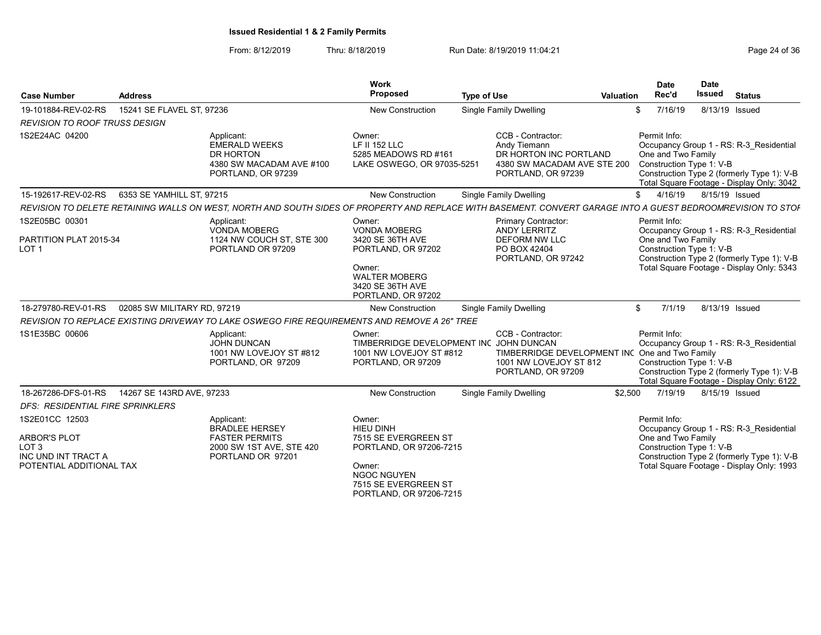| <b>Case Number</b>                                                                                           | <b>Address</b>              |                                                                                                                                                              | Work<br><b>Proposed</b>                                                                                                                                          | <b>Type of Use</b> |                                                                                                                     | Valuation | <b>Date</b><br>Rec'd               | Date<br><b>Issued</b>    | <b>Status</b>                                                                                                                      |
|--------------------------------------------------------------------------------------------------------------|-----------------------------|--------------------------------------------------------------------------------------------------------------------------------------------------------------|------------------------------------------------------------------------------------------------------------------------------------------------------------------|--------------------|---------------------------------------------------------------------------------------------------------------------|-----------|------------------------------------|--------------------------|------------------------------------------------------------------------------------------------------------------------------------|
| 19-101884-REV-02-RS                                                                                          | 15241 SE FLAVEL ST, 97236   |                                                                                                                                                              | New Construction                                                                                                                                                 |                    | <b>Single Family Dwelling</b>                                                                                       |           | 7/16/19<br>\$                      | 8/13/19 Issued           |                                                                                                                                    |
| <b>REVISION TO ROOF TRUSS DESIGN</b>                                                                         |                             |                                                                                                                                                              |                                                                                                                                                                  |                    |                                                                                                                     |           |                                    |                          |                                                                                                                                    |
| 1S2E24AC 04200                                                                                               |                             | Applicant:<br><b>EMERALD WEEKS</b><br>DR HORTON<br>4380 SW MACADAM AVE #100<br>PORTLAND, OR 97239                                                            | Owner:<br><b>LF II 152 LLC</b><br>5285 MEADOWS RD #161<br>LAKE OSWEGO, OR 97035-5251                                                                             |                    | CCB - Contractor:<br>Andy Tiemann<br>DR HORTON INC PORTLAND<br>4380 SW MACADAM AVE STE 200<br>PORTLAND, OR 97239    |           | Permit Info:<br>One and Two Family | Construction Type 1: V-B | Occupancy Group 1 - RS: R-3 Residential<br>Construction Type 2 (formerly Type 1): V-B<br>Total Square Footage - Display Only: 3042 |
| 15-192617-REV-02-RS                                                                                          | 6353 SE YAMHILL ST, 97215   |                                                                                                                                                              | <b>New Construction</b>                                                                                                                                          |                    | Single Family Dwelling                                                                                              |           | 4/16/19<br>\$                      | 8/15/19 Issued           |                                                                                                                                    |
|                                                                                                              |                             | REVISION TO DELETE RETAINING WALLS ON WEST, NORTH AND SOUTH SIDES OF PROPERTY AND REPLACE WITH BASEMENT. CONVERT GARAGE INTO A GUEST BEDROOMREVISION TO STOF |                                                                                                                                                                  |                    |                                                                                                                     |           |                                    |                          |                                                                                                                                    |
| 1S2E05BC 00301<br>PARTITION PLAT 2015-34<br>LOT <sub>1</sub>                                                 |                             | Applicant:<br><b>VONDA MOBERG</b><br>1124 NW COUCH ST, STE 300<br>PORTLAND OR 97209                                                                          | Owner:<br><b>VONDA MOBERG</b><br>3420 SE 36TH AVE<br>PORTLAND, OR 97202<br>Owner:<br><b>WALTER MOBERG</b>                                                        |                    | Primary Contractor:<br><b>ANDY LERRITZ</b><br><b>DEFORM NW LLC</b><br>PO BOX 42404<br>PORTLAND, OR 97242            |           | Permit Info:<br>One and Two Family | Construction Type 1: V-B | Occupancy Group 1 - RS: R-3 Residential<br>Construction Type 2 (formerly Type 1): V-B<br>Total Square Footage - Display Only: 5343 |
| 18-279780-REV-01-RS                                                                                          | 02085 SW MILITARY RD, 97219 |                                                                                                                                                              | 3420 SE 36TH AVE<br>PORTLAND, OR 97202<br><b>New Construction</b>                                                                                                |                    | <b>Single Family Dwelling</b>                                                                                       |           | 7/1/19<br>\$                       | 8/13/19 Issued           |                                                                                                                                    |
|                                                                                                              |                             | REVISION TO REPLACE EXISTING DRIVEWAY TO LAKE OSWEGO FIRE REQUIREMENTS AND REMOVE A 26" TREE                                                                 |                                                                                                                                                                  |                    |                                                                                                                     |           |                                    |                          |                                                                                                                                    |
| 1S1E35BC 00606                                                                                               |                             | Applicant:<br>JOHN DUNCAN<br>1001 NW LOVEJOY ST #812<br>PORTLAND, OR 97209                                                                                   | Owner:<br>TIMBERRIDGE DEVELOPMENT INC JOHN DUNCAN<br>1001 NW LOVEJOY ST #812<br>PORTLAND, OR 97209                                                               |                    | CCB - Contractor:<br>TIMBERRIDGE DEVELOPMENT INC One and Two Family<br>1001 NW LOVEJOY ST 812<br>PORTLAND, OR 97209 |           | Permit Info:                       | Construction Type 1: V-B | Occupancy Group 1 - RS: R-3 Residential<br>Construction Type 2 (formerly Type 1): V-B<br>Total Square Footage - Display Only: 6122 |
| 18-267286-DFS-01-RS                                                                                          | 14267 SE 143RD AVE, 97233   |                                                                                                                                                              | <b>New Construction</b>                                                                                                                                          |                    | <b>Single Family Dwelling</b>                                                                                       | \$2.500   | 7/19/19                            | 8/15/19 Issued           |                                                                                                                                    |
| DFS: RESIDENTIAL FIRE SPRINKLERS                                                                             |                             |                                                                                                                                                              |                                                                                                                                                                  |                    |                                                                                                                     |           |                                    |                          |                                                                                                                                    |
| 1S2E01CC 12503<br><b>ARBOR'S PLOT</b><br>LOT <sub>3</sub><br>INC UND INT TRACT A<br>POTENTIAL ADDITIONAL TAX |                             | Applicant:<br><b>BRADLEE HERSEY</b><br><b>FASTER PERMITS</b><br>2000 SW 1ST AVE, STE 420<br>PORTLAND OR 97201                                                | Owner:<br><b>HIEU DINH</b><br>7515 SE EVERGREEN ST<br>PORTLAND, OR 97206-7215<br>Owner:<br><b>NGOC NGUYEN</b><br>7515 SE EVERGREEN ST<br>PORTLAND, OR 97206-7215 |                    |                                                                                                                     |           | Permit Info:<br>One and Two Family | Construction Type 1: V-B | Occupancy Group 1 - RS: R-3 Residential<br>Construction Type 2 (formerly Type 1): V-B<br>Total Square Footage - Display Only: 1993 |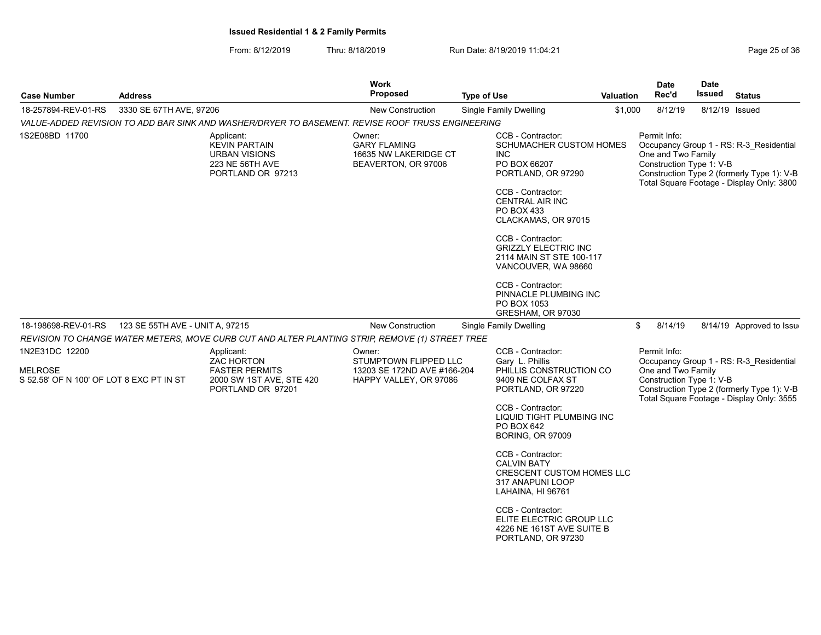From: 8/12/2019 Thru: 8/18/2019 Run Date: 8/19/2019 11:04:21

|                                                                                                    | Work<br><b>Proposed</b>                                                                                | <b>Type of Use</b>                                                                                                                                                                                                               |                                                                                                                                                                                                                                                                                                                                                  | <b>Date</b><br>Rec'd                                                                                                                                                                                                                                                                                                                 | <b>Date</b><br>Issued             | <b>Status</b>                                                                                                                                                                                                                                                                                                                                                                |
|----------------------------------------------------------------------------------------------------|--------------------------------------------------------------------------------------------------------|----------------------------------------------------------------------------------------------------------------------------------------------------------------------------------------------------------------------------------|--------------------------------------------------------------------------------------------------------------------------------------------------------------------------------------------------------------------------------------------------------------------------------------------------------------------------------------------------|--------------------------------------------------------------------------------------------------------------------------------------------------------------------------------------------------------------------------------------------------------------------------------------------------------------------------------------|-----------------------------------|------------------------------------------------------------------------------------------------------------------------------------------------------------------------------------------------------------------------------------------------------------------------------------------------------------------------------------------------------------------------------|
|                                                                                                    | <b>New Construction</b>                                                                                | <b>Single Family Dwelling</b>                                                                                                                                                                                                    |                                                                                                                                                                                                                                                                                                                                                  | 8/12/19                                                                                                                                                                                                                                                                                                                              |                                   | 8/12/19 Issued                                                                                                                                                                                                                                                                                                                                                               |
|                                                                                                    |                                                                                                        |                                                                                                                                                                                                                                  |                                                                                                                                                                                                                                                                                                                                                  |                                                                                                                                                                                                                                                                                                                                      |                                   |                                                                                                                                                                                                                                                                                                                                                                              |
| Applicant:<br><b>KEVIN PARTAIN</b><br>URBAN VISIONS<br>223 NE 56TH AVE<br>PORTLAND OR 97213        | Owner:<br><b>GARY FLAMING</b><br>16635 NW LAKERIDGE CT<br>BEAVERTON, OR 97006                          | CCB - Contractor:<br><b>INC</b><br>PO BOX 66207<br>CCB - Contractor:<br>CENTRAL AIR INC<br>PO BOX 433<br>CCB - Contractor:<br>CCB - Contractor:                                                                                  |                                                                                                                                                                                                                                                                                                                                                  | Permit Info:                                                                                                                                                                                                                                                                                                                         |                                   |                                                                                                                                                                                                                                                                                                                                                                              |
|                                                                                                    |                                                                                                        | GRESHAM, OR 97030                                                                                                                                                                                                                |                                                                                                                                                                                                                                                                                                                                                  |                                                                                                                                                                                                                                                                                                                                      |                                   |                                                                                                                                                                                                                                                                                                                                                                              |
|                                                                                                    | <b>New Construction</b>                                                                                | Single Family Dwelling                                                                                                                                                                                                           |                                                                                                                                                                                                                                                                                                                                                  | 8/14/19                                                                                                                                                                                                                                                                                                                              |                                   | 8/14/19 Approved to Issue                                                                                                                                                                                                                                                                                                                                                    |
|                                                                                                    |                                                                                                        |                                                                                                                                                                                                                                  |                                                                                                                                                                                                                                                                                                                                                  |                                                                                                                                                                                                                                                                                                                                      |                                   |                                                                                                                                                                                                                                                                                                                                                                              |
| Applicant:<br>ZAC HORTON<br><b>FASTER PERMITS</b><br>2000 SW 1ST AVE, STE 420<br>PORTLAND OR 97201 | Owner:                                                                                                 | CCB - Contractor:<br>Gary L. Phillis<br>9409 NE COLFAX ST<br>CCB - Contractor:<br>PO BOX 642<br><b>BORING, OR 97009</b><br>CCB - Contractor:<br><b>CALVIN BATY</b><br>317 ANAPUNI LOOP<br>LAHAINA, HI 96761<br>CCB - Contractor: |                                                                                                                                                                                                                                                                                                                                                  | Permit Info:                                                                                                                                                                                                                                                                                                                         |                                   |                                                                                                                                                                                                                                                                                                                                                                              |
|                                                                                                    | 3330 SE 67TH AVE, 97206<br>123 SE 55TH AVE - UNIT A, 97215<br>S 52.58' OF N 100' OF LOT 8 EXC PT IN ST |                                                                                                                                                                                                                                  | VALUE-ADDED REVISION TO ADD BAR SINK AND WASHER/DRYER TO BASEMENT. REVISE ROOF TRUSS ENGINEERING<br>PORTLAND, OR 97290<br>PO BOX 1053<br>REVISION TO CHANGE WATER METERS, MOVE CURB CUT AND ALTER PLANTING STRIP, REMOVE (1) STREET TREE<br>STUMPTOWN FLIPPED LLC<br>13203 SE 172ND AVE #166-204<br>HAPPY VALLEY, OR 97086<br>PORTLAND, OR 97230 | SCHUMACHER CUSTOM HOMES<br>CLACKAMAS, OR 97015<br><b>GRIZZLY ELECTRIC INC</b><br>2114 MAIN ST STE 100-117<br>VANCOUVER, WA 98660<br>PINNACLE PLUMBING INC<br>PHILLIS CONSTRUCTION CO<br>PORTLAND, OR 97220<br>LIQUID TIGHT PLUMBING INC<br><b>CRESCENT CUSTOM HOMES LLC</b><br>ELITE ELECTRIC GROUP LLC<br>4226 NE 161ST AVE SUITE B | <b>Valuation</b><br>\$1,000<br>\$ | Occupancy Group 1 - RS: R-3 Residential<br>One and Two Family<br>Construction Type 1: V-B<br>Construction Type 2 (formerly Type 1): V-B<br>Total Square Footage - Display Only: 3800<br>Occupancy Group 1 - RS: R-3 Residential<br>One and Two Family<br>Construction Type 1: V-B<br>Construction Type 2 (formerly Type 1): V-B<br>Total Square Footage - Display Only: 3555 |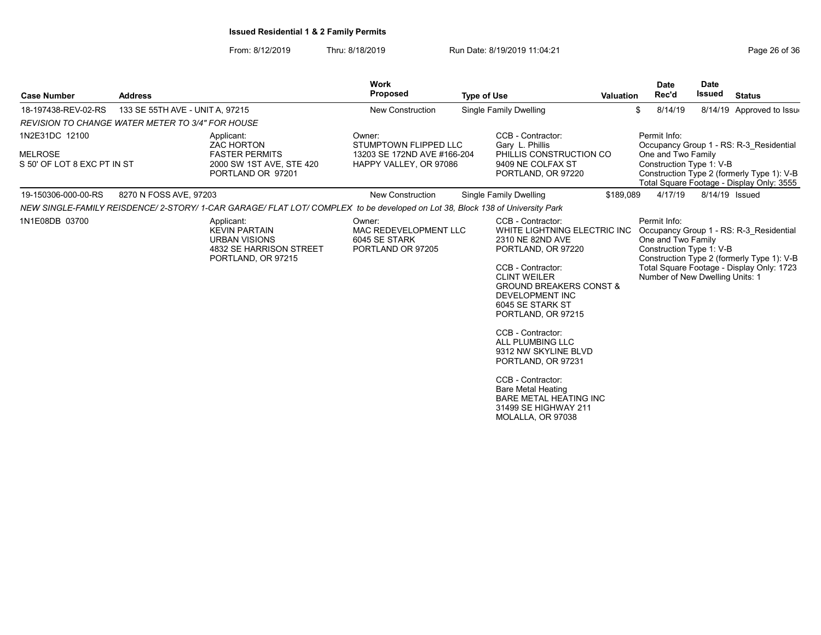| <b>Case Number</b>                                              | <b>Address</b>                  |                                                                                                                               | <b>Work</b><br><b>Proposed</b>                                                           | <b>Type of Use</b>                                                                                                                                                                                                                                                                                                                                                                                                                                                       | Valuation | <b>Date</b><br>Rec'd                                                                              | <b>Date</b><br>Issued | <b>Status</b>                                                                                                                      |
|-----------------------------------------------------------------|---------------------------------|-------------------------------------------------------------------------------------------------------------------------------|------------------------------------------------------------------------------------------|--------------------------------------------------------------------------------------------------------------------------------------------------------------------------------------------------------------------------------------------------------------------------------------------------------------------------------------------------------------------------------------------------------------------------------------------------------------------------|-----------|---------------------------------------------------------------------------------------------------|-----------------------|------------------------------------------------------------------------------------------------------------------------------------|
| 18-197438-REV-02-RS                                             | 133 SE 55TH AVE - UNIT A, 97215 |                                                                                                                               | <b>New Construction</b>                                                                  | Single Family Dwelling                                                                                                                                                                                                                                                                                                                                                                                                                                                   |           | 8/14/19<br>\$                                                                                     |                       | 8/14/19 Approved to Issue                                                                                                          |
| <b>REVISION TO CHANGE WATER METER TO 3/4" FOR HOUSE</b>         |                                 |                                                                                                                               |                                                                                          |                                                                                                                                                                                                                                                                                                                                                                                                                                                                          |           |                                                                                                   |                       |                                                                                                                                    |
| 1N2E31DC 12100<br><b>MELROSE</b><br>S 50' OF LOT 8 EXC PT IN ST |                                 | Applicant:<br><b>ZAC HORTON</b><br><b>FASTER PERMITS</b><br>2000 SW 1ST AVE, STE 420<br>PORTLAND OR 97201                     | Owner:<br>STUMPTOWN FLIPPED LLC<br>13203 SE 172ND AVE #166-204<br>HAPPY VALLEY, OR 97086 | CCB - Contractor:<br>Gary L. Phillis<br>PHILLIS CONSTRUCTION CO<br>9409 NE COLFAX ST<br>PORTLAND, OR 97220                                                                                                                                                                                                                                                                                                                                                               |           | Permit Info:<br>One and Two Family<br>Construction Type 1: V-B                                    |                       | Occupancy Group 1 - RS: R-3 Residential<br>Construction Type 2 (formerly Type 1): V-B<br>Total Square Footage - Display Only: 3555 |
| 19-150306-000-00-RS                                             | 8270 N FOSS AVE, 97203          |                                                                                                                               | <b>New Construction</b>                                                                  | Single Family Dwelling                                                                                                                                                                                                                                                                                                                                                                                                                                                   | \$189,089 | 4/17/19                                                                                           |                       | 8/14/19 Issued                                                                                                                     |
|                                                                 |                                 | NEW SINGLE-FAMILY REISDENCE/ 2-STORY/ 1-CAR GARAGE/ FLAT LOT/ COMPLEX to be developed on Lot 38, Block 138 of University Park |                                                                                          |                                                                                                                                                                                                                                                                                                                                                                                                                                                                          |           |                                                                                                   |                       |                                                                                                                                    |
| 1N1E08DB 03700                                                  |                                 | Applicant:<br><b>KEVIN PARTAIN</b><br><b>URBAN VISIONS</b><br>4832 SE HARRISON STREET<br>PORTLAND, OR 97215                   | Owner:<br>MAC REDEVELOPMENT LLC<br>6045 SE STARK<br>PORTLAND OR 97205                    | CCB - Contractor:<br>WHITE LIGHTNING ELECTRIC INC<br>2310 NE 82ND AVE<br>PORTLAND, OR 97220<br>CCB - Contractor:<br><b>CLINT WEILER</b><br><b>GROUND BREAKERS CONST &amp;</b><br><b>DEVELOPMENT INC</b><br>6045 SE STARK ST<br>PORTLAND, OR 97215<br>CCB - Contractor:<br>ALL PLUMBING LLC<br>9312 NW SKYLINE BLVD<br>PORTLAND, OR 97231<br>CCB - Contractor:<br><b>Bare Metal Heating</b><br><b>BARE METAL HEATING INC</b><br>31499 SE HIGHWAY 211<br>MOLALLA, OR 97038 |           | Permit Info:<br>One and Two Family<br>Construction Type 1: V-B<br>Number of New Dwelling Units: 1 |                       | Occupancy Group 1 - RS: R-3 Residential<br>Construction Type 2 (formerly Type 1): V-B<br>Total Square Footage - Display Only: 1723 |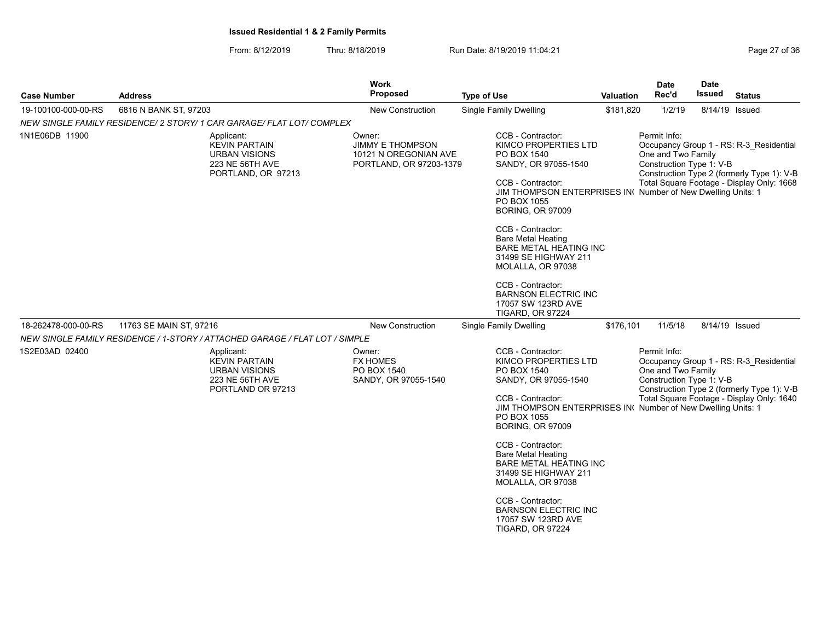From: 8/12/2019 Thru: 8/18/2019 Run Date: 8/19/2019 11:04:21

| <b>Case Number</b>  | <b>Address</b>                                                                                      | Work<br><b>Proposed</b>                                                               | <b>Type of Use</b>                                                                                                                                                                                                                                                                                                                                                                                                                                  | Valuation | Date<br>Rec'd                                                  | <b>Date</b><br>Issued | <b>Status</b>                                                                                                                      |
|---------------------|-----------------------------------------------------------------------------------------------------|---------------------------------------------------------------------------------------|-----------------------------------------------------------------------------------------------------------------------------------------------------------------------------------------------------------------------------------------------------------------------------------------------------------------------------------------------------------------------------------------------------------------------------------------------------|-----------|----------------------------------------------------------------|-----------------------|------------------------------------------------------------------------------------------------------------------------------------|
| 19-100100-000-00-RS | 6816 N BANK ST, 97203                                                                               | New Construction                                                                      | <b>Single Family Dwelling</b>                                                                                                                                                                                                                                                                                                                                                                                                                       | \$181,820 | 1/2/19                                                         |                       | 8/14/19 Issued                                                                                                                     |
|                     | NEW SINGLE FAMILY RESIDENCE/ 2 STORY/ 1 CAR GARAGE/ FLAT LOT/ COMPLEX                               |                                                                                       |                                                                                                                                                                                                                                                                                                                                                                                                                                                     |           |                                                                |                       |                                                                                                                                    |
| 1N1E06DB 11900      | Applicant:<br><b>KEVIN PARTAIN</b><br><b>URBAN VISIONS</b><br>223 NE 56TH AVE<br>PORTLAND, OR 97213 | Owner:<br><b>JIMMY E THOMPSON</b><br>10121 N OREGONIAN AVE<br>PORTLAND, OR 97203-1379 | CCB - Contractor:<br>KIMCO PROPERTIES LTD<br>PO BOX 1540<br>SANDY, OR 97055-1540<br>CCB - Contractor:<br>JIM THOMPSON ENTERPRISES IN Number of New Dwelling Units: 1<br>PO BOX 1055<br><b>BORING, OR 97009</b><br>CCB - Contractor:<br><b>Bare Metal Heating</b><br>BARE METAL HEATING INC<br>31499 SE HIGHWAY 211<br>MOLALLA, OR 97038<br>CCB - Contractor:<br><b>BARNSON ELECTRIC INC</b><br>17057 SW 123RD AVE                                   |           | Permit Info:<br>One and Two Family<br>Construction Type 1: V-B |                       | Occupancy Group 1 - RS: R-3 Residential<br>Construction Type 2 (formerly Type 1): V-B<br>Total Square Footage - Display Only: 1668 |
| 18-262478-000-00-RS | 11763 SE MAIN ST, 97216                                                                             | <b>New Construction</b>                                                               | <b>TIGARD, OR 97224</b><br><b>Single Family Dwelling</b>                                                                                                                                                                                                                                                                                                                                                                                            | \$176,101 | 11/5/18                                                        |                       | 8/14/19 Issued                                                                                                                     |
|                     | NEW SINGLE FAMILY RESIDENCE / 1-STORY / ATTACHED GARAGE / FLAT LOT / SIMPLE                         |                                                                                       |                                                                                                                                                                                                                                                                                                                                                                                                                                                     |           |                                                                |                       |                                                                                                                                    |
| 1S2E03AD 02400      | Applicant:<br><b>KEVIN PARTAIN</b><br><b>URBAN VISIONS</b><br>223 NE 56TH AVE<br>PORTLAND OR 97213  | Owner:<br><b>FX HOMES</b><br>PO BOX 1540<br>SANDY, OR 97055-1540                      | CCB - Contractor:<br>KIMCO PROPERTIES LTD<br>PO BOX 1540<br>SANDY, OR 97055-1540<br>CCB - Contractor:<br>JIM THOMPSON ENTERPRISES IN Number of New Dwelling Units: 1<br>PO BOX 1055<br><b>BORING, OR 97009</b><br>CCB - Contractor:<br><b>Bare Metal Heating</b><br><b>BARE METAL HEATING INC</b><br>31499 SE HIGHWAY 211<br>MOLALLA, OR 97038<br>CCB - Contractor:<br><b>BARNSON ELECTRIC INC</b><br>17057 SW 123RD AVE<br><b>TIGARD, OR 97224</b> |           | Permit Info:<br>One and Two Family<br>Construction Type 1: V-B |                       | Occupancy Group 1 - RS: R-3 Residential<br>Construction Type 2 (formerly Type 1): V-B<br>Total Square Footage - Display Only: 1640 |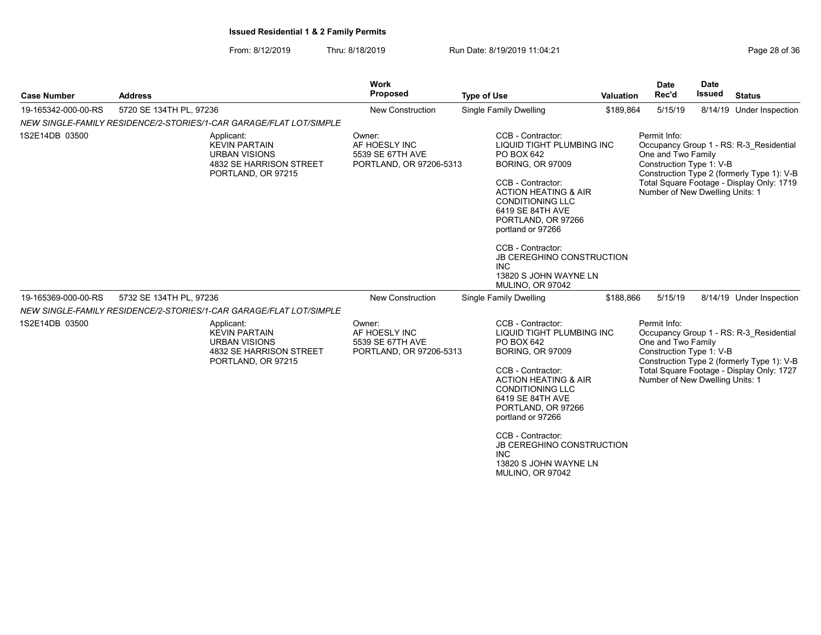| Page 28 of 3 |  |  |
|--------------|--|--|
|              |  |  |

| <b>Case Number</b>  | <b>Address</b>                                                                                              | <b>Work</b><br>Proposed                                                | <b>Type of Use</b>                                                                                                                                                                                                                                                                                                                                                   | <b>Valuation</b> | <b>Date</b><br>Rec'd                                                                              | Date<br><b>Issued</b> | <b>Status</b>                                                                                                                      |
|---------------------|-------------------------------------------------------------------------------------------------------------|------------------------------------------------------------------------|----------------------------------------------------------------------------------------------------------------------------------------------------------------------------------------------------------------------------------------------------------------------------------------------------------------------------------------------------------------------|------------------|---------------------------------------------------------------------------------------------------|-----------------------|------------------------------------------------------------------------------------------------------------------------------------|
| 19-165342-000-00-RS | 5720 SE 134TH PL, 97236                                                                                     | <b>New Construction</b>                                                | <b>Single Family Dwelling</b>                                                                                                                                                                                                                                                                                                                                        | \$189,864        | 5/15/19                                                                                           |                       | 8/14/19 Under Inspection                                                                                                           |
|                     | NEW SINGLE-FAMILY RESIDENCE/2-STORIES/1-CAR GARAGE/FLAT LOT/SIMPLE                                          |                                                                        |                                                                                                                                                                                                                                                                                                                                                                      |                  |                                                                                                   |                       |                                                                                                                                    |
| 1S2E14DB 03500      | Applicant:<br><b>KEVIN PARTAIN</b><br><b>URBAN VISIONS</b><br>4832 SE HARRISON STREET<br>PORTLAND, OR 97215 | Owner:<br>AF HOESLY INC<br>5539 SE 67TH AVE<br>PORTLAND, OR 97206-5313 | CCB - Contractor:<br>LIQUID TIGHT PLUMBING INC<br>PO BOX 642<br><b>BORING, OR 97009</b><br>CCB - Contractor:<br><b>ACTION HEATING &amp; AIR</b><br><b>CONDITIONING LLC</b><br>6419 SE 84TH AVE<br>PORTLAND, OR 97266<br>portland or 97266<br>CCB - Contractor:<br>JB CEREGHINO CONSTRUCTION<br><b>INC</b><br>13820 S JOHN WAYNE LN<br>MULINO, OR 97042               |                  | Permit Info:<br>One and Two Family<br>Construction Type 1: V-B<br>Number of New Dwelling Units: 1 |                       | Occupancy Group 1 - RS: R-3 Residential<br>Construction Type 2 (formerly Type 1): V-B<br>Total Square Footage - Display Only: 1719 |
| 19-165369-000-00-RS | 5732 SE 134TH PL, 97236                                                                                     | New Construction                                                       | Single Family Dwelling                                                                                                                                                                                                                                                                                                                                               | \$188,866        | 5/15/19                                                                                           |                       | 8/14/19 Under Inspection                                                                                                           |
|                     | NEW SINGLE-FAMILY RESIDENCE/2-STORIES/1-CAR GARAGE/FLAT LOT/SIMPLE                                          |                                                                        |                                                                                                                                                                                                                                                                                                                                                                      |                  |                                                                                                   |                       |                                                                                                                                    |
| 1S2E14DB 03500      | Applicant:<br><b>KEVIN PARTAIN</b><br><b>URBAN VISIONS</b><br>4832 SE HARRISON STREET<br>PORTLAND, OR 97215 | Owner:<br>AF HOESLY INC<br>5539 SE 67TH AVE<br>PORTLAND, OR 97206-5313 | CCB - Contractor:<br><b>LIQUID TIGHT PLUMBING INC</b><br>PO BOX 642<br><b>BORING, OR 97009</b><br>CCB - Contractor:<br><b>ACTION HEATING &amp; AIR</b><br><b>CONDITIONING LLC</b><br>6419 SE 84TH AVE<br>PORTLAND, OR 97266<br>portland or 97266<br>CCB - Contractor:<br><b>JB CEREGHINO CONSTRUCTION</b><br><b>INC</b><br>13820 S JOHN WAYNE LN<br>MULINO, OR 97042 |                  | Permit Info:<br>One and Two Family<br>Construction Type 1: V-B<br>Number of New Dwelling Units: 1 |                       | Occupancy Group 1 - RS: R-3 Residential<br>Construction Type 2 (formerly Type 1): V-B<br>Total Square Footage - Display Only: 1727 |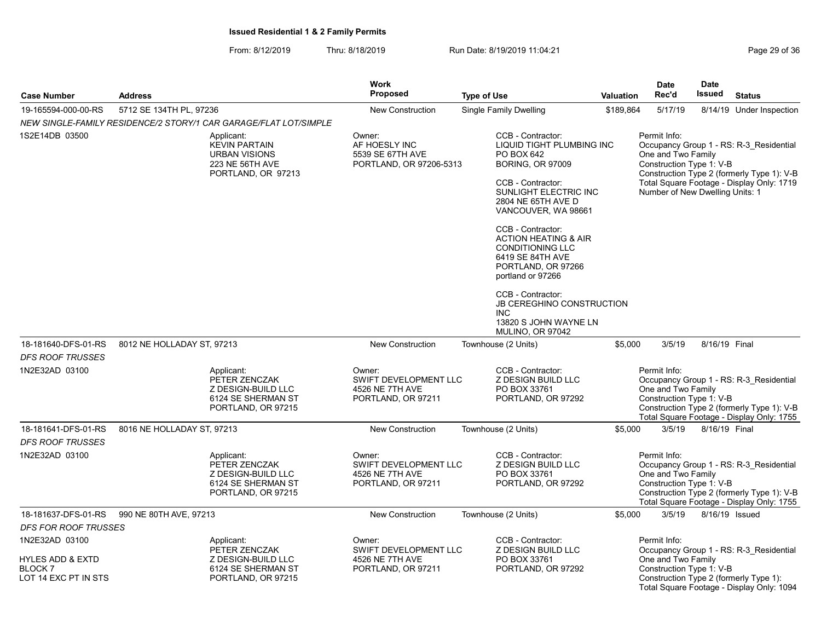From: 8/12/2019 Thru: 8/18/2019 Run Date: 8/19/2019 11:04:21

| Page 29 of 36 |  |  |  |  |
|---------------|--|--|--|--|
|---------------|--|--|--|--|

|                                                                           |                                                                                                     | Work                                                                            |                                                                                                                                                                                                                                                                                                                                                           |                  | <b>Date</b>                                                                                       | <b>Date</b>    |                                                                                                                                    |
|---------------------------------------------------------------------------|-----------------------------------------------------------------------------------------------------|---------------------------------------------------------------------------------|-----------------------------------------------------------------------------------------------------------------------------------------------------------------------------------------------------------------------------------------------------------------------------------------------------------------------------------------------------------|------------------|---------------------------------------------------------------------------------------------------|----------------|------------------------------------------------------------------------------------------------------------------------------------|
| <b>Case Number</b>                                                        | <b>Address</b>                                                                                      | <b>Proposed</b>                                                                 | <b>Type of Use</b>                                                                                                                                                                                                                                                                                                                                        | <b>Valuation</b> | Rec'd                                                                                             | <b>Issued</b>  | <b>Status</b>                                                                                                                      |
| 19-165594-000-00-RS                                                       | 5712 SE 134TH PL, 97236                                                                             | <b>New Construction</b>                                                         | Single Family Dwelling                                                                                                                                                                                                                                                                                                                                    | \$189,864        | 5/17/19                                                                                           |                | 8/14/19 Under Inspection                                                                                                           |
|                                                                           | NEW SINGLE-FAMILY RESIDENCE/2 STORY/1 CAR GARAGE/FLAT LOT/SIMPLE                                    |                                                                                 |                                                                                                                                                                                                                                                                                                                                                           |                  |                                                                                                   |                |                                                                                                                                    |
| 1S2E14DB 03500                                                            | Applicant:<br><b>KEVIN PARTAIN</b><br><b>URBAN VISIONS</b><br>223 NE 56TH AVE<br>PORTLAND, OR 97213 | Owner:<br>AF HOESLY INC<br>5539 SE 67TH AVE<br>PORTLAND, OR 97206-5313          | CCB - Contractor:<br>LIQUID TIGHT PLUMBING INC<br>PO BOX 642<br><b>BORING, OR 97009</b><br>CCB - Contractor:<br>SUNLIGHT ELECTRIC INC<br>2804 NE 65TH AVE D<br>VANCOUVER, WA 98661<br>CCB - Contractor:<br><b>ACTION HEATING &amp; AIR</b><br><b>CONDITIONING LLC</b><br>6419 SE 84TH AVE<br>PORTLAND, OR 97266<br>portland or 97266<br>CCB - Contractor: |                  | Permit Info:<br>One and Two Family<br>Construction Type 1: V-B<br>Number of New Dwelling Units: 1 |                | Occupancy Group 1 - RS: R-3 Residential<br>Construction Type 2 (formerly Type 1): V-B<br>Total Square Footage - Display Only: 1719 |
|                                                                           |                                                                                                     |                                                                                 | <b>JB CEREGHINO CONSTRUCTION</b><br><b>INC</b><br>13820 S JOHN WAYNE LN<br>MULINO, OR 97042                                                                                                                                                                                                                                                               |                  |                                                                                                   |                |                                                                                                                                    |
| 18-181640-DFS-01-RS                                                       | 8012 NE HOLLADAY ST, 97213                                                                          | <b>New Construction</b>                                                         | Townhouse (2 Units)                                                                                                                                                                                                                                                                                                                                       | \$5,000          | 3/5/19                                                                                            | 8/16/19 Final  |                                                                                                                                    |
| DFS ROOF TRUSSES                                                          |                                                                                                     |                                                                                 |                                                                                                                                                                                                                                                                                                                                                           |                  |                                                                                                   |                |                                                                                                                                    |
| 1N2E32AD 03100                                                            | Applicant:<br>PETER ZENCZAK<br>Z DESIGN-BUILD LLC<br>6124 SE SHERMAN ST<br>PORTLAND, OR 97215       | Owner:<br>SWIFT DEVELOPMENT LLC<br>4526 NE 7TH AVE<br>PORTLAND, OR 97211        | CCB - Contractor:<br>Z DESIGN BUILD LLC<br>PO BOX 33761<br>PORTLAND, OR 97292                                                                                                                                                                                                                                                                             |                  | Permit Info:<br>One and Two Family<br>Construction Type 1: V-B                                    |                | Occupancy Group 1 - RS: R-3 Residential<br>Construction Type 2 (formerly Type 1): V-B<br>Total Square Footage - Display Only: 1755 |
| 18-181641-DFS-01-RS                                                       | 8016 NE HOLLADAY ST, 97213                                                                          | <b>New Construction</b>                                                         | Townhouse (2 Units)                                                                                                                                                                                                                                                                                                                                       | \$5,000          | 3/5/19                                                                                            | 8/16/19 Final  |                                                                                                                                    |
| DFS ROOF TRUSSES                                                          |                                                                                                     |                                                                                 |                                                                                                                                                                                                                                                                                                                                                           |                  |                                                                                                   |                |                                                                                                                                    |
| 1N2E32AD 03100                                                            | Applicant:<br>PETER ZENCZAK<br>Z DESIGN-BUILD LLC<br>6124 SE SHERMAN ST<br>PORTLAND, OR 97215       | Owner:<br><b>SWIFT DEVELOPMENT LLC</b><br>4526 NE 7TH AVE<br>PORTLAND, OR 97211 | CCB - Contractor:<br>Z DESIGN BUILD LLC<br>PO BOX 33761<br>PORTLAND, OR 97292                                                                                                                                                                                                                                                                             |                  | Permit Info:<br>One and Two Family<br>Construction Type 1: V-B                                    |                | Occupancy Group 1 - RS: R-3 Residential<br>Construction Type 2 (formerly Type 1): V-B<br>Total Square Footage - Display Only: 1755 |
| 18-181637-DFS-01-RS                                                       | 990 NE 80TH AVE, 97213                                                                              | New Construction                                                                | Townhouse (2 Units)                                                                                                                                                                                                                                                                                                                                       | \$5,000          | 3/5/19                                                                                            | 8/16/19 Issued |                                                                                                                                    |
| DFS FOR ROOF TRUSSES                                                      |                                                                                                     |                                                                                 |                                                                                                                                                                                                                                                                                                                                                           |                  |                                                                                                   |                |                                                                                                                                    |
| 1N2E32AD 03100                                                            | Applicant:<br>PETER ZENCZAK                                                                         | Owner:<br><b>SWIFT DEVELOPMENT LLC</b>                                          | CCB - Contractor:<br><b>Z DESIGN BUILD LLC</b>                                                                                                                                                                                                                                                                                                            |                  | Permit Info:                                                                                      |                | Occupancy Group 1 - RS: R-3_Residential                                                                                            |
| <b>HYLES ADD &amp; EXTD</b><br>BLOCK <sub>7</sub><br>LOT 14 EXC PT IN STS | Z DESIGN-BUILD LLC<br>6124 SE SHERMAN ST<br>PORTLAND, OR 97215                                      | 4526 NE 7TH AVE<br>PORTLAND, OR 97211                                           | PO BOX 33761<br>PORTLAND, OR 97292                                                                                                                                                                                                                                                                                                                        |                  | One and Two Family<br>Construction Type 1: V-B                                                    |                | Construction Type 2 (formerly Type 1):<br>Total Square Footage - Display Only: 1094                                                |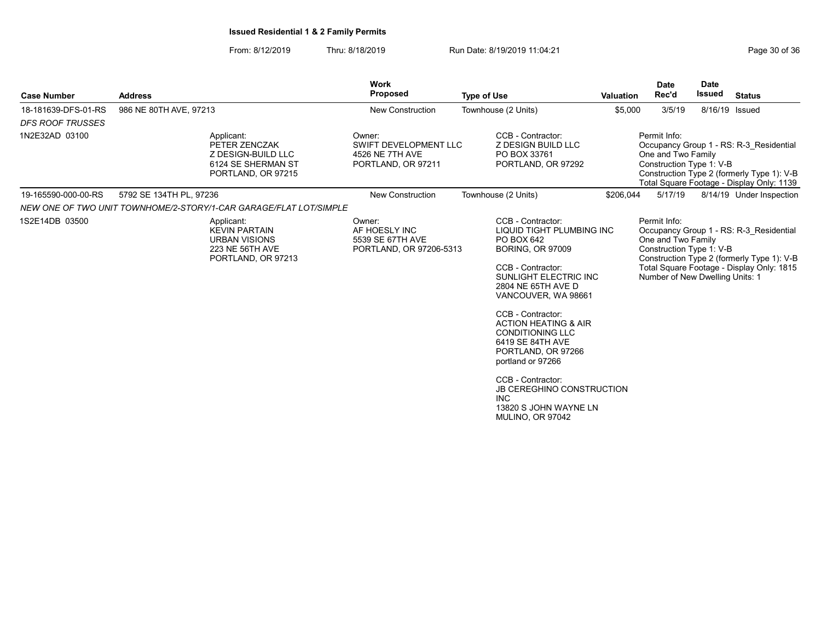|                                                |                                                                                                     | Work                                                                            |                                                                                                                                                                                                                                                                                                                                                                                                                                                          |                  | <b>Date</b>                                                                                       | <b>Date</b>   |                                                                                                                                    |
|------------------------------------------------|-----------------------------------------------------------------------------------------------------|---------------------------------------------------------------------------------|----------------------------------------------------------------------------------------------------------------------------------------------------------------------------------------------------------------------------------------------------------------------------------------------------------------------------------------------------------------------------------------------------------------------------------------------------------|------------------|---------------------------------------------------------------------------------------------------|---------------|------------------------------------------------------------------------------------------------------------------------------------|
| <b>Case Number</b>                             | <b>Address</b>                                                                                      | <b>Proposed</b>                                                                 | <b>Type of Use</b>                                                                                                                                                                                                                                                                                                                                                                                                                                       | <b>Valuation</b> | Rec'd                                                                                             | <b>Issued</b> | <b>Status</b>                                                                                                                      |
| 18-181639-DFS-01-RS<br><b>DFS ROOF TRUSSES</b> | 986 NE 80TH AVE, 97213                                                                              | <b>New Construction</b>                                                         | Townhouse (2 Units)                                                                                                                                                                                                                                                                                                                                                                                                                                      | \$5,000          | 3/5/19                                                                                            |               | 8/16/19 Issued                                                                                                                     |
| 1N2E32AD 03100                                 | Applicant:<br>PETER ZENCZAK<br>Z DESIGN-BUILD LLC<br>6124 SE SHERMAN ST<br>PORTLAND, OR 97215       | Owner:<br><b>SWIFT DEVELOPMENT LLC</b><br>4526 NE 7TH AVE<br>PORTLAND, OR 97211 | CCB - Contractor:<br><b>Z DESIGN BUILD LLC</b><br>PO BOX 33761<br>PORTLAND, OR 97292                                                                                                                                                                                                                                                                                                                                                                     |                  | Permit Info:<br>One and Two Family<br>Construction Type 1: V-B                                    |               | Occupancy Group 1 - RS: R-3 Residential<br>Construction Type 2 (formerly Type 1): V-B<br>Total Square Footage - Display Only: 1139 |
| 19-165590-000-00-RS                            | 5792 SE 134TH PL, 97236                                                                             | <b>New Construction</b>                                                         | Townhouse (2 Units)                                                                                                                                                                                                                                                                                                                                                                                                                                      | \$206,044        | 5/17/19                                                                                           |               | 8/14/19 Under Inspection                                                                                                           |
|                                                | NEW ONE OF TWO UNIT TOWNHOME/2-STORY/1-CAR GARAGE/FLAT LOT/SIMPLE                                   |                                                                                 |                                                                                                                                                                                                                                                                                                                                                                                                                                                          |                  |                                                                                                   |               |                                                                                                                                    |
| 1S2E14DB 03500                                 | Applicant:<br><b>KEVIN PARTAIN</b><br><b>URBAN VISIONS</b><br>223 NE 56TH AVE<br>PORTLAND, OR 97213 | Owner:<br>AF HOESLY INC<br>5539 SE 67TH AVE<br>PORTLAND, OR 97206-5313          | CCB - Contractor:<br>LIQUID TIGHT PLUMBING INC<br>PO BOX 642<br><b>BORING, OR 97009</b><br>CCB - Contractor:<br>SUNLIGHT ELECTRIC INC<br>2804 NE 65TH AVE D<br>VANCOUVER, WA 98661<br>CCB - Contractor:<br><b>ACTION HEATING &amp; AIR</b><br><b>CONDITIONING LLC</b><br>6419 SE 84TH AVE<br>PORTLAND, OR 97266<br>portland or 97266<br>CCB - Contractor:<br><b>JB CEREGHINO CONSTRUCTION</b><br><b>INC</b><br>13820 S JOHN WAYNE LN<br>MULINO, OR 97042 |                  | Permit Info:<br>One and Two Family<br>Construction Type 1: V-B<br>Number of New Dwelling Units: 1 |               | Occupancy Group 1 - RS: R-3 Residential<br>Construction Type 2 (formerly Type 1): V-B<br>Total Square Footage - Display Only: 1815 |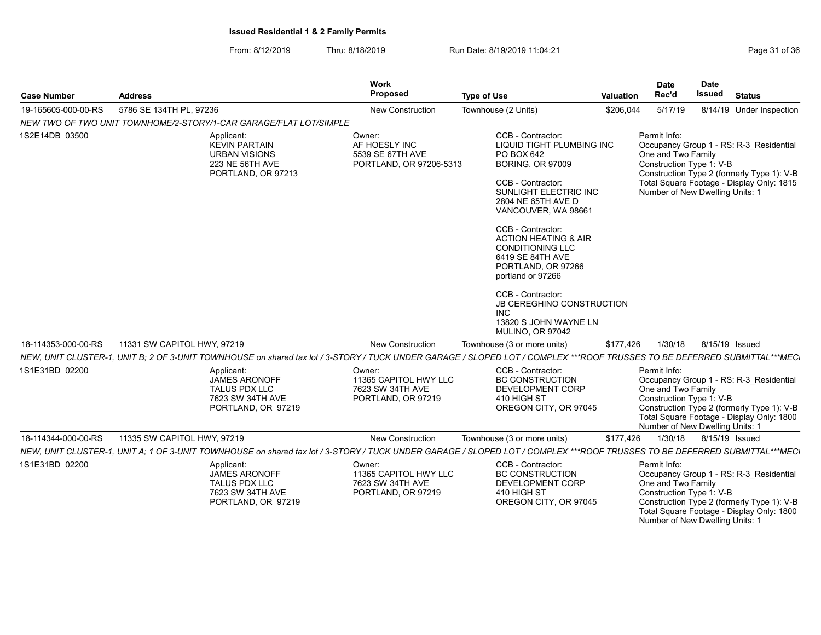From: 8/12/2019 Thru: 8/18/2019 Run Date: 8/19/2019 11:04:21 From: 8/12/2019 11:04:21

| <b>Case Number</b>  | <b>Address</b>                                                                                                                                                            | Work<br>Proposed                                                          | <b>Type of Use</b>                                                                                                                                                                                                                                                                                                                                                                                                                                       | Valuation | <b>Date</b><br>Rec'd                                                                              | <b>Date</b><br>Issued | <b>Status</b>                                                                                                                      |
|---------------------|---------------------------------------------------------------------------------------------------------------------------------------------------------------------------|---------------------------------------------------------------------------|----------------------------------------------------------------------------------------------------------------------------------------------------------------------------------------------------------------------------------------------------------------------------------------------------------------------------------------------------------------------------------------------------------------------------------------------------------|-----------|---------------------------------------------------------------------------------------------------|-----------------------|------------------------------------------------------------------------------------------------------------------------------------|
| 19-165605-000-00-RS | 5786 SE 134TH PL, 97236                                                                                                                                                   | New Construction                                                          | Townhouse (2 Units)                                                                                                                                                                                                                                                                                                                                                                                                                                      | \$206,044 | 5/17/19                                                                                           |                       | 8/14/19 Under Inspection                                                                                                           |
|                     | NEW TWO OF TWO UNIT TOWNHOME/2-STORY/1-CAR GARAGE/FLAT LOT/SIMPLE                                                                                                         |                                                                           |                                                                                                                                                                                                                                                                                                                                                                                                                                                          |           |                                                                                                   |                       |                                                                                                                                    |
| 1S2E14DB 03500      | Applicant:<br><b>KEVIN PARTAIN</b><br><b>URBAN VISIONS</b><br>223 NE 56TH AVE<br>PORTLAND, OR 97213                                                                       | Owner:<br>AF HOESLY INC<br>5539 SE 67TH AVE<br>PORTLAND, OR 97206-5313    | CCB - Contractor:<br>LIQUID TIGHT PLUMBING INC<br>PO BOX 642<br><b>BORING, OR 97009</b><br>CCB - Contractor:<br>SUNLIGHT ELECTRIC INC<br>2804 NE 65TH AVE D<br>VANCOUVER, WA 98661<br>CCB - Contractor:<br><b>ACTION HEATING &amp; AIR</b><br><b>CONDITIONING LLC</b><br>6419 SE 84TH AVE<br>PORTLAND, OR 97266<br>portland or 97266<br>CCB - Contractor:<br><b>JB CEREGHINO CONSTRUCTION</b><br><b>INC</b><br>13820 S JOHN WAYNE LN<br>MULINO, OR 97042 |           | Permit Info:<br>One and Two Family<br>Construction Type 1: V-B<br>Number of New Dwelling Units: 1 |                       | Occupancy Group 1 - RS: R-3 Residential<br>Construction Type 2 (formerly Type 1): V-B<br>Total Square Footage - Display Only: 1815 |
| 18-114353-000-00-RS | 11331 SW CAPITOL HWY, 97219                                                                                                                                               | <b>New Construction</b>                                                   | Townhouse (3 or more units)                                                                                                                                                                                                                                                                                                                                                                                                                              | \$177,426 | 1/30/18                                                                                           | 8/15/19 Issued        |                                                                                                                                    |
|                     | NEW, UNIT CLUSTER-1, UNIT B; 2 OF 3-UNIT TOWNHOUSE on shared tax lot / 3-STORY / TUCK UNDER GARAGE / SLOPED LOT / COMPLEX ***ROOF TRUSSES TO BE DEFERRED SUBMITTAL***MECI |                                                                           |                                                                                                                                                                                                                                                                                                                                                                                                                                                          |           |                                                                                                   |                       |                                                                                                                                    |
| 1S1E31BD 02200      | Applicant:<br><b>JAMES ARONOFF</b><br><b>TALUS PDX LLC</b><br>7623 SW 34TH AVE<br>PORTLAND, OR 97219                                                                      | Owner:<br>11365 CAPITOL HWY LLC<br>7623 SW 34TH AVE<br>PORTLAND, OR 97219 | CCB - Contractor:<br><b>BC CONSTRUCTION</b><br>DEVELOPMENT CORP<br>410 HIGH ST<br>OREGON CITY, OR 97045                                                                                                                                                                                                                                                                                                                                                  |           | Permit Info:<br>One and Two Family<br>Construction Type 1: V-B<br>Number of New Dwelling Units: 1 |                       | Occupancy Group 1 - RS: R-3 Residential<br>Construction Type 2 (formerly Type 1): V-B<br>Total Square Footage - Display Only: 1800 |
| 18-114344-000-00-RS | 11335 SW CAPITOL HWY, 97219                                                                                                                                               | <b>New Construction</b>                                                   | Townhouse (3 or more units)                                                                                                                                                                                                                                                                                                                                                                                                                              | \$177,426 | 1/30/18                                                                                           | 8/15/19 Issued        |                                                                                                                                    |
|                     | NEW, UNIT CLUSTER-1, UNIT A: 1 OF 3-UNIT TOWNHOUSE on shared tax lot / 3-STORY / TUCK UNDER GARAGE / SLOPED LOT / COMPLEX ***ROOF TRUSSES TO BE DEFERRED SUBMITTAL***MECI |                                                                           |                                                                                                                                                                                                                                                                                                                                                                                                                                                          |           |                                                                                                   |                       |                                                                                                                                    |
| 1S1E31BD 02200      | Applicant:<br>JAMES ARONOFF<br><b>TALUS PDX LLC</b><br>7623 SW 34TH AVE<br>PORTLAND, OR 97219                                                                             | Owner:<br>11365 CAPITOL HWY LLC<br>7623 SW 34TH AVE<br>PORTLAND, OR 97219 | CCB - Contractor:<br><b>BC CONSTRUCTION</b><br>DEVELOPMENT CORP<br>410 HIGH ST<br>OREGON CITY, OR 97045                                                                                                                                                                                                                                                                                                                                                  |           | Permit Info:<br>One and Two Family<br>Construction Type 1: V-B                                    |                       | Occupancy Group 1 - RS: R-3 Residential<br>Construction Type 2 (formerly Type 1): V-B                                              |

Total Square Footage - Display Only: 1800 Number of New Dwelling Units: 1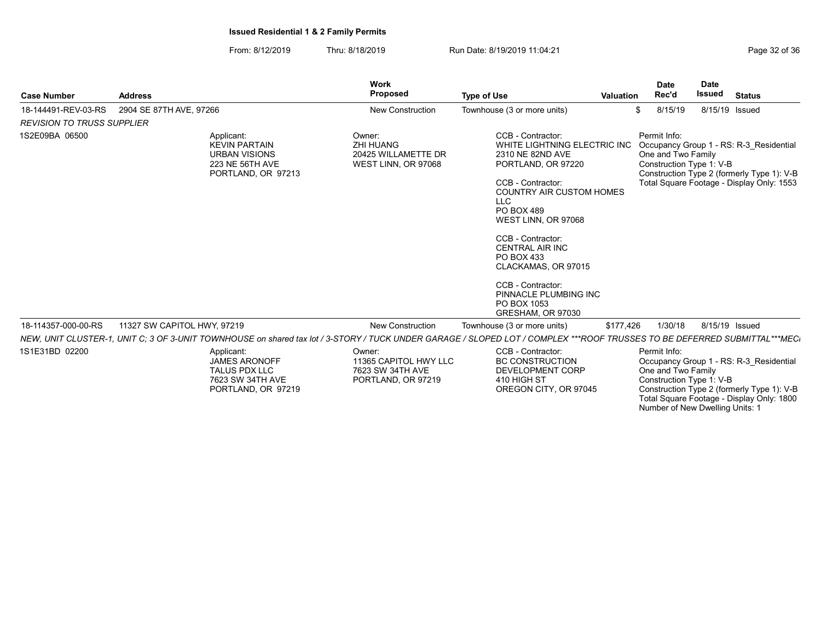From: 8/12/2019 Thru: 8/18/2019 Run Date: 8/19/2019 11:04:21 From: 8/12/2019 11:04:21

| <b>Case Number</b>                | <b>Address</b>                                                                                                                                                            | <b>Work</b><br><b>Proposed</b>                                            | <b>Type of Use</b>                                                                                                                                                                                                                                                                                                                                                                  | <b>Valuation</b> | <b>Date</b><br>Rec'd                                           | <b>Date</b><br>Issued | <b>Status</b>                                                                                                                      |
|-----------------------------------|---------------------------------------------------------------------------------------------------------------------------------------------------------------------------|---------------------------------------------------------------------------|-------------------------------------------------------------------------------------------------------------------------------------------------------------------------------------------------------------------------------------------------------------------------------------------------------------------------------------------------------------------------------------|------------------|----------------------------------------------------------------|-----------------------|------------------------------------------------------------------------------------------------------------------------------------|
| 18-144491-REV-03-RS               | 2904 SE 87TH AVE, 97266                                                                                                                                                   | <b>New Construction</b>                                                   | Townhouse (3 or more units)                                                                                                                                                                                                                                                                                                                                                         |                  | 8/15/19                                                        | 8/15/19 Issued        |                                                                                                                                    |
| <b>REVISION TO TRUSS SUPPLIER</b> |                                                                                                                                                                           |                                                                           |                                                                                                                                                                                                                                                                                                                                                                                     |                  |                                                                |                       |                                                                                                                                    |
| 1S2E09BA 06500                    | Applicant:<br><b>KEVIN PARTAIN</b><br><b>URBAN VISIONS</b><br><b>223 NE 56TH AVE</b><br>PORTLAND, OR 97213                                                                | Owner:<br><b>ZHI HUANG</b><br>20425 WILLAMETTE DR<br>WEST LINN, OR 97068  | CCB - Contractor:<br>WHITE LIGHTNING ELECTRIC INC<br>2310 NE 82ND AVE<br>PORTLAND, OR 97220<br>CCB - Contractor:<br><b>COUNTRY AIR CUSTOM HOMES</b><br><b>LLC</b><br><b>PO BOX 489</b><br>WEST LINN, OR 97068<br>CCB - Contractor:<br><b>CENTRAL AIR INC</b><br>PO BOX 433<br>CLACKAMAS, OR 97015<br>CCB - Contractor:<br>PINNACLE PLUMBING INC<br>PO BOX 1053<br>GRESHAM, OR 97030 |                  | Permit Info:<br>One and Two Family<br>Construction Type 1: V-B |                       | Occupancy Group 1 - RS: R-3 Residential<br>Construction Type 2 (formerly Type 1): V-B<br>Total Square Footage - Display Only: 1553 |
| 18-114357-000-00-RS               | 11327 SW CAPITOL HWY, 97219                                                                                                                                               | <b>New Construction</b>                                                   | Townhouse (3 or more units)                                                                                                                                                                                                                                                                                                                                                         | \$177,426        | 1/30/18                                                        | 8/15/19 Issued        |                                                                                                                                    |
|                                   | NEW, UNIT CLUSTER-1, UNIT C: 3 OF 3-UNIT TOWNHOUSE on shared tax lot / 3-STORY / TUCK UNDER GARAGE / SLOPED LOT / COMPLEX ***ROOF TRUSSES TO BE DEFERRED SUBMITTAL***MECi |                                                                           |                                                                                                                                                                                                                                                                                                                                                                                     |                  |                                                                |                       |                                                                                                                                    |
| 1S1E31BD 02200                    | Applicant:<br><b>JAMES ARONOFF</b><br><b>TALUS PDX LLC</b><br>7623 SW 34TH AVE<br>PORTLAND, OR 97219                                                                      | Owner:<br>11365 CAPITOL HWY LLC<br>7623 SW 34TH AVE<br>PORTLAND, OR 97219 | CCB - Contractor:<br><b>BC CONSTRUCTION</b><br>DEVELOPMENT CORP<br>410 HIGH ST<br>OREGON CITY, OR 97045                                                                                                                                                                                                                                                                             |                  | Permit Info:<br>One and Two Family<br>Construction Type 1: V-B |                       | Occupancy Group 1 - RS: R-3 Residential<br>Construction Type 2 (formerly Type 1): V-B<br>Total Square Footage - Display Only: 1800 |

Total Square Footage - Display Only: 1800 Number of New Dwelling Units: 1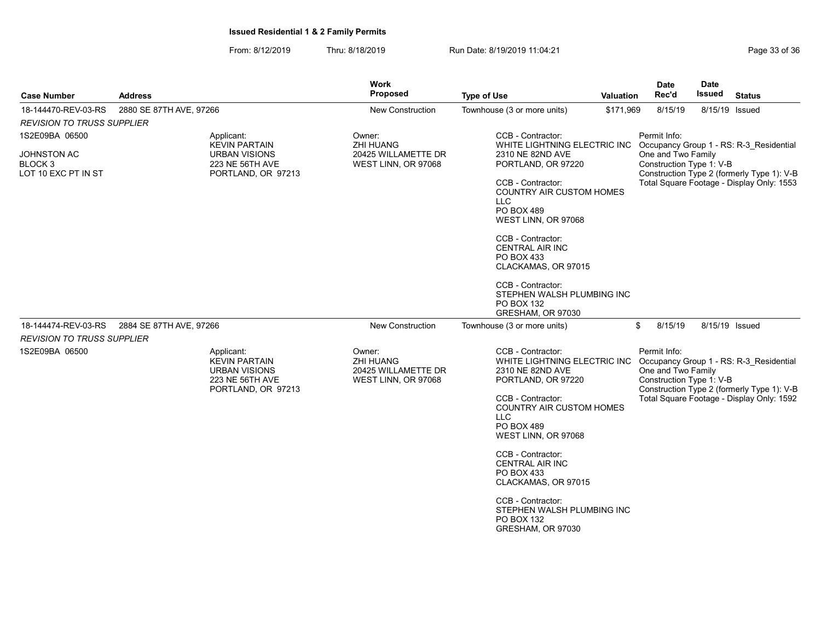| <b>Case Number</b>                                                         | <b>Address</b>                                                                | Work<br><b>Proposed</b>                          |                                            | <b>Type of Use</b>                                                                                                                                                                                                                                                                                                                                                                                         | Valuation | <b>Date</b><br>Rec'd                                           | <b>Date</b><br><b>Issued</b> | <b>Status</b>                                                                                                                      |
|----------------------------------------------------------------------------|-------------------------------------------------------------------------------|--------------------------------------------------|--------------------------------------------|------------------------------------------------------------------------------------------------------------------------------------------------------------------------------------------------------------------------------------------------------------------------------------------------------------------------------------------------------------------------------------------------------------|-----------|----------------------------------------------------------------|------------------------------|------------------------------------------------------------------------------------------------------------------------------------|
| 18-144470-REV-03-RS                                                        | 2880 SE 87TH AVE, 97266                                                       |                                                  | <b>New Construction</b>                    | Townhouse (3 or more units)                                                                                                                                                                                                                                                                                                                                                                                | \$171,969 | 8/15/19                                                        | 8/15/19 Issued               |                                                                                                                                    |
| <b>REVISION TO TRUSS SUPPLIER</b>                                          |                                                                               |                                                  |                                            |                                                                                                                                                                                                                                                                                                                                                                                                            |           |                                                                |                              |                                                                                                                                    |
| 1S2E09BA 06500<br>JOHNSTON AC<br>BLOCK <sub>3</sub><br>LOT 10 EXC PT IN ST | Applicant:<br><b>KEVIN PARTAIN</b><br><b>URBAN VISIONS</b><br>223 NE 56TH AVE | Owner:<br><b>ZHI HUANG</b><br>PORTLAND, OR 97213 | 20425 WILLAMETTE DR<br>WEST LINN, OR 97068 | CCB - Contractor:<br>WHITE LIGHTNING ELECTRIC INC Occupancy Group 1 - RS: R-3 Residential<br>2310 NE 82ND AVE<br>PORTLAND, OR 97220<br>CCB - Contractor:<br>COUNTRY AIR CUSTOM HOMES<br><b>LLC</b><br>PO BOX 489<br>WEST LINN, OR 97068<br>CCB - Contractor:<br>CENTRAL AIR INC<br>PO BOX 433<br>CLACKAMAS, OR 97015<br>CCB - Contractor:<br>STEPHEN WALSH PLUMBING INC<br>PO BOX 132<br>GRESHAM, OR 97030 |           | Permit Info:<br>One and Two Family<br>Construction Type 1: V-B |                              | Construction Type 2 (formerly Type 1): V-B<br>Total Square Footage - Display Only: 1553                                            |
| 18-144474-REV-03-RS                                                        | 2884 SE 87TH AVE, 97266                                                       |                                                  | <b>New Construction</b>                    | Townhouse (3 or more units)                                                                                                                                                                                                                                                                                                                                                                                |           | \$<br>8/15/19                                                  | 8/15/19 Issued               |                                                                                                                                    |
| <b>REVISION TO TRUSS SUPPLIER</b>                                          |                                                                               |                                                  |                                            |                                                                                                                                                                                                                                                                                                                                                                                                            |           |                                                                |                              |                                                                                                                                    |
| 1S2E09BA 06500                                                             | Applicant:<br><b>KEVIN PARTAIN</b><br><b>URBAN VISIONS</b><br>223 NE 56TH AVE | Owner:<br><b>ZHI HUANG</b><br>PORTLAND, OR 97213 | 20425 WILLAMETTE DR<br>WEST LINN, OR 97068 | CCB - Contractor:<br>WHITE LIGHTNING ELECTRIC INC<br>2310 NE 82ND AVE<br>PORTLAND, OR 97220<br>CCB - Contractor:<br><b>COUNTRY AIR CUSTOM HOMES</b><br><b>LLC</b><br>PO BOX 489<br>WEST LINN, OR 97068<br>CCB - Contractor:<br><b>CENTRAL AIR INC</b><br>PO BOX 433<br>CLACKAMAS, OR 97015<br>CCB - Contractor:<br>STEPHEN WALSH PLUMBING INC<br>PO BOX 132<br>GRESHAM, OR 97030                           |           | Permit Info:<br>One and Two Family<br>Construction Type 1: V-B |                              | Occupancy Group 1 - RS: R-3 Residential<br>Construction Type 2 (formerly Type 1): V-B<br>Total Square Footage - Display Only: 1592 |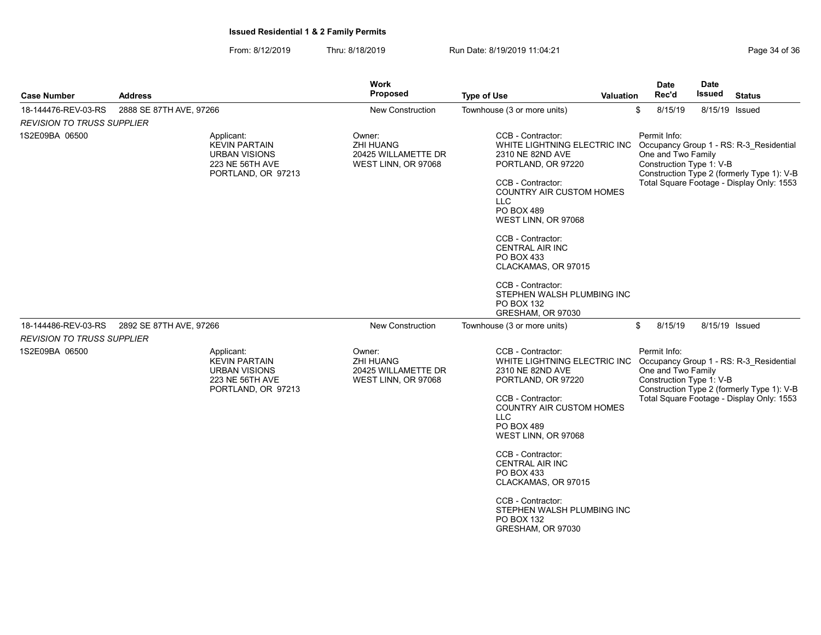| <b>Case Number</b>                | <b>Address</b>                                                                                      | Work<br><b>Proposed</b>                                                  | <b>Type of Use</b><br><b>Valuation</b>                                                                                                                                                                                                                                                                                                                                                                                    | <b>Date</b><br>Rec'd                                           | <b>Date</b><br><b>Issued</b> | <b>Status</b>                                                                                                                      |
|-----------------------------------|-----------------------------------------------------------------------------------------------------|--------------------------------------------------------------------------|---------------------------------------------------------------------------------------------------------------------------------------------------------------------------------------------------------------------------------------------------------------------------------------------------------------------------------------------------------------------------------------------------------------------------|----------------------------------------------------------------|------------------------------|------------------------------------------------------------------------------------------------------------------------------------|
| 18-144476-REV-03-RS               | 2888 SE 87TH AVE, 97266                                                                             | New Construction                                                         | Townhouse (3 or more units)                                                                                                                                                                                                                                                                                                                                                                                               | \$<br>8/15/19                                                  | 8/15/19 Issued               |                                                                                                                                    |
| <b>REVISION TO TRUSS SUPPLIER</b> |                                                                                                     |                                                                          |                                                                                                                                                                                                                                                                                                                                                                                                                           |                                                                |                              |                                                                                                                                    |
| 1S2E09BA 06500                    | Applicant:<br><b>KEVIN PARTAIN</b><br><b>URBAN VISIONS</b><br>223 NE 56TH AVE<br>PORTLAND, OR 97213 | Owner:<br><b>ZHI HUANG</b><br>20425 WILLAMETTE DR<br>WEST LINN, OR 97068 | CCB - Contractor:<br>WHITE LIGHTNING ELECTRIC INC Occupancy Group 1 - RS: R-3 Residential<br>2310 NE 82ND AVE<br>PORTLAND, OR 97220<br>CCB - Contractor:<br><b>COUNTRY AIR CUSTOM HOMES</b><br>LLC.<br>PO BOX 489<br>WEST LINN, OR 97068<br>CCB - Contractor:<br><b>CENTRAL AIR INC</b><br>PO BOX 433<br>CLACKAMAS, OR 97015<br>CCB - Contractor:<br>STEPHEN WALSH PLUMBING INC<br><b>PO BOX 132</b><br>GRESHAM, OR 97030 | Permit Info:<br>One and Two Family<br>Construction Type 1: V-B |                              | Construction Type 2 (formerly Type 1): V-B<br>Total Square Footage - Display Only: 1553                                            |
| 18-144486-REV-03-RS               | 2892 SE 87TH AVE, 97266                                                                             | New Construction                                                         | Townhouse (3 or more units)                                                                                                                                                                                                                                                                                                                                                                                               | 8/15/19<br>\$                                                  | 8/15/19 Issued               |                                                                                                                                    |
| <b>REVISION TO TRUSS SUPPLIER</b> |                                                                                                     |                                                                          |                                                                                                                                                                                                                                                                                                                                                                                                                           |                                                                |                              |                                                                                                                                    |
| 1S2E09BA 06500                    | Applicant:<br>KEVIN PARTAIN<br><b>URBAN VISIONS</b><br>223 NE 56TH AVE<br>PORTLAND, OR 97213        | Owner:<br><b>ZHI HUANG</b><br>20425 WILLAMETTE DR<br>WEST LINN, OR 97068 | CCB - Contractor:<br>WHITE LIGHTNING ELECTRIC INC<br>2310 NE 82ND AVE<br>PORTLAND, OR 97220<br>CCB - Contractor:<br><b>COUNTRY AIR CUSTOM HOMES</b><br>LLC.<br>PO BOX 489<br>WEST LINN, OR 97068<br>CCB - Contractor:<br><b>CENTRAL AIR INC</b><br>PO BOX 433<br>CLACKAMAS, OR 97015<br>CCB - Contractor:<br>STEPHEN WALSH PLUMBING INC<br>PO BOX 132<br>GRESHAM, OR 97030                                                | Permit Info:<br>One and Two Family<br>Construction Type 1: V-B |                              | Occupancy Group 1 - RS: R-3_Residential<br>Construction Type 2 (formerly Type 1): V-B<br>Total Square Footage - Display Only: 1553 |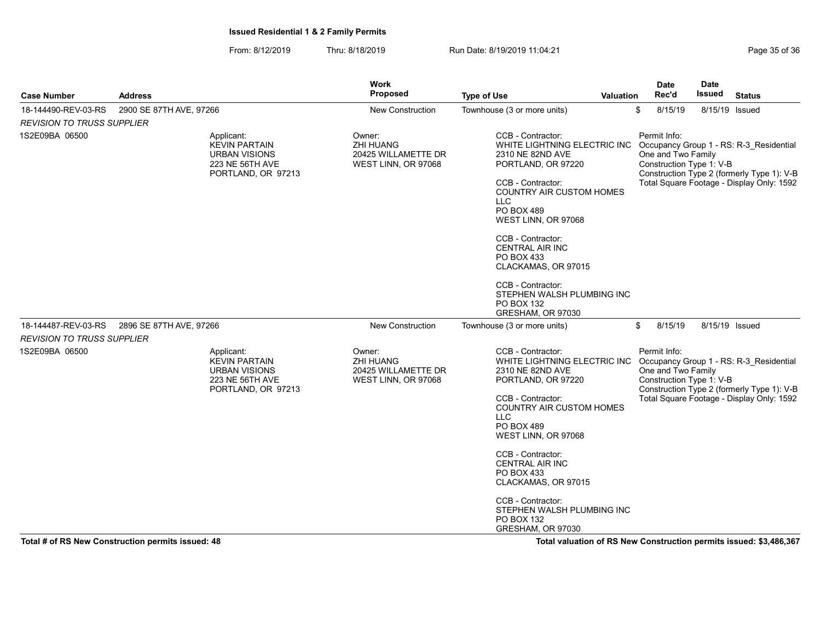| <b>Case Number</b>                                | <b>Address</b>          |                                                                                                     | <b>Work</b><br><b>Proposed</b>                                           | <b>Type of Use</b><br><b>Valuation</b>                                                                                                                                                                                                                                                                                                                                                                             | Date<br>Rec'd                                                  | <b>Date</b><br>Issued | <b>Status</b>                                                                                                                      |
|---------------------------------------------------|-------------------------|-----------------------------------------------------------------------------------------------------|--------------------------------------------------------------------------|--------------------------------------------------------------------------------------------------------------------------------------------------------------------------------------------------------------------------------------------------------------------------------------------------------------------------------------------------------------------------------------------------------------------|----------------------------------------------------------------|-----------------------|------------------------------------------------------------------------------------------------------------------------------------|
| 18-144490-REV-03-RS                               | 2900 SE 87TH AVE, 97266 |                                                                                                     | New Construction                                                         | Townhouse (3 or more units)                                                                                                                                                                                                                                                                                                                                                                                        | \$<br>8/15/19                                                  |                       | 8/15/19 Issued                                                                                                                     |
| <b>REVISION TO TRUSS SUPPLIER</b>                 |                         |                                                                                                     |                                                                          |                                                                                                                                                                                                                                                                                                                                                                                                                    |                                                                |                       |                                                                                                                                    |
| 1S2E09BA 06500                                    |                         | Applicant:<br><b>KEVIN PARTAIN</b><br><b>URBAN VISIONS</b><br>223 NE 56TH AVE<br>PORTLAND, OR 97213 | Owner:<br><b>ZHI HUANG</b><br>20425 WILLAMETTE DR<br>WEST LINN, OR 97068 | CCB - Contractor:<br>WHITE LIGHTNING ELECTRIC INC Occupancy Group 1 - RS: R-3_Residential<br>2310 NE 82ND AVE<br>PORTLAND, OR 97220<br>CCB - Contractor:<br><b>COUNTRY AIR CUSTOM HOMES</b><br>LLC.<br>PO BOX 489<br>WEST LINN, OR 97068<br>CCB - Contractor:<br><b>CENTRAL AIR INC</b><br>PO BOX 433<br>CLACKAMAS, OR 97015<br>CCB - Contractor:<br>STEPHEN WALSH PLUMBING INC<br>PO BOX 132<br>GRESHAM, OR 97030 | Permit Info:<br>One and Two Family<br>Construction Type 1: V-B |                       | Construction Type 2 (formerly Type 1): V-B<br>Total Square Footage - Display Only: 1592                                            |
| 18-144487-REV-03-RS                               | 2896 SE 87TH AVE, 97266 |                                                                                                     | <b>New Construction</b>                                                  | Townhouse (3 or more units)                                                                                                                                                                                                                                                                                                                                                                                        | \$<br>8/15/19                                                  |                       | 8/15/19 Issued                                                                                                                     |
| <b>REVISION TO TRUSS SUPPLIER</b>                 |                         |                                                                                                     |                                                                          |                                                                                                                                                                                                                                                                                                                                                                                                                    |                                                                |                       |                                                                                                                                    |
| 1S2E09BA 06500                                    |                         | Applicant:<br><b>KEVIN PARTAIN</b><br><b>URBAN VISIONS</b><br>223 NE 56TH AVE<br>PORTLAND, OR 97213 | Owner:<br><b>ZHI HUANG</b><br>20425 WILLAMETTE DR<br>WEST LINN, OR 97068 | CCB - Contractor:<br>WHITE LIGHTNING ELECTRIC INC<br>2310 NE 82ND AVE<br>PORTLAND, OR 97220<br>CCB - Contractor:<br><b>COUNTRY AIR CUSTOM HOMES</b><br><b>LLC</b><br>PO BOX 489<br>WEST LINN, OR 97068<br>CCB - Contractor:<br><b>CENTRAL AIR INC</b><br>PO BOX 433<br>CLACKAMAS, OR 97015<br>CCB - Contractor:<br>STEPHEN WALSH PLUMBING INC<br><b>PO BOX 132</b><br>GRESHAM, OR 97030                            | Permit Info:<br>One and Two Family<br>Construction Type 1: V-B |                       | Occupancy Group 1 - RS: R-3 Residential<br>Construction Type 2 (formerly Type 1): V-B<br>Total Square Footage - Display Only: 1592 |
| Total # of RS New Construction permits issued: 48 |                         |                                                                                                     |                                                                          | Total valuation of RS New Construction permits issued: \$3,486,367                                                                                                                                                                                                                                                                                                                                                 |                                                                |                       |                                                                                                                                    |